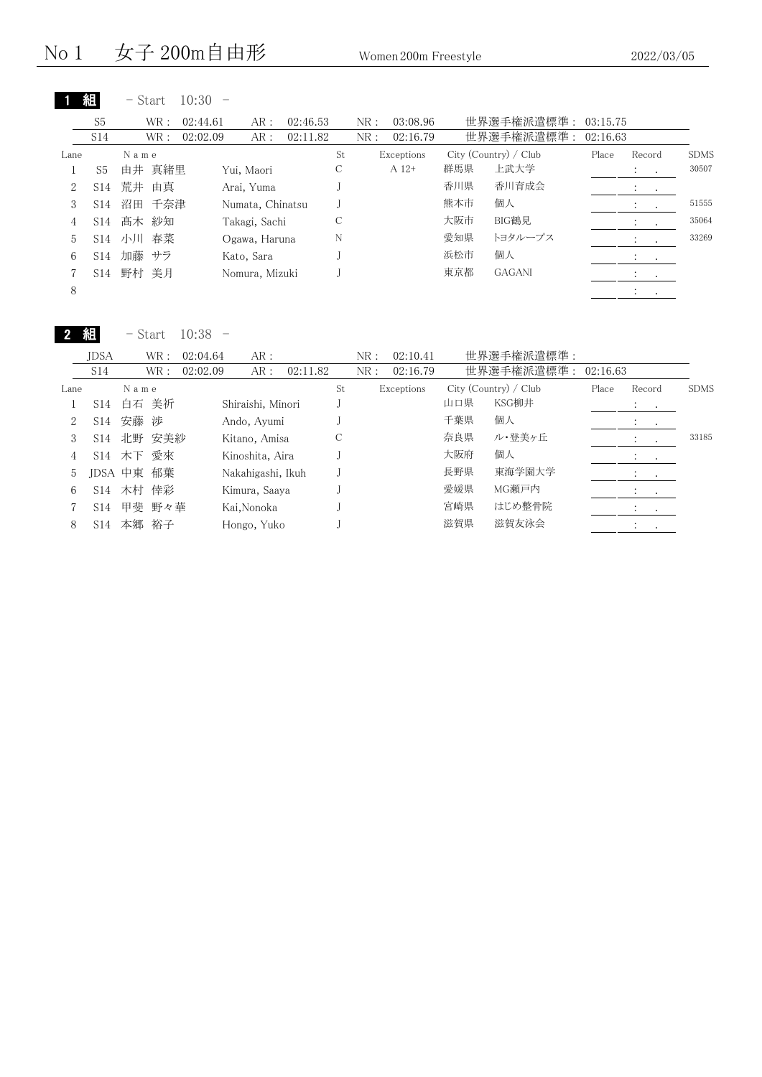|                |                 | - Start   | 10:30    |                  |          |    |     |            |     |                       |          |                                |             |
|----------------|-----------------|-----------|----------|------------------|----------|----|-----|------------|-----|-----------------------|----------|--------------------------------|-------------|
|                | S <sub>5</sub>  | WR:       | 02:44.61 | AR:              | 02:46.53 |    | NR: | 03:08.96   |     | 世界選手権派遣標準:            | 03:15.75 |                                |             |
|                | S14             | WR:       | 02:02.09 | AR:              | 02:11.82 |    | NR: | 02:16.79   |     | 世界選手権派遣標準:            | 02:16.63 |                                |             |
| Lane           |                 | Name      |          |                  |          | St |     | Exceptions |     | City (Country) / Club | Place    | Record                         | <b>SDMS</b> |
|                | S5              | 由井 真緒里    |          | Yui, Maori       |          | С  |     | $A 12+$    | 群馬県 | 上武大学                  |          | $\bullet$                      | 30507       |
| $\overline{2}$ | S14             | 荒井<br>由真  |          | Arai, Yuma       |          |    |     |            | 香川県 | 香川育成会                 |          | $\ddot{\phantom{0}}$<br>$\sim$ |             |
| 3              | S14             | 沼田<br>千奈津 |          | Numata, Chinatsu |          |    |     |            | 熊本市 | 個人                    |          | $\ddot{\cdot}$<br>$\cdot$      | 51555       |
| 4              | S14             | 髙木 紗知     |          | Takagi, Sachi    |          | С  |     |            | 大阪市 | BIG鶴見                 |          | $\cdot$                        | 35064       |
| 5              | S14             | 小川 春菜     |          | Ogawa, Haruna    |          | N  |     |            | 愛知県 | トヨタループス               |          | $\ddot{\cdot}$<br>$\sim$       | 33269       |
| 6              | S <sub>14</sub> | 加藤<br>サラ  |          | Kato, Sara       |          |    |     |            | 浜松市 | 個人                    |          | $2.1 - 1.1$                    |             |
|                | S14             | 野村<br>美月  |          | Nomura, Mizuki   |          |    |     |            | 東京都 | <b>GAGANI</b>         |          | <b>Contract</b>                |             |
| 8              |                 |           |          |                  |          |    |     |            |     |                       |          | $\cdot$                        |             |

- Start 10:38 -

2 組

|      | <b>IDSA</b>     |         | WR :   | 02:04.64 | AR:               |          |    | NR: | 02:10.41   |     | 世界選手権派遣標準:            |          |                      |                  |             |
|------|-----------------|---------|--------|----------|-------------------|----------|----|-----|------------|-----|-----------------------|----------|----------------------|------------------|-------------|
|      | S14             |         | WR :   | 02:02.09 | AR:               | 02:11.82 |    | NR: | 02:16.79   |     | 世界選手権派遣標準:            | 02:16.63 |                      |                  |             |
| Lane |                 | Name    |        |          |                   |          | St |     | Exceptions |     | City (Country) / Club | Place    | Record               |                  | <b>SDMS</b> |
|      | S14             |         | 白石 美祈  |          | Shiraishi, Minori |          |    |     |            | 山口県 | KSG柳井                 |          | <b>Service</b>       |                  |             |
| 2    | S14             | 安藤 渉    |        |          | Ando, Ayumi       |          |    |     |            | 千葉県 | 個人                    |          | $\bullet$            | $\sim$           |             |
| 3    | S <sub>14</sub> |         | 北野 安美紗 |          | Kitano, Amisa     |          |    |     |            | 奈良県 | ル・登美ヶ丘                |          | $\cdot$              |                  | 33185       |
| 4    | S <sub>14</sub> |         | 木下 愛來  |          | Kinoshita, Aira   |          |    |     |            | 大阪府 | 個人                    |          | $\ddot{\phantom{1}}$ | $\sim$           |             |
| 5    |                 | JDSA 中東 | 郁葉     |          | Nakahigashi, Ikuh |          |    |     |            | 長野県 | 東海学園大学                |          |                      | <b>Contract</b>  |             |
| 6    | S14             |         | 木村 倖彩  |          | Kimura, Saava     |          |    |     |            | 愛媛県 | MG瀬戸内                 |          |                      |                  |             |
|      | S14             |         | 甲斐 野々華 |          | Kai,Nonoka        |          |    |     |            | 宮崎県 | はじめ整骨院                |          |                      | $\sim$ 100 $\pm$ |             |
| 8    | S14             |         | 本郷 裕子  |          | Hongo, Yuko       |          |    |     |            | 滋賀県 | 滋賀友泳会                 |          |                      |                  |             |
|      |                 |         |        |          |                   |          |    |     |            |     |                       |          |                      |                  |             |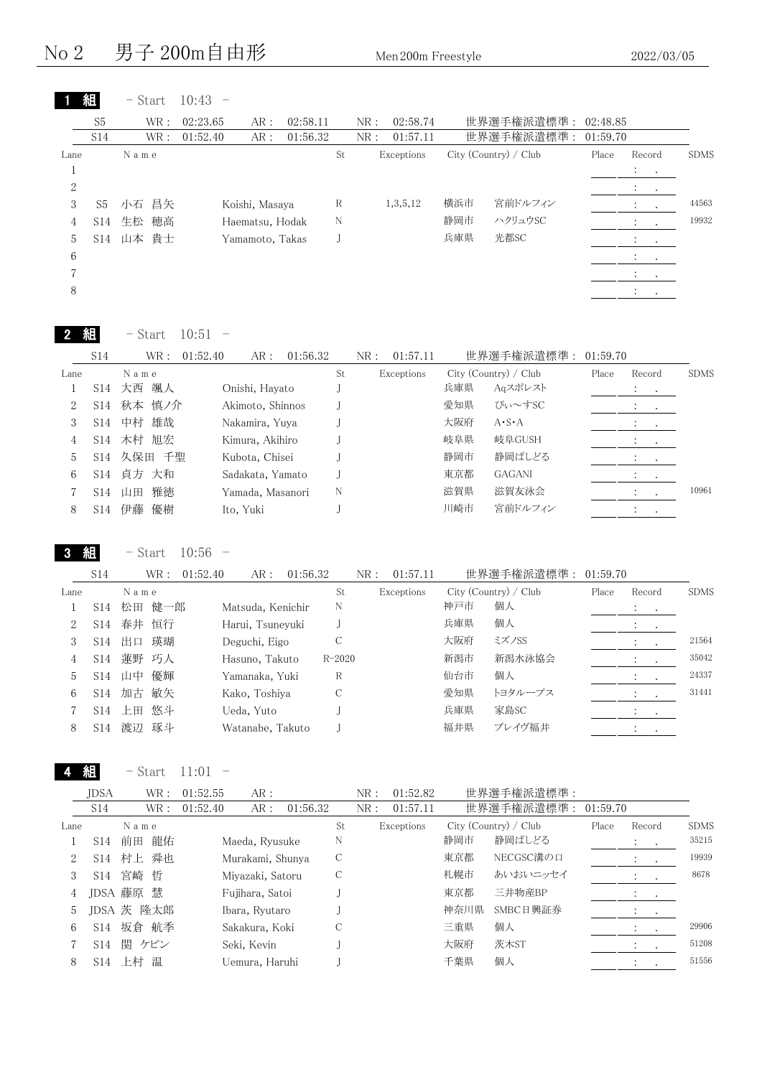No 2 男子 200m自由形 Men 200m Freestyle 2022/03/05

|                |                | $-$ Start | 10:43    |                 |          |    |     |            |     |                       |          |                                                                                         |         |             |
|----------------|----------------|-----------|----------|-----------------|----------|----|-----|------------|-----|-----------------------|----------|-----------------------------------------------------------------------------------------|---------|-------------|
|                | S <sub>5</sub> | WR:       | 02:23.65 | AR:             | 02:58.11 |    | NR: | 02:58.74   |     | 世界選手権派遣標準:            | 02:48.85 |                                                                                         |         |             |
|                | S14            | WR:       | 01:52.40 | AR:             | 01:56.32 |    | NR: | 01:57.11   |     | 世界選手権派遣標準:            | 01:59.70 |                                                                                         |         |             |
| Lane           |                | Name      |          |                 |          | St |     | Exceptions |     | City (Country) / Club | Place    | Record                                                                                  |         | <b>SDMS</b> |
|                |                |           |          |                 |          |    |     |            |     |                       |          | $\mathcal{I}^{\mathcal{I}}$ , $\mathcal{I}^{\mathcal{I}}$ , $\mathcal{I}^{\mathcal{I}}$ |         |             |
| $\overline{2}$ |                |           |          |                 |          |    |     |            |     |                       |          | $\mathcal{L}^{\text{max}}$                                                              |         |             |
| 3              | S <sub>5</sub> | 昌矢<br>小石  |          | Koishi, Masaya  |          | R  |     | 1,3,5,12   | 横浜市 | 宮前ドルフィン               |          | $\mathbb{Z}^n$                                                                          |         | 44563       |
| 4              | S14            | 穂高<br>生松  |          | Haematsu, Hodak |          | N  |     |            | 静岡市 | ハクリュウSC               |          | $\mathcal{L}$                                                                           |         | 19932       |
| 5              |                | S14 山本 貴士 |          | Yamamoto, Takas |          |    |     |            | 兵庫県 | 光都SC                  |          | $\mathcal{L}^{\text{max}}$                                                              |         |             |
| 6              |                |           |          |                 |          |    |     |            |     |                       |          |                                                                                         |         |             |
|                |                |           |          |                 |          |    |     |            |     |                       |          |                                                                                         | $\sim$  |             |
| 8              |                |           |          |                 |          |    |     |            |     |                       |          | $\bullet$                                                                               | $\cdot$ |             |

| 組 | Start<br>— ' | 10:51 |  |
|---|--------------|-------|--|
|---|--------------|-------|--|

|                | S14             | WR :     | AR:<br>01:52.40  | 01:56.32 | NR: | 01:57.11   |     | 世界選手権派遣標準:            | 01:59.70 |           |         |             |
|----------------|-----------------|----------|------------------|----------|-----|------------|-----|-----------------------|----------|-----------|---------|-------------|
| Lane           |                 | Name     |                  | St       |     | Exceptions |     | City (Country) / Club | Place    | Record    |         | <b>SDMS</b> |
|                | S14             | 颯人<br>大西 | Onishi, Hayato   |          |     |            | 兵庫県 | Aqスポレスト               |          | $\bullet$ | $\cdot$ |             |
|                | S14             | 秋本 慎ノ介   | Akimoto, Shinnos |          |     |            | 愛知県 | ぴぃ~すSC                |          | $\bullet$ | $\cdot$ |             |
|                | S <sub>14</sub> | 雄哉<br>中村 | Nakamira, Yuya   |          |     |            | 大阪府 | $A \cdot S \cdot A$   |          |           | $\cdot$ |             |
| 4              | S <sub>14</sub> | 木村 旭宏    | Kimura, Akihiro  |          |     |            | 岐阜県 | 岐阜GUSH                |          |           |         |             |
| $\mathfrak{h}$ | S14             | 久保田 千聖   | Kubota, Chisei   |          |     |            | 静岡市 | 静岡ぱしどる                |          |           |         |             |
| 6              | S <sub>14</sub> | 貞方 大和    | Sadakata, Yamato |          |     |            | 東京都 | <b>GAGANI</b>         |          |           |         |             |
|                | S <sub>14</sub> | 雅徳<br>山田 | Yamada, Masanori | N        |     |            | 滋賀県 | 滋賀友泳会                 |          |           |         | 10961       |
| 8              | S14             | 伊藤<br>優樹 | Ito, Yuki        |          |     |            | 川崎市 | 宮前ドルフィン               |          |           |         |             |
|                |                 |          |                  |          |     |            |     |                       |          |           |         |             |

3 組

- Start 10:56 -

|      | S <sub>14</sub> | WR :      | 01:52.40 | AR :              | 01:56.32 |            | NR : | 01:57.11   |     | 世界選手権派遣標準:            | 01:59.70 |         |                 |             |
|------|-----------------|-----------|----------|-------------------|----------|------------|------|------------|-----|-----------------------|----------|---------|-----------------|-------------|
| Lane |                 | Name      |          |                   |          | St         |      | Exceptions |     | City (Country) / Club | Place    | Record  |                 | <b>SDMS</b> |
|      | S <sub>14</sub> | 松田<br>健一郎 |          | Matsuda, Kenichir |          | N          |      |            | 神戸市 | 個人                    |          | $\cdot$ | $\cdot$ $\cdot$ |             |
| 2    | S <sub>14</sub> | 恒行<br>春井  |          | Harui, Tsuneyuki  |          |            |      |            | 兵庫県 | 個人                    |          |         | $\bullet$       |             |
| 3    | S <sub>14</sub> | 瑛瑚<br>出口  |          | Deguchi, Eigo     |          | С          |      |            | 大阪府 | ミズノSS                 |          |         |                 | 21564       |
| 4    | S <sub>14</sub> | 蓮野<br>巧人  |          | Hasuno, Takuto    |          | $R - 2020$ |      |            | 新潟市 | 新潟水泳協会                |          |         |                 | 35042       |
| 5    | S <sub>14</sub> | 優輝<br>山中  |          | Yamanaka, Yuki    |          | R          |      |            | 仙台市 | 個人                    |          |         |                 | 24337       |
| 6    | S <sub>14</sub> | 敏矢<br>加古  |          | Kako, Toshiva     |          | С          |      |            | 愛知県 | トヨタループス               |          |         |                 | 31441       |
|      | S <sub>14</sub> | 悠斗<br>上田  |          | Ueda, Yuto        |          |            |      |            | 兵庫県 | 家島SC                  |          | $\cdot$ | $\sim$          |             |
| 8    | S <sub>14</sub> | 琢斗<br>渡辺  |          | Watanabe, Takuto  |          |            |      |            | 福井県 | ブレイヴ福井                |          | $\cdot$ |                 |             |
|      |                 |           |          |                   |          |            |      |            |     |                       |          |         |                 |             |

4 組

 $-$  Start 11:01  $-$ 

|      | <b>JDSA</b>     | WR :       | 01:52.55 | AR:              |          |    | NR: | 01:52.82   |      | 世界選手権派遣標準:            |          |                             |         |             |
|------|-----------------|------------|----------|------------------|----------|----|-----|------------|------|-----------------------|----------|-----------------------------|---------|-------------|
|      | S14             | WR :       | 01:52.40 | AR:              | 01:56.32 |    | NR: | 01:57.11   |      | 世界選手権派遣標準:            | 01:59.70 |                             |         |             |
| Lane |                 | Name       |          |                  |          | St |     | Exceptions |      | City (Country) / Club | Place    | Record                      |         | <b>SDMS</b> |
|      | S <sub>14</sub> | 龍佑<br>前田   |          | Maeda, Ryusuke   |          | N  |     |            | 静岡市  | 静岡ぱしどる                |          | $\ddot{\cdot}$<br>$\sim$    |         | 35215       |
| 2    | S14             | 村上 舜也      |          | Murakami, Shunya |          | C  |     |            | 東京都  | NECGSC溝の口             |          | $\cdot$                     | $\cdot$ | 19939       |
| 3    | S14             | 宮崎 哲       |          | Miyazaki, Satoru |          | C  |     |            | 札幌市  | あいおいニッセイ              |          |                             |         | 8678        |
| 4    |                 | JDSA 藤原 慧  |          | Fujihara, Satoi  |          |    |     |            | 東京都  | 三井物産BP                |          | $\sim$ 100 $\pm$            |         |             |
| 5    |                 | JDSA 茨 隆太郎 |          | Ibara, Ryutaro   |          |    |     |            | 神奈川県 | SMBC日興証券              |          |                             |         |             |
| 6    | S <sub>14</sub> | 坂倉 航季      |          | Sakakura, Koki   |          |    |     |            | 三重県  | 個人                    |          | $\mathcal{L} = \mathcal{L}$ |         | 29906       |
|      | S <sub>14</sub> | 関 ケビン      |          | Seki, Kevin      |          |    |     |            | 大阪府  | 茨木ST                  |          |                             |         | 51208       |
| 8    | S <sub>14</sub> | 上村 温       |          | Uemura. Haruhi   |          |    |     |            | 千葉県  | 個人                    |          |                             |         | 51556       |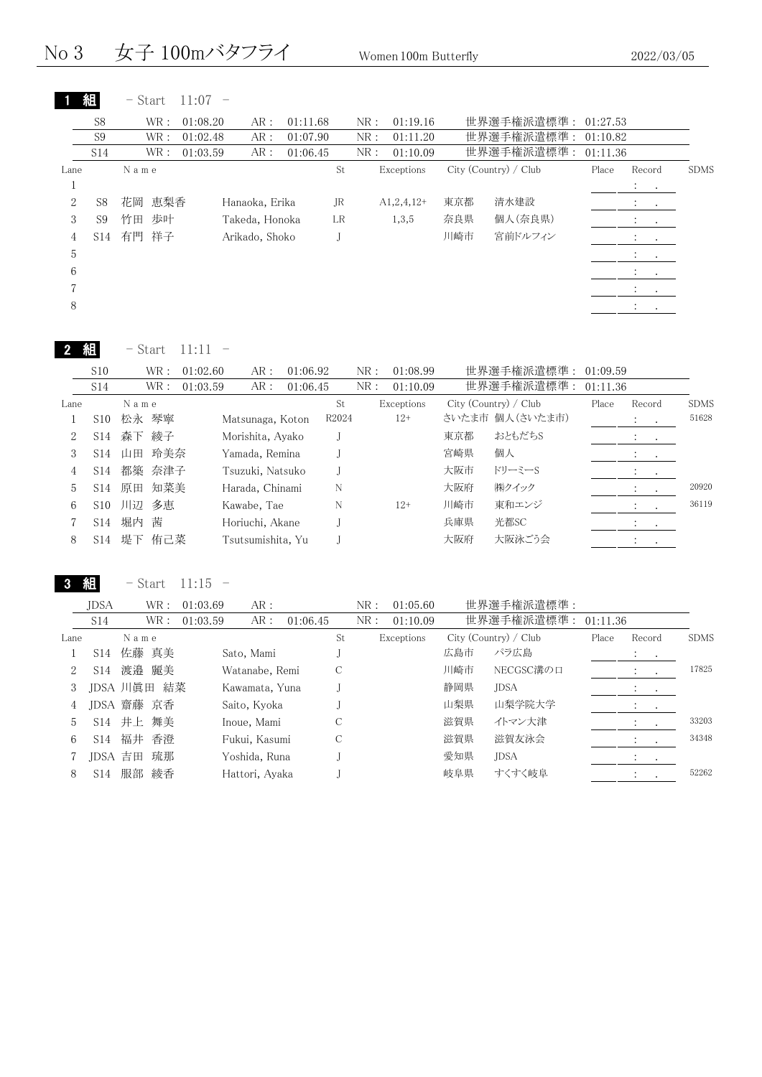No 3 女子 100mバタフライ Women 100m Butterfly 2022/03/05

|  | 組 | $-$ Start 11:07 |  |  |
|--|---|-----------------|--|--|
|--|---|-----------------|--|--|

|                | S <sub>8</sub>  |       | WR:  | 01:08.20 | AR:            | 01:11.68 |    | NR: | 01:19.16     |     | 世界選手権派遣標準:            | 01:27.53 |                                                         |             |
|----------------|-----------------|-------|------|----------|----------------|----------|----|-----|--------------|-----|-----------------------|----------|---------------------------------------------------------|-------------|
|                | S <sub>9</sub>  |       | WR:  | 01:02.48 | AR:            | 01:07.90 |    | NR: | 01:11.20     |     | 世界選手権派遣標準:            | 01:10.82 |                                                         |             |
|                | S <sub>14</sub> |       | WR : | 01:03.59 | AR:            | 01:06.45 |    | NR: | 01:10.09     |     | 世界選手権派遣標準:            | 01:11.36 |                                                         |             |
| Lane           |                 | Name  |      |          |                |          | St |     | Exceptions   |     | City (Country) / Club | Place    | Record                                                  | <b>SDMS</b> |
|                |                 |       |      |          |                |          |    |     |              |     |                       |          | <b>Contract</b>                                         |             |
| $\overline{2}$ | S8              | 花岡    | 恵梨香  |          | Hanaoka, Erika |          | JR |     | $A1,2,4,12+$ | 東京都 | 清水建設                  |          | <b>All States</b>                                       |             |
| 3              | S9              | 竹田    | 歩叶   |          | Takeda, Honoka |          | LR |     | 1,3,5        | 奈良県 | 個人(奈良県)               |          | $\bullet$ . In the $\bullet$                            |             |
| 4              | S14             | 有門 祥子 |      |          | Arikado, Shoko |          |    |     |              | 川崎市 | 宮前ドルフィン               |          | $\mathcal{L}_{\text{max}}$ , $\mathcal{L}_{\text{max}}$ |             |
| 5              |                 |       |      |          |                |          |    |     |              |     |                       |          | $\sim$ $\sim$                                           |             |
| 6              |                 |       |      |          |                |          |    |     |              |     |                       |          | $\bullet$<br>$\cdot$                                    |             |
|                |                 |       |      |          |                |          |    |     |              |     |                       |          |                                                         |             |
| 8              |                 |       |      |          |                |          |    |     |              |     |                       |          |                                                         |             |
|                |                 |       |      |          |                |          |    |     |              |     |                       |          |                                                         |             |

| Start<br>٠ |  |
|------------|--|
|------------|--|

|      | S10             |      | WR :   | 01:02.60 | AR:               | 01:06.92 |       | NR: | 01:08.99   |     | 世界選手権派遣標準: 01:09.59   |       |                                    |             |
|------|-----------------|------|--------|----------|-------------------|----------|-------|-----|------------|-----|-----------------------|-------|------------------------------------|-------------|
|      | S14             |      | WR :   | 01:03.59 | AR:               | 01:06.45 |       | NR: | 01:10.09   |     | 世界選手権派遣標準: 01:11.36   |       |                                    |             |
| Lane |                 | Name |        |          |                   |          | St    |     | Exceptions |     | City (Country) / Club | Place | Record                             | <b>SDMS</b> |
|      | S <sub>10</sub> |      | 松永 琴寧  |          | Matsunaga, Koton  |          | R2024 |     | $12+$      |     | さいたま市 個人(さいたま市)       |       | $\mathcal{L}_{\rm{max}}$ .         | 51628       |
| 2    | S14             |      | 森下 綾子  |          | Morishita, Ayako  |          |       |     |            | 東京都 | おともだちS                |       | $\cdot$<br>$\sim 100$ km s $^{-1}$ |             |
| 3    | S <sub>14</sub> | 山田   | 玲美奈    |          | Yamada, Remina    |          |       |     |            | 宮崎県 | 個人                    |       | $\sim$ $\sim$                      |             |
| 4    | S14             |      | 都築 奈津子 |          | Tsuzuki, Natsuko  |          |       |     |            | 大阪市 | ドリーミーS                |       | $\cdot$<br>$\sim$ $\sim$           |             |
| 5    | S <sub>14</sub> | 原田   | 知菜美    |          | Harada, Chinami   |          | N     |     |            | 大阪府 | ㈱クイック                 |       |                                    | 20920       |
| 6    | S <sub>10</sub> | 川辺   | 多恵     |          | Kawabe, Tae       |          | N     |     | $12+$      | 川崎市 | 東和エンジ                 |       |                                    | 36119       |
|      | S14             | 堀内   | 茜      |          | Horiuchi, Akane   |          |       |     |            | 兵庫県 | 光都SC                  |       | $\cdot$<br>$\sim$ $\sim$           |             |
| 8    | S14             |      | 堤下 侑己菜 |          | Tsutsumishita, Yu |          |       |     |            | 大阪府 | 大阪泳ごう会                |       |                                    |             |
|      |                 |      |        |          |                   |          |       |     |            |     |                       |       |                                    |             |

3 組 - Start 11:15 -

|      | <b>JDSA</b>     | WR :        | 01:03.69 | AR:            |          | NR: | 01:05.60   |     | 世界選手権派遣標準:            |       |                              |             |
|------|-----------------|-------------|----------|----------------|----------|-----|------------|-----|-----------------------|-------|------------------------------|-------------|
|      | S14             | WR :        | 01:03.59 | AR:            | 01:06.45 | NR: | 01:10.09   |     | 世界選手権派遣標準: 01:11.36   |       |                              |             |
| Lane |                 | Name        |          |                |          | St  | Exceptions |     | City (Country) / Club | Place | Record                       | <b>SDMS</b> |
|      | S <sub>14</sub> | 佐藤 真美       |          | Sato, Mami     |          |     |            | 広島市 | パラ広島                  |       | $\sim$ 100 $\sim$ 100 $\sim$ |             |
| 2    | S <sub>14</sub> | 渡邉 麗美       |          | Watanabe, Remi |          |     |            | 川崎市 | NECGSC溝の口             |       | $\bullet$                    | 17825       |
| 3    |                 | JDSA 川眞田 結菜 |          | Kawamata, Yuna |          |     |            | 静岡県 | <b>JDSA</b>           |       | <b>Service</b> State         |             |
| 4    |                 | JDSA 齋藤 京香  |          | Saito, Kyoka   |          |     |            | 山梨県 | 山梨学院大学                |       | $\cdot$<br>$\sim$            |             |
| 5    | S <sub>14</sub> | 井上<br>舞美    |          | Inoue, Mami    |          | С   |            | 滋賀県 | イトマン大津                |       |                              | 33203       |
| 6    | S <sub>14</sub> | 福井 香澄       |          | Fukui, Kasumi  |          |     |            | 滋賀県 | 滋賀友泳会                 |       | $\cdot$<br>$\cdot$ $\cdot$   | 34348       |
|      | JDSA 吉田         | 琉那          |          | Yoshida, Runa  |          |     |            | 愛知県 | JDSA                  |       | $\cdot$<br>$\sim 100$        |             |
| 8    | S <sub>14</sub> | 服部<br>綾香    |          | Hattori, Ayaka |          |     |            | 岐阜県 | すくすく岐阜                |       |                              | 52262       |
|      |                 |             |          |                |          |     |            |     |                       |       |                              |             |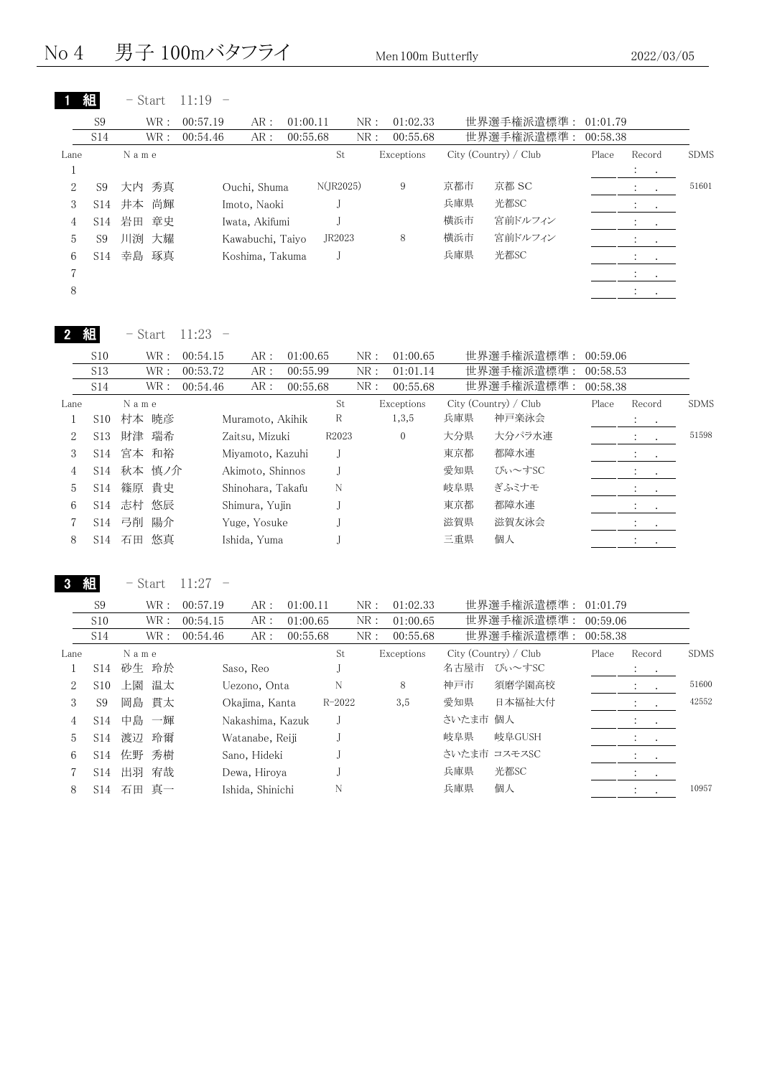## No 4 男子 100mバタフライ Men 100m Butterfly 2022/03/05

|         |                 | - Start   | 11:19    |                  |          |                 |     |            |     |                       |          |                                    |             |
|---------|-----------------|-----------|----------|------------------|----------|-----------------|-----|------------|-----|-----------------------|----------|------------------------------------|-------------|
|         | S9              | WR:       | 00:57.19 | AR:              | 01:00.11 |                 | NR: | 01:02.33   |     | 世界選手権派遣標準:            | 01:01.79 |                                    |             |
|         | S <sub>14</sub> | WR:       | 00:54.46 | AR:              | 00:55.68 |                 | NR: | 00:55.68   |     | 世界選手権派遣標準:            | 00:58.38 |                                    |             |
| Lane    |                 | Name      |          |                  |          | St              |     | Exceptions |     | City (Country) / Club | Place    | Record                             | <b>SDMS</b> |
| $\perp$ |                 |           |          |                  |          |                 |     |            |     |                       |          | $\mathcal{L} = \mathcal{L}$        |             |
| 2       | S <sub>9</sub>  | 大内 秀真     |          | Ouchi, Shuma     |          | $N($ JR2025 $)$ |     | 9          | 京都市 | 京都 SC                 |          | $\mathbb{R}^n \times \mathbb{R}^n$ | 51601       |
| 3       | S14             | 井本 尚輝     |          | Imoto, Naoki     |          |                 |     |            | 兵庫県 | 光都SC                  |          | $\mathcal{L} = \{1,2,3\}$          |             |
| 4       |                 | S14 岩田 章史 |          | Iwata, Akifumi   |          |                 |     |            | 横浜市 | 宮前ドルフィン               |          | All Car                            |             |
| 5       | S <sub>9</sub>  | 川渕<br>大耀  |          | Kawabuchi, Taiyo |          | JR2023          |     | 8          | 横浜市 | 宮前ドルフィン               |          | $\bullet$ . In the $\bullet$       |             |
| 6       | S14             | 琢真<br>幸島  |          | Koshima, Takuma  |          |                 |     |            | 兵庫県 | 光都SC                  |          | $\sim$ 100 $\sim$ 100 $\sim$       |             |
| 7       |                 |           |          |                  |          |                 |     |            |     |                       |          | $\mathcal{L} = \{1,2,3\}$          |             |
| 8       |                 |           |          |                  |          |                 |     |            |     |                       |          | $\mathcal{L}^{\text{max}}$         |             |
|         |                 |           |          |                  |          |                 |     |            |     |                       |          |                                    |             |

| はんじょう おおし ちょうしゃ かんじょう かんじょう おおし かいしゃ かいしゃ かいしゃ かいしゃ かいしゃ かいしゃ<br>2 | $-$ Start 11:23 |  |  |
|--------------------------------------------------------------------|-----------------|--|--|
|--------------------------------------------------------------------|-----------------|--|--|

| S <sub>10</sub> |    |    |                                                                        | AR:    |                                  |                                                                                                                                                   | NR:                              | 01:00.65          |            |        |                                                                 |                                  |                                  |
|-----------------|----|----|------------------------------------------------------------------------|--------|----------------------------------|---------------------------------------------------------------------------------------------------------------------------------------------------|----------------------------------|-------------------|------------|--------|-----------------------------------------------------------------|----------------------------------|----------------------------------|
| S <sub>13</sub> |    |    |                                                                        | AR:    |                                  |                                                                                                                                                   | NR:                              | 01:01.14          |            |        |                                                                 |                                  |                                  |
| S14             |    |    |                                                                        | AR:    |                                  |                                                                                                                                                   | NR:                              | 00:55.68          |            |        |                                                                 |                                  |                                  |
|                 |    |    |                                                                        |        |                                  | St                                                                                                                                                |                                  |                   |            |        | Place                                                           | Record                           | <b>SDMS</b>                      |
| S <sub>10</sub> |    |    |                                                                        |        |                                  | R                                                                                                                                                 |                                  | 1,3,5             | 兵庫県        | 神戸楽泳会  |                                                                 | $\mathcal{L}_{\rm{max}}$         |                                  |
| S13             | 財津 |    |                                                                        |        |                                  |                                                                                                                                                   |                                  | $\overline{0}$    | 大分県        | 大分パラ水連 |                                                                 | $\sim$ 100 $\sim$ 100 $\sim$     | 51598                            |
| S14             |    |    |                                                                        |        |                                  |                                                                                                                                                   |                                  |                   | 東京都        | 都障水連   |                                                                 | $\mathcal{L}_{\text{max}}$ , and |                                  |
| S <sub>14</sub> |    |    |                                                                        |        |                                  |                                                                                                                                                   |                                  |                   | 愛知県        | ぴぃ~すSC |                                                                 | <b>Service Control</b>           |                                  |
| S14             |    |    |                                                                        |        |                                  | N                                                                                                                                                 |                                  |                   | 岐阜県        | ぎふミナモ  |                                                                 |                                  |                                  |
| S <sub>14</sub> |    |    |                                                                        |        |                                  |                                                                                                                                                   |                                  |                   | 東京都        | 都障水連   |                                                                 | $\cdot$<br>$\sim$ 100 $\pm$      |                                  |
| S14             | 弓削 | 陽介 |                                                                        |        |                                  |                                                                                                                                                   |                                  |                   | 滋賀県        | 滋賀友泳会  |                                                                 |                                  |                                  |
| S14             | 石田 | 悠真 |                                                                        |        |                                  |                                                                                                                                                   |                                  |                   | 三重県        | 個人     |                                                                 |                                  |                                  |
|                 |    |    | WR :<br>WR :<br>WR :<br>Name<br>村本 暁彦<br>瑞希<br>宮本 和裕<br>篠原 貴史<br>志村 悠辰 | 秋本 慎ノ介 | 00:54.15<br>00:53.72<br>00:54.46 | Muramoto, Akihik<br>Zaitsu, Mizuki<br>Miyamoto, Kazuhi<br>Akimoto, Shinnos<br>Shinohara, Takafu<br>Shimura, Yujin<br>Yuge, Yosuke<br>Ishida, Yuma | 01:00.65<br>00:55.99<br>00:55.68 | R <sub>2023</sub> | Exceptions |        | 世界選手権派遣標準:<br>世界選手権派遣標準:<br>世界選手権派遣標準:<br>City (Country) / Club |                                  | 00:59.06<br>00:58.53<br>00:58.38 |

3 組 - Start 11:27 -

|      | S <sub>9</sub>  | WR :     | 00:57.19 | AR:              | 01:00.11 |            | NR: | 01:02.33   |          | 世界選手権派遣標準:            | 01:01.79 |                                                             |           |             |
|------|-----------------|----------|----------|------------------|----------|------------|-----|------------|----------|-----------------------|----------|-------------------------------------------------------------|-----------|-------------|
|      | S <sub>10</sub> | WR :     | 00:54.15 | AR:              | 01:00.65 |            | NR: | 01:00.65   |          | 世界選手権派遣標準:            | 00:59.06 |                                                             |           |             |
|      | S14             | WR :     | 00:54.46 | AR:              | 00:55.68 |            | NR: | 00:55.68   |          | 世界選手権派遣標準:            | 00:58.38 |                                                             |           |             |
| Lane |                 | Name     |          |                  |          | St         |     | Exceptions |          | City (Country) / Club | Place    | Record                                                      |           | <b>SDMS</b> |
|      | S14             | 砂生 玲於    |          | Saso, Reo        |          |            |     |            | 名古屋市     | ぴぃ〜すSC                |          | $\cdot$<br>$\sim$ $\sim$                                    |           |             |
| 2    | S <sub>10</sub> | 上園<br>温太 |          | Uezono, Onta     |          | N          |     | 8          | 神戸市      | 須磨学園高校                |          |                                                             | $\bullet$ | 51600       |
| 3    | S9              | 岡島 貫太    |          | Okajima, Kanta   |          | $R - 2022$ |     | 3,5        | 愛知県      | 日本福祉大付                |          |                                                             |           | 42552       |
| 4    | S <sub>14</sub> | 中島 一輝    |          | Nakashima, Kazuk |          |            |     |            | さいたま市 個人 |                       |          | $\mathbf{A}$ and $\mathbf{A}$ and $\mathbf{A}$              |           |             |
| 5    | S14             | 渡辺<br>玲爾 |          | Watanabe, Reiji  |          |            |     |            | 岐阜県      | 岐阜GUSH                |          | $\mathcal{L}_{\text{max}}$ , and $\mathcal{L}_{\text{max}}$ |           |             |
| 6    | S <sub>14</sub> | 佐野<br>秀樹 |          | Sano, Hideki     |          |            |     |            |          | さいたま市 コスモスSC          |          | $\sim$ $\sim$                                               |           |             |
|      | S <sub>14</sub> | 出羽<br>宥哉 |          | Dewa, Hirova     |          |            |     |            | 兵庫県      | 光都SC                  |          | $\cdot$<br>$\sim$ $\sim$                                    |           |             |
| 8    | S14             | 真一<br>石田 |          | Ishida, Shinichi |          | N          |     |            | 兵庫県      | 個人                    |          | $\ddot{\phantom{0}}$<br>$\sim$                              |           | 10957       |
|      |                 |          |          |                  |          |            |     |            |          |                       |          |                                                             |           |             |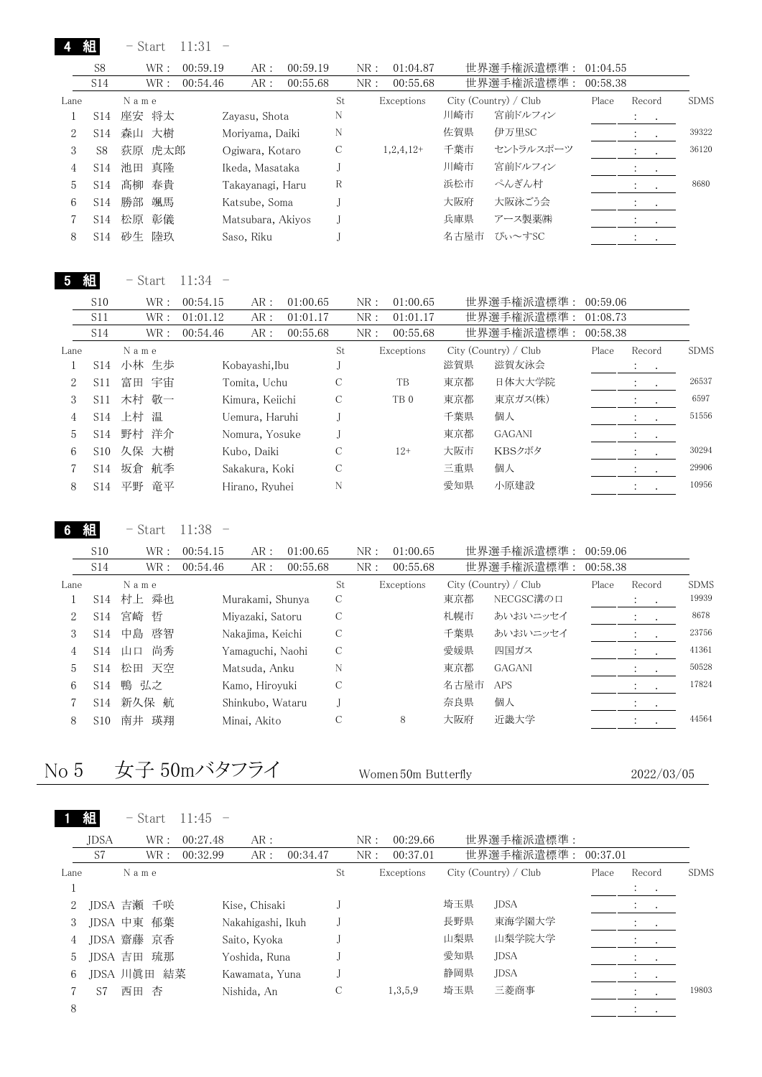|      | 組               | - Start  | 11:31    |                   |          |    |      |             |      |                       |          |                      |                      |             |
|------|-----------------|----------|----------|-------------------|----------|----|------|-------------|------|-----------------------|----------|----------------------|----------------------|-------------|
|      | S <sub>8</sub>  | WR:      | 00:59.19 | AR:               | 00:59.19 |    | NR : | 01:04.87    |      | 世界選手権派遣標準:            | 01:04.55 |                      |                      |             |
|      | S14             | WR:      | 00:54.46 | AR:               | 00:55.68 |    | NR:  | 00:55.68    |      | 世界選手権派遣標準:            | 00:58.38 |                      |                      |             |
| Lane |                 | Name     |          |                   |          | St |      | Exceptions  |      | City (Country) / Club | Place    | Record               |                      | <b>SDMS</b> |
|      | S14             | 座安 将太    |          | Zayasu, Shota     |          | N  |      |             | 川崎市  | 宮前ドルフィン               |          | $\ddot{\phantom{0}}$ | $\sim$ 100 $\pm$     |             |
|      | S <sub>14</sub> | 森山 大樹    |          | Moriyama, Daiki   |          | N  |      |             | 佐賀県  | 伊万里SC                 |          | $\cdot$              | $\bullet$            | 39322       |
| 3    | S8              | 荻原 虎太郎   |          | Ogiwara, Kotaro   |          | C  |      | $1,2,4,12+$ | 千葉市  | セントラルスポーツ             |          | $\ddot{\cdot}$       | $\sim$               | 36120       |
| 4    | S <sub>14</sub> | 池田       | 真降       | Ikeda, Masataka   |          |    |      |             | 川崎市  | 宮前ドルフィン               |          | $\ddot{\phantom{0}}$ | $\sim$ 100 $\pm$     |             |
| 5.   | S <sub>14</sub> | 髙柳       | 春貴       | Takayanagi, Haru  |          | R  |      |             | 浜松市  | ぺんぎん村                 |          | $\ddot{\cdot}$       | $\ddot{\phantom{1}}$ | 8680        |
| 6    | S14             | 勝部<br>颯馬 |          | Katsube, Soma     |          |    |      |             | 大阪府  | 大阪泳ごう会                |          | $\cdot$              | $\cdot$              |             |
|      | S14             | 彰儀<br>松原 |          | Matsubara, Akiyos |          |    |      |             | 兵庫県  | アース製薬㈱                |          | $\cdot$              | $\sim$               |             |
| 8    | S14             | 砂生       | 陸玖       | Saso, Riku        |          |    |      |             | 名古屋市 | ぴぃ~すSC                |          |                      |                      |             |

5 組 - Start 11:34 -

|      | S10             | WR :     | 00:54.15 | AR:             | 01:00.65 |    | NR: | 01:00.65        |     | 世界選手権派遣標準:            | 00:59.06 |                                                               |             |
|------|-----------------|----------|----------|-----------------|----------|----|-----|-----------------|-----|-----------------------|----------|---------------------------------------------------------------|-------------|
|      | S11             | WR :     | 01:01.12 | AR:             | 01:01.17 |    | NR: | 01:01.17        |     | 世界選手権派遣標準:            | 01:08.73 |                                                               |             |
|      | S14             | WR :     | 00:54.46 | AR:             | 00:55.68 |    | NR: | 00:55.68        |     | 世界選手権派遣標準:            | 00:58.38 |                                                               |             |
| Lane |                 | Name     |          |                 |          | St |     | Exceptions      |     | City (Country) / Club | Place    | Record                                                        | <b>SDMS</b> |
|      | S <sub>14</sub> | 小林 生歩    |          | Kobayashi,Ibu   |          |    |     |                 | 滋賀県 | 滋賀友泳会                 |          | $\mathcal{A}^{\mathcal{A}}$ , and $\mathcal{A}^{\mathcal{A}}$ |             |
| 2    | S <sub>11</sub> | 富田 宇宙    |          | Tomita, Uchu    |          | С  |     | TB              | 東京都 | 日体大大学院                |          | $\cdot$<br>$\cdot$                                            | 26537       |
| 3    | S <sub>11</sub> | 木村 敬一    |          | Kimura, Keiichi |          |    |     | TB <sub>0</sub> | 東京都 | 東京ガス(株)               |          |                                                               | 6597        |
| 4    | S <sub>14</sub> | 上村 温     |          | Uemura, Haruhi  |          |    |     |                 | 千葉県 | 個人                    |          |                                                               | 51556       |
| 5.   | S <sub>14</sub> | 野村 洋介    |          | Nomura, Yosuke  |          |    |     |                 | 東京都 | <b>GAGANI</b>         |          | $\sim$ $\sim$                                                 |             |
| 6    | S <sub>10</sub> | 久保 大樹    |          | Kubo, Daiki     |          | С  |     | $12+$           | 大阪市 | KBSクボタ                |          | $\mathcal{L}$                                                 | 30294       |
|      | S <sub>14</sub> | 坂倉<br>航季 |          | Sakakura, Koki  |          | С  |     |                 | 三重県 | 個人                    |          |                                                               | 29906       |
| 8    | S <sub>14</sub> | 竜平<br>平野 |          | Hirano, Ryuhei  |          | N  |     |                 | 愛知県 | 小原建設                  |          | $\cdot$                                                       | 10956       |
|      |                 |          |          |                 |          |    |     |                 |     |                       |          |                                                               |             |

6 組 - Start 11:38 -

|      | S <sub>10</sub> | WR :     | 00:54.15 | AR:              | 01:00.65 |    | NR: | 01:00.65   |      | 世界選手権派遣標準:            | 00:59.06 |                          |           |             |
|------|-----------------|----------|----------|------------------|----------|----|-----|------------|------|-----------------------|----------|--------------------------|-----------|-------------|
|      | S14             | WR :     | 00:54.46 | AR:              | 00:55.68 |    | NR: | 00:55.68   |      | 世界選手権派遣標準:            | 00:58.38 |                          |           |             |
| Lane |                 | Name     |          |                  |          | St |     | Exceptions |      | City (Country) / Club | Place    | Record                   |           | <b>SDMS</b> |
|      | S <sub>14</sub> | 村上 舜也    |          | Murakami, Shunya |          | С  |     |            | 東京都  | NECGSC溝の口             |          | $\ddot{\cdot}$<br>$\sim$ |           | 19939       |
| 2    | S <sub>14</sub> | 宮崎<br>哲  |          | Miyazaki, Satoru |          | С  |     |            | 札幌市  | あいおいニッセイ              |          |                          |           | 8678        |
| 3    | S14             | 啓智<br>中島 |          | Nakajima, Keichi |          |    |     |            | 千葉県  | あいおいニッセイ              |          |                          | $\cdot$   | 23756       |
| 4    | S14             | 尚秀<br>山口 |          | Yamaguchi, Naohi |          |    |     |            | 愛媛県  | 四国ガス                  |          |                          |           | 41361       |
| 5    | S <sub>14</sub> | 天空<br>松田 |          | Matsuda, Anku    |          | N  |     |            | 東京都  | <b>GAGANI</b>         |          |                          |           | 50528       |
| 6    | S14             | 鴨 弘之     |          | Kamo, Hiroyuki   |          | С  |     |            | 名古屋市 | <b>APS</b>            |          |                          |           | 17824       |
|      | S <sub>14</sub> | 新久保 航    |          | Shinkubo, Wataru |          |    |     |            | 奈良県  | 個人                    |          | $\cdot$                  | $\bullet$ |             |
| 8    | S10             | 瑛翔<br>南井 |          | Minai, Akito     |          | С  |     | 8          | 大阪府  | 近畿大学                  |          |                          |           | 44564       |
|      |                 |          |          |                  |          |    |     |            |      |                       |          |                          |           |             |

# No 5 女子 50mバタフライ Women 50m Butterfly 2022/03/05

|      |         | $-$ Start   |      | $11:45 -$ |                   |          |    |      |            |     |                       |          |                               |                        |             |
|------|---------|-------------|------|-----------|-------------------|----------|----|------|------------|-----|-----------------------|----------|-------------------------------|------------------------|-------------|
|      | JDSA    |             | WR:  | 00:27.48  | AR:               |          |    | NR:  | 00:29.66   |     | 世界選手権派遣標準:            |          |                               |                        |             |
|      | S7      |             | WR : | 00:32.99  | AR:               | 00:34.47 |    | NR : | 00:37.01   |     | 世界選手権派遣標準:            | 00:37.01 |                               |                        |             |
| Lane |         | Name        |      |           |                   |          | St |      | Exceptions |     | City (Country) / Club | Place    | Record                        |                        | <b>SDMS</b> |
|      |         |             |      |           |                   |          |    |      |            |     |                       |          | $\mathcal{L} = \{1,2,3,4,5\}$ |                        |             |
| 2    |         | IDSA 吉瀬 千咲  |      |           | Kise, Chisaki     |          |    |      |            | 埼玉県 | <b>JDSA</b>           |          |                               | $\sim$ $\sim$          |             |
| 3    |         | JDSA 中東 郁葉  |      |           | Nakahigashi, Ikuh |          |    |      |            | 長野県 | 東海学園大学                |          |                               | <b>Service Control</b> |             |
| 4    |         | JDSA 齋藤 京香  |      |           | Saito, Kyoka      |          |    |      |            | 山梨県 | 山梨学院大学                |          | $\sim$ $\sim$                 |                        |             |
| 5    | JDSA 吉田 |             | 琉那   |           | Yoshida, Runa     |          |    |      |            | 愛知県 | <b>JDSA</b>           |          |                               |                        |             |
| 6    |         | JDSA 川眞田 結菜 |      |           | Kawamata, Yuna    |          |    |      |            | 静岡県 | <b>JDSA</b>           |          |                               | $\cdot$ $\cdot$        |             |
|      | S7      | 西田          | 杏    |           | Nishida, An       |          | C  |      | 1,3,5,9    | 埼玉県 | 三菱商事                  |          |                               |                        | 19803       |
| 8    |         |             |      |           |                   |          |    |      |            |     |                       |          | $\cdot$                       | $\bullet$              |             |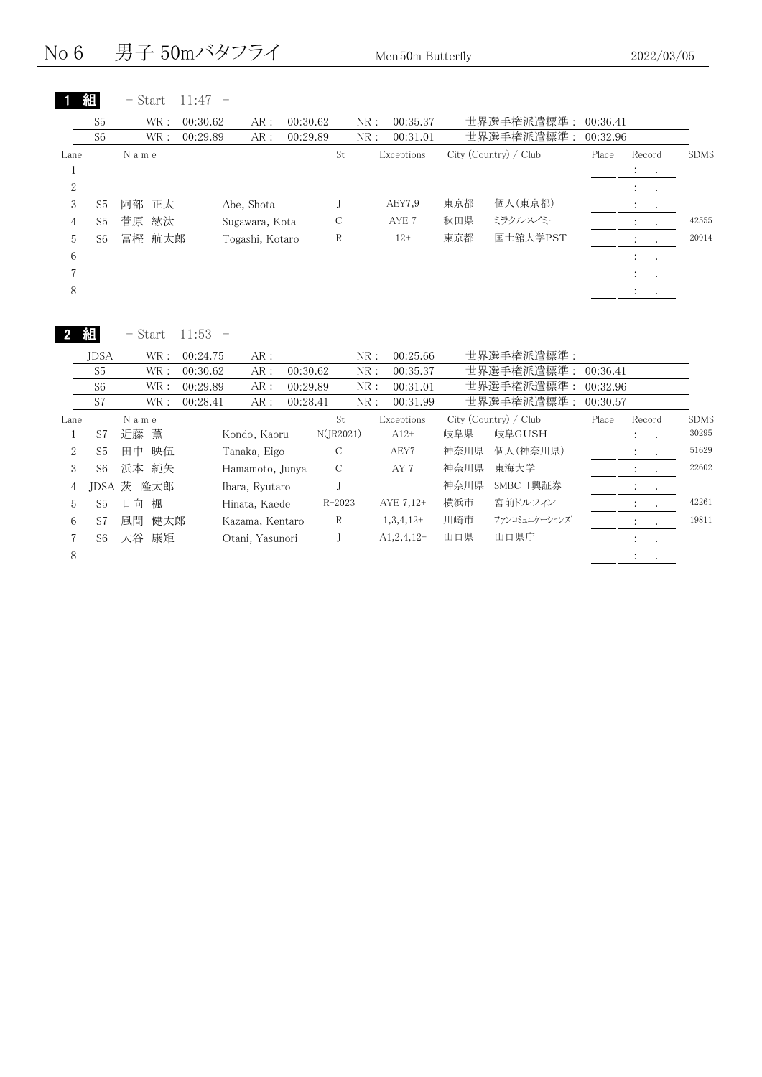No 6 男子 50mバタフライ Men 50m Butterfly 2022/03/05

|                |                | - Start   | 11:47    |                 |          |     |            |     |                       |          |                                |             |
|----------------|----------------|-----------|----------|-----------------|----------|-----|------------|-----|-----------------------|----------|--------------------------------|-------------|
|                | S <sub>5</sub> | WR:       | 00:30.62 | AR:             | 00:30.62 | NR: | 00:35.37   |     | 世界選手権派遣標準:            | 00:36.41 |                                |             |
|                | S <sub>6</sub> | WR:       | 00:29.89 | AR:             | 00:29.89 | NR: | 00:31.01   |     | 世界選手権派遣標準:            | 00:32.96 |                                |             |
| Lane           |                | Name      |          |                 |          | St  | Exceptions |     | City (Country) / Club | Place    | Record                         | <b>SDMS</b> |
|                |                |           |          |                 |          |     |            |     |                       |          | $\mathcal{L}^{\text{max}}$     |             |
| $\overline{2}$ |                |           |          |                 |          |     |            |     |                       |          | $\ddot{\cdot}$                 |             |
| 3              | S5             | 阿部 正太     |          | Abe, Shota      |          |     | AEY7,9     | 東京都 | 個人(東京都)               |          |                                |             |
| 4              | S <sub>5</sub> | 紘汰<br>菅原  |          | Sugawara, Kota  |          | С   | AYE 7      | 秋田県 | ミラクルスイミー              |          |                                | 42555       |
| 5              | S6             | 航太郎<br>冨樫 |          | Togashi, Kotaro |          | R   | $12+$      | 東京都 | 国士舘大学PST              |          | $\ddot{\cdot}$                 | 20914       |
| 6              |                |           |          |                 |          |     |            |     |                       |          | $\ddot{\phantom{0}}$<br>$\sim$ |             |
|                |                |           |          |                 |          |     |            |     |                       |          | $\cdot$<br>$\cdot$             |             |
| 8              |                |           |          |                 |          |     |            |     |                       |          | $\cdot$<br>$\cdot$             |             |

| 組<br>11:53<br>Start<br>$-$ |  |
|----------------------------|--|
|----------------------------|--|

|      | <b>JDSA</b>    |      | WR:        | 00:24.75 | AR:             |          |               | NR: | 00:25.66     |      | 世界選手権派遣標準:            |          |                                            |             |
|------|----------------|------|------------|----------|-----------------|----------|---------------|-----|--------------|------|-----------------------|----------|--------------------------------------------|-------------|
|      | S <sub>5</sub> |      | WR:        | 00:30.62 | AR:             | 00:30.62 |               | NR: | 00:35.37     |      | 世界選手権派遣標準:            | 00:36.41 |                                            |             |
|      | S <sub>6</sub> |      | WR :       | 00:29.89 | AR:             | 00:29.89 |               | NR: | 00:31.01     |      | 世界選手権派遣標準:            | 00:32.96 |                                            |             |
|      | S7             |      | WR:        | 00:28.41 | AR:             | 00:28.41 |               | NR: | 00:31.99     |      | 世界選手権派遣標準:            | 00:30.57 |                                            |             |
| Lane |                | Name |            |          |                 |          | St            |     | Exceptions   |      | City (Country) / Club | Place    | Record                                     | <b>SDMS</b> |
|      | S7             | 近藤 薫 |            |          | Kondo, Kaoru    |          | $N($ JR2021)  |     | $A12+$       | 岐阜県  | 岐阜GUSH                |          | $\ddot{\cdot}$<br>$\sim$ $\sim$            | 30295       |
| 2    | S <sub>5</sub> | 田中   | 映伍         |          | Tanaka, Eigo    |          | $\mathcal{C}$ |     | AEY7         | 神奈川県 | 個人(神奈川県)              |          | $\ddot{\cdot}$<br>$\sim$                   | 51629       |
| 3    | S <sub>6</sub> |      | 浜本 純矢      |          | Hamamoto, Junya |          | C             |     | AY 7         | 神奈川県 | 東海大学                  |          | $2.1 - 1.1$                                | 22602       |
| 4    |                |      | JDSA 茨 隆太郎 |          | Ibara, Ryutaro  |          |               |     |              | 神奈川県 | SMBC日興証券              |          | $\mathbb{Z}^{\mathbb{Z}}$<br>$\sim$ $\sim$ |             |
| 5    | S5             | 日向   | 楓          |          | Hinata, Kaede   |          | $R - 2023$    |     | AYE 7.12+    | 横浜市  | 宮前ドルフィン               |          | $1 - 1$                                    | 42261       |
| 6    | S7             | 風間   | 健太郎        |          | Kazama, Kentaro |          | R             |     | $1,3,4,12+$  | 川崎市  | ファンコミュニケーションズ         |          | $\sim$ $\sim$<br>$\sim$                    | 19811       |
|      | S <sub>6</sub> | 大谷   | 康矩         |          | Otani, Yasunori |          |               |     | $A1,2,4,12+$ | 山口県  | 山口県庁                  |          | $\bullet$<br>$\sim$                        |             |
| 8    |                |      |            |          |                 |          |               |     |              |      |                       |          | $\bullet$<br>$\sim$                        |             |
|      |                |      |            |          |                 |          |               |     |              |      |                       |          |                                            |             |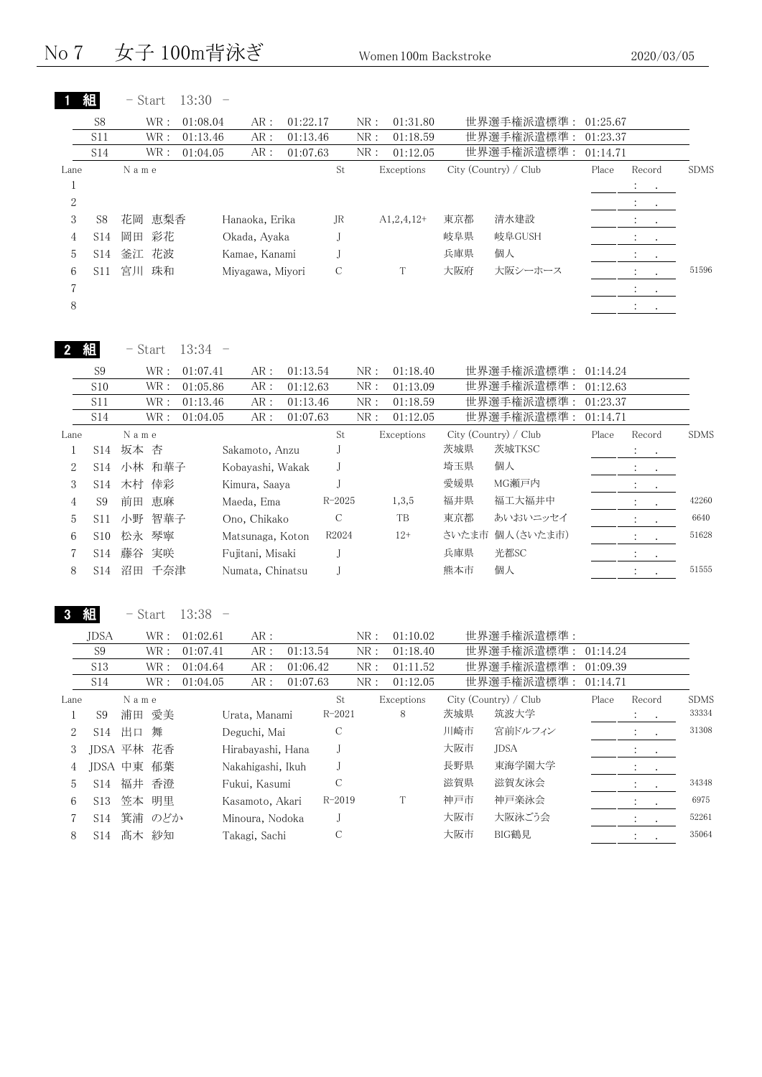No 7 女子 100m背泳ぎ Women 100m Backstroke 2020/03/05

|                | 組               | - Start  | $13:30 -$ |                  |          |    |     |              |     |                       |          |                                                     |             |
|----------------|-----------------|----------|-----------|------------------|----------|----|-----|--------------|-----|-----------------------|----------|-----------------------------------------------------|-------------|
|                | S8              | WR:      | 01:08.04  | AR:              | 01:22.17 |    | NR: | 01:31.80     |     | 世界選手権派遣標準: 01:25.67   |          |                                                     |             |
|                | S <sub>11</sub> | WR :     | 01:13.46  | AR:              | 01:13.46 |    | NR: | 01:18.59     |     | 世界選手権派遣標準 :           | 01:23.37 |                                                     |             |
|                | S <sub>14</sub> | WR:      | 01:04.05  | AR:              | 01:07.63 |    | NR: | 01:12.05     |     | 世界選手権派遣標準:            | 01:14.71 |                                                     |             |
| Lane           |                 | Name     |           |                  |          | St |     | Exceptions   |     | City (Country) / Club | Place    | Record                                              | <b>SDMS</b> |
| T              |                 |          |           |                  |          |    |     |              |     |                       |          | $\mathcal{L}_{\rm{max}}$ , $\mathcal{L}_{\rm{max}}$ |             |
| $\overline{2}$ |                 |          |           |                  |          |    |     |              |     |                       |          | $\sim$ 100 $\sim$ 100 $\sim$                        |             |
| 3              | S <sub>8</sub>  | 花岡 恵梨香   |           | Hanaoka, Erika   |          | JR |     | $A1,2,4,12+$ | 東京都 | 清水建設                  |          | $\bullet$<br>$\sim$ $\sim$                          |             |
| 4              | S14             | 彩花<br>岡田 |           | Okada, Ayaka     |          |    |     |              | 岐阜県 | 岐阜GUSH                |          | $\ddot{\phantom{0}}$<br>$\sim$                      |             |
| 5              | S14             | 釜江 花波    |           | Kamae, Kanami    |          |    |     |              | 兵庫県 | 個人                    |          | $\mathcal{L}^{\text{max}}$                          |             |
| 6              | S11             | 宮川<br>珠和 |           | Miyagawa, Miyori |          | C  |     | Т            | 大阪府 | 大阪シーホース               |          | $\sim$                                              | 51596       |
| 7              |                 |          |           |                  |          |    |     |              |     |                       |          | $\ddot{\phantom{1}}$<br>$\bullet$                   |             |
| 8              |                 |          |           |                  |          |    |     |              |     |                       |          | $\ddot{\phantom{0}}$<br>$\cdot$                     |             |
|                |                 |          |           |                  |          |    |     |              |     |                       |          |                                                     |             |

| 組<br>ŋ<br>∠ | Start | 13:34 |  |
|-------------|-------|-------|--|
|-------------|-------|-------|--|

|      | S <sub>9</sub>  |      | WR :       | 01:07.41 | AR:              | 01:13.54 |               | NR: | 01:18.40   |     | 世界選手権派遣標準:            | 01:14.24 |                                                |             |
|------|-----------------|------|------------|----------|------------------|----------|---------------|-----|------------|-----|-----------------------|----------|------------------------------------------------|-------------|
|      | S <sub>10</sub> |      | WR :       | 01:05.86 | AR:              | 01:12.63 |               | NR: | 01:13.09   |     | 世界選手権派遣標準:            | 01:12.63 |                                                |             |
|      | S11             |      | WR:        | 01:13.46 | AR:              | 01:13.46 |               | NR: | 01:18.59   |     | 世界選手権派遣標準:            | 01:23.37 |                                                |             |
|      | S <sub>14</sub> |      | WR :       | 01:04.05 | AR:              | 01:07.63 |               | NR: | 01:12.05   |     | 世界選手権派遣標準:            | 01:14.71 |                                                |             |
| Lane |                 | Name |            |          |                  |          | St            |     | Exceptions |     | City (Country) / Club | Place    | Record                                         | <b>SDMS</b> |
|      | S14             | 坂本 杏 |            |          | Sakamoto, Anzu   |          |               |     |            | 茨城県 | 茨城TKSC                |          | $\mathcal{L} = \mathcal{L}$                    |             |
| 2    |                 |      | S14 小林 和華子 |          | Kobayashi, Wakak |          |               |     |            | 埼玉県 | 個人                    |          | $\mathbf{A}$ and $\mathbf{A}$ and $\mathbf{A}$ |             |
| 3    | S14             |      | 木村 倖彩      |          | Kimura, Saaya    |          |               |     |            | 愛媛県 | MG瀬戸内                 |          | $\cdot$<br>$\sim$                              |             |
| 4    | S9              | 前田   | 恵麻         |          | Maeda, Ema       |          | $R - 2025$    |     | 1,3,5      | 福井県 | 福工大福井中                |          | $\sim$<br>$\ddot{\phantom{0}}$                 | 42260       |
| 5    | S11             | 小野   | 智華子        |          | Ono, Chikako     |          | $\mathcal{C}$ |     | TB         | 東京都 | あいおいニッセイ              |          | $\sim$<br>$\cdot$                              | 6640        |
| 6    | S <sub>10</sub> | 松永   | 琴寧         |          | Matsunaga, Koton |          | R2024         |     | $12+$      |     | さいたま市 個人(さいたま市)       |          | $\sim$<br>$\cdot$                              | 51628       |
|      | S14             | 藤谷   | 実咲         |          | Fujitani, Misaki |          |               |     |            | 兵庫県 | 光都SC                  |          | $\ddot{\phantom{0}}$<br>$\sim$ 100 $\pm$       |             |
| 8    | S14             | 沼田   | 千奈津        |          | Numata, Chinatsu |          |               |     |            | 熊本市 | 個人                    |          | $\bullet$                                      | 51555       |
|      |                 |      |            |          |                  |          |               |     |            |     |                       |          |                                                |             |

3 組

- Start 13:38 -

|      | <b>IDSA</b>     |         | WR :       | 01:02.61 | AR:               |          |               | NR: | 01:10.02   |     | 世界選手権派遣標準:            |          |                             |             |
|------|-----------------|---------|------------|----------|-------------------|----------|---------------|-----|------------|-----|-----------------------|----------|-----------------------------|-------------|
|      | S9              |         | WR :       | 01:07.41 | AR:               | 01:13.54 |               | NR: | 01:18.40   |     | 世界選手権派遣標準: 01:14.24   |          |                             |             |
|      | S <sub>13</sub> |         | WR :       | 01:04.64 | AR:               | 01:06.42 |               | NR: | 01:11.52   |     | 世界選手権派遣標準:            | 01:09.39 |                             |             |
|      | S14             |         | WR :       | 01:04.05 | AR:               | 01:07.63 |               | NR: | 01:12.05   |     | 世界選手権派遣標準:            | 01:14.71 |                             |             |
| Lane |                 | Name    |            |          |                   |          | St            |     | Exceptions |     | City (Country) / Club | Place    | Record                      | <b>SDMS</b> |
|      | S <sub>9</sub>  |         | 浦田 愛美      |          | Urata, Manami     |          | $R - 2021$    |     | 8          | 茨城県 | 筑波大学                  |          | $\mathcal{L} = \{1,2,3\}$   | 33334       |
| 2    | S14             | 出口      | 舞          |          | Deguchi, Mai      |          | $\mathcal{C}$ |     |            | 川崎市 | 宮前ドルフィン               |          | $\mathcal{I}=\mathcal{I}$ . | 31308       |
| 3    |                 |         | IDSA 平林 花香 |          | Hirabavashi, Hana |          |               |     |            | 大阪市 | <b>JDSA</b>           |          | $\mathcal{L}=\mathcal{L}$ . |             |
| 4    |                 | JDSA 中東 | 郁葉         |          | Nakahigashi, Ikuh |          |               |     |            | 長野県 | 東海学園大学                |          | $\mathcal{L}^{\text{max}}$  |             |
| 5    | S14             | 福井      | 香澄         |          | Fukui, Kasumi     |          | C             |     |            | 滋賀県 | 滋賀友泳会                 |          |                             | 34348       |
| 6    | S13             | 笠本      | 明里         |          | Kasamoto, Akari   |          | $R - 2019$    |     |            | 神戸市 | 神戸楽泳会                 |          | $\ddot{\phantom{a}}$        | 6975        |
|      | S14             | 箕浦      | のどか        |          | Minoura, Nodoka   |          |               |     |            | 大阪市 | 大阪泳ごう会                |          |                             | 52261       |
| 8    | S14             |         | 髙木 紗知      |          | Takagi, Sachi     |          |               |     |            | 大阪市 | BIG鶴見                 |          |                             | 35064       |
|      |                 |         |            |          |                   |          |               |     |            |     |                       |          |                             |             |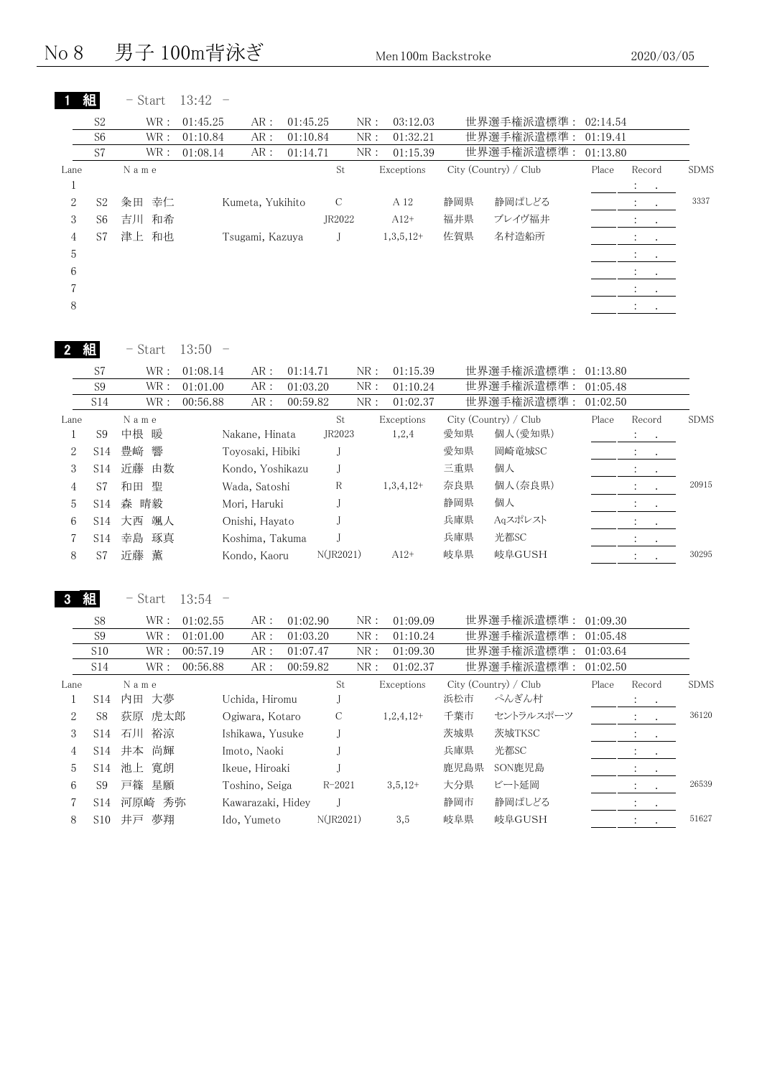No 8 男子 100m背泳ぎ Men 100m Backstroke 2020/03/05

- Start 13:42 -

1 組

S2 WR: 01:45.25 AR: 01:45.25 NR: 03:12.03 世界選手権派遣標準: 02:14.54

|                  | S <sub>6</sub>  | WR :                  | 01:10.84                          | AR:              | 01:10.84 |                              | NR:          | 01:32.21    |      | 世界選手権派遣標準:            | 01:19.41 |                                                   |             |
|------------------|-----------------|-----------------------|-----------------------------------|------------------|----------|------------------------------|--------------|-------------|------|-----------------------|----------|---------------------------------------------------|-------------|
|                  | S7              | WR :                  | 01:08.14                          | AR:              | 01:14.71 |                              | NR:          | 01:15.39    |      | 世界選手権派遣標準:            | 01:13.80 |                                                   |             |
| Lane<br>$1\,$    |                 | N a m e               |                                   |                  |          | St                           |              | Exceptions  |      | City (Country) / Club | Place    | Record<br>$\ddot{\cdot}$                          | <b>SDMS</b> |
| $\overline{2}$   | S <sub>2</sub>  | 幸仁<br>粂田              |                                   | Kumeta, Yukihito |          | $\mathbf C$                  |              | A 12        | 静岡県  | 静岡ぱしどる                |          | $\ddot{\cdot}$                                    | 3337        |
| 3                | S <sub>6</sub>  | 吉川 和希                 |                                   |                  |          | JR2022                       |              | $A12+$      | 福井県  | ブレイヴ福井                |          |                                                   |             |
|                  | S7              | 津上 和也                 |                                   | Tsugami, Kazuya  |          | J                            |              | $1,3,5,12+$ | 佐賀県  | 名村造船所                 |          | $\ddot{\cdot}$<br>$\cdot$                         |             |
| $\overline{4}$   |                 |                       |                                   |                  |          |                              |              |             |      |                       |          | $\ddot{\cdot}$<br>$\ddot{\phantom{a}}$            |             |
| 5                |                 |                       |                                   |                  |          |                              |              |             |      |                       |          | $\ddot{\cdot}$<br>$\ddot{\phantom{0}}$            |             |
| 6                |                 |                       |                                   |                  |          |                              |              |             |      |                       |          | $\ddot{\ddot{\phantom{z}}}$<br>$\bullet$          |             |
| 7                |                 |                       |                                   |                  |          |                              |              |             |      |                       |          | $\ddot{\cdot}$<br>$\cdot$                         |             |
| 8                |                 |                       |                                   |                  |          |                              |              |             |      |                       |          | $\ddot{\cdot}$<br>$\mathbf{r}$                    |             |
|                  | 組               | $-$ Start             | 13:50<br>$\overline{\phantom{0}}$ |                  |          |                              |              |             |      |                       |          |                                                   |             |
|                  | S7              | $\operatorname{WR}$ : | 01:08.14                          | AR:              | 01:14.71 |                              | NR:          | 01:15.39    |      | 世界選手権派遣標準:            | 01:13.80 |                                                   |             |
|                  | S <sub>9</sub>  | $\operatorname{WR}$ : | 01:01.00                          | AR:              | 01:03.20 |                              | NR:          | 01:10.24    |      | 世界選手権派遣標準:            | 01:05.48 |                                                   |             |
|                  | S14             | WR :                  | 00:56.88                          | AR:              | 00:59.82 |                              | ${\rm NR}$ : | 01:02.37    |      | 世界選手権派遣標準:            | 01:02.50 |                                                   |             |
| Lane             |                 | N a m e               |                                   |                  |          | $\operatorname{\mathsf{St}}$ |              | Exceptions  |      | City (Country) / Club | Place    | Record                                            | <b>SDMS</b> |
| $\,1$            | S <sub>9</sub>  | 中根<br>暖               |                                   | Nakane, Hinata   |          | JR2023                       |              | 1,2,4       | 愛知県  | 個人(愛知県)               |          | $\ddot{\ddot{}}$ .<br>$\bullet$                   |             |
| $\overline{2}$   | S14             | 響<br>豊崎               |                                   | Toyosaki, Hibiki |          | J                            |              |             | 愛知県  | 岡崎竜城SC                |          | $\ddot{\cdot}$<br>$\bullet$                       |             |
| 3                | S14             | 近藤<br>由数              |                                   | Kondo, Yoshikazu |          | $_{\rm J}$                   |              |             | 三重県  | 個人                    |          | $\ddot{\ddot{}}$                                  |             |
| $\overline{4}$   | S7              | 和田 聖                  |                                   | Wada, Satoshi    |          | $\, {\mathbb R}$             |              | $1,3,4,12+$ | 奈良県  | 個人(奈良県)               |          | $\ddot{\cdot}$<br>$\cdot$                         | 20915       |
| 5                | S14             | 森 晴毅                  |                                   | Mori, Haruki     |          | $_{\rm J}$                   |              |             | 静岡県  | 個人                    |          | $\ddot{\cdot}$<br>$\bullet$                       |             |
| 6                | S14             | 大西 颯人                 |                                   | Onishi, Hayato   |          | J                            |              |             | 兵庫県  | Aqスポレスト               |          | $\ddot{\ddot{\phantom{}}\phantom{}}$              |             |
| 7                | S14             | 幸島<br>琢真              |                                   | Koshima, Takuma  |          | J                            |              |             | 兵庫県  | 光都SC                  |          | $\ddot{\cdot}$                                    |             |
| 8                | S7              | 薫<br>近藤               |                                   | Kondo, Kaoru     |          | N(JR2021)                    |              | $A12+$      | 岐阜県  | 岐阜GUSH                |          | $\ddot{\cdot}$                                    | 30295       |
|                  |                 |                       |                                   |                  |          |                              |              |             |      |                       |          |                                                   |             |
|                  | 組               | - Start               | 13:54<br>$\overline{\phantom{0}}$ |                  |          |                              |              |             |      |                       |          |                                                   |             |
|                  | S8              | WR :                  | 01:02.55                          | AR:              | 01:02.90 |                              | NR:          | 01:09.09    |      | 世界選手権派遣標準 :           | 01:09.30 |                                                   |             |
|                  | S <sub>9</sub>  | $\operatorname{WR}$ : | 01:01.00                          | ${\sf AR}$ :     | 01:03.20 |                              | ${\rm NR}$ : | 01:10.24    |      | 世界選手権派遣標準:            | 01:05.48 |                                                   |             |
|                  | S10             | $\operatorname{WR}$ : | 00:57.19                          | AR:              | 01:07.47 |                              | ${\rm NR}$ : | 01:09.30    |      | 世界選手権派遣標準:            | 01:03.64 |                                                   |             |
|                  | <b>S14</b>      | WR :                  | 00:56.88                          | AR :             | 00:59.82 |                              | NR:          | 01:02.37    |      | 世界選手権派遣標準:            | 01:02.50 |                                                   |             |
| Lane             |                 | N a m e               |                                   |                  |          | $\operatorname{\mathsf{St}}$ |              | Exceptions  |      | City (Country) / Club | Place    | Record                                            | <b>SDMS</b> |
| $\mathbf{1}$     | S14             | 内田 大夢                 |                                   | Uchida, Hiromu   |          | $_{\rm J}$                   |              |             | 浜松市  | ぺんぎん村                 |          | $\ddot{\cdot}$                                    |             |
| $\boldsymbol{2}$ | S8              | 荻原 虎太郎                |                                   | Ogiwara, Kotaro  |          | С                            |              | $1,2,4,12+$ | 千葉市  | セントラルスポーツ             |          | $\ddot{\cdot}$                                    | 36120       |
| 3                | S <sub>14</sub> | 石川 裕涼                 |                                   | Ishikawa, Yusuke |          | J                            |              |             | 茨城県  | 茨城TKSC                |          | $\ddot{\ddot{\phantom{}}\phantom{}}$<br>$\bullet$ |             |
| $\overline{4}$   | S14             | 井本 尚輝                 |                                   | Imoto, Naoki     |          | J                            |              |             | 兵庫県  | 光都SC                  |          | $\ddot{\cdot}$<br>$\bullet$                       |             |
| 5                | S14             | 池上 寛朗                 |                                   | Ikeue, Hiroaki   |          | J                            |              |             | 鹿児島県 | SON鹿児島                |          | $\ddot{\cdot}$<br>$\cdot$                         |             |
| 6                | S <sub>9</sub>  | 戸篠<br>星願              |                                   | Toshino, Seiga   |          | $R - 2021$                   |              | $3,5,12+$   | 大分県  | ビート延岡                 |          |                                                   | 26539       |

7 S14 河原崎 秀弥 Kawarazaki, Hidey J 静岡市 静岡ぱしどる :

8 S10 井戸 夢翔 Ido, Yumeto N(JR2021) 3,5 岐阜県 岐阜GUSH : . 51627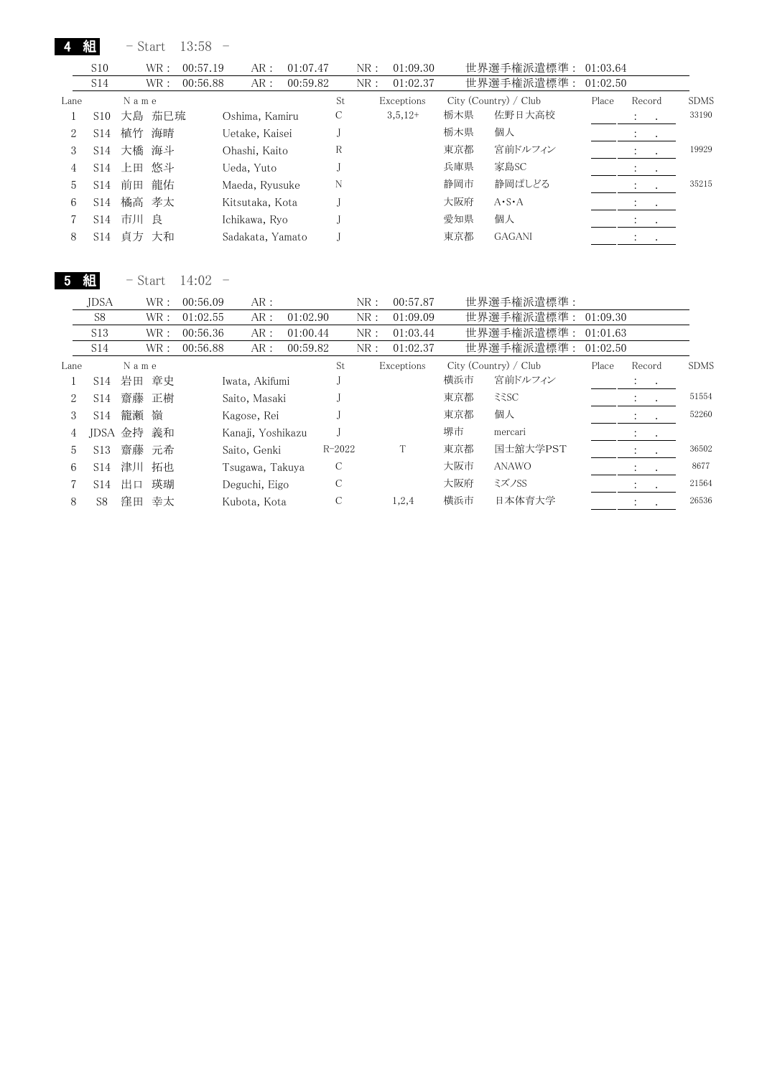|      | 組               | $-$ Start |      | $13:58 -$ |                  |          |    |      |            |     |                       |       |                                    |             |
|------|-----------------|-----------|------|-----------|------------------|----------|----|------|------------|-----|-----------------------|-------|------------------------------------|-------------|
|      | S <sub>10</sub> |           | WR:  | 00:57.19  | AR:              | 01:07.47 |    | NR : | 01:09.30   |     | 世界選手権派遣標準: 01:03.64   |       |                                    |             |
|      | S14             |           | WR : | 00:56.88  | AR:              | 00:59.82 |    | NR:  | 01:02.37   |     | 世界選手権派遣標準: 01:02.50   |       |                                    |             |
| Lane |                 | Name      |      |           |                  |          | St |      | Exceptions |     | City (Country) / Club | Place | Record                             | <b>SDMS</b> |
|      | S10             | 大島 茄巳琉    |      |           | Oshima, Kamiru   |          | С  |      | $3,5,12+$  | 栃木県 | 佐野日大高校                |       | $\ddot{\cdot}$<br>$\cdot$          | 33190       |
| 2    | S14             | 植竹 海晴     |      |           | Uetake, Kaisei   |          |    |      |            | 栃木県 | 個人                    |       |                                    |             |
| 3    | S14             | 大橋 海斗     |      |           | Ohashi, Kaito    |          | R  |      |            | 東京都 | 宮前ドルフィン               |       |                                    | 19929       |
| 4    | S14             | 上田 悠斗     |      |           | Ueda, Yuto       |          |    |      |            | 兵庫県 | 家島SC                  |       | $\cdot$                            |             |
| 5    | S14             | 前田        | 龍佑   |           | Maeda, Ryusuke   |          | N  |      |            | 静岡市 | 静岡ぱしどる                |       | $\mathbb{R}^n \times \mathbb{R}^n$ | 35215       |
| 6    | S14             | 橘高 孝太     |      |           | Kitsutaka, Kota  |          |    |      |            | 大阪府 | $A \cdot S \cdot A$   |       | $\cdot$<br>$\sim$ 100 $\pm$        |             |
|      | S14             | 市川 良      |      |           | Ichikawa, Ryo    |          |    |      |            | 愛知県 | 個人                    |       | $\bullet$<br>$\cdot$               |             |
| 8    | S14             | 貞方 大和     |      |           | Sadakata, Yamato |          |    |      |            | 東京都 | <b>GAGANI</b>         |       | $\cdot$                            |             |

5 組 - Start 14:02 -

|      | <b>JDSA</b>     |         | WR :  | 00:56.09 | AR:               |          |            | NR: | 00:57.87   |     | 世界選手権派遣標準:              |          |                            |                  |             |
|------|-----------------|---------|-------|----------|-------------------|----------|------------|-----|------------|-----|-------------------------|----------|----------------------------|------------------|-------------|
|      | S <sub>8</sub>  |         | WR :  | 01:02.55 | AR:               | 01:02.90 |            | NR: | 01:09.09   |     | 世界選手権派遣標準: 01:09.30     |          |                            |                  |             |
|      | S13             |         | WR :  | 00:56.36 | AR:               | 01:00.44 |            | NR: | 01:03.44   |     | 世界選手権派遣標準:              | 01:01.63 |                            |                  |             |
|      | S <sub>14</sub> |         | WR :  | 00:56.88 | AR:               | 00:59.82 |            | NR: | 01:02.37   |     | 世界選手権派遣標準:              | 01:02.50 |                            |                  |             |
| Lane |                 | Name    |       |          |                   |          | St         |     | Exceptions |     | $City$ (Country) / Club | Place    | Record                     |                  | <b>SDMS</b> |
|      | S14             | 岩田      | 章史    |          | Iwata, Akifumi    |          |            |     |            | 横浜市 | 宮前ドルフィン                 |          | $\mathcal{L}^{\text{max}}$ |                  |             |
| 2    | S14             |         | 齋藤 正樹 |          | Saito, Masaki     |          |            |     |            | 東京都 | 335C                    |          | $\sim$ $\sim$              |                  | 51554       |
| 3    | S <sub>14</sub> | 籠瀬      | 嶺     |          | Kagose, Rei       |          |            |     |            | 東京都 | 個人                      |          | $\mathcal{L}_{\rm{max}}$   | $\bullet$        | 52260       |
| 4    |                 | IDSA 金持 | 義和    |          | Kanaji, Yoshikazu |          |            |     |            | 堺市  | mercari                 |          | $\ddot{\phantom{0}}$       |                  |             |
| 5    | S13             |         | 齋藤 元希 |          | Saito, Genki      |          | $R - 2022$ |     |            | 東京都 | 国士舘大学PST                |          | $\bullet$                  | $\sim$           | 36502       |
| 6    | S <sub>14</sub> |         | 津川 拓也 |          | Tsugawa, Takuya   |          | C          |     |            | 大阪市 | <b>ANAWO</b>            |          | $\sim$ $\sim$              |                  | 8677        |
|      | S14             | 出口      | 瑛瑚    |          | Deguchi, Eigo     |          | C          |     |            | 大阪府 | ミズノSS                   |          | $\bullet$                  | $\sim$ 100 $\pm$ | 21564       |
| 8    | S8              | 窪田      | 幸太    |          | Kubota, Kota      |          | C          |     | 1,2,4      | 横浜市 | 日本体育大学                  |          | $\ddot{\phantom{0}}$       |                  | 26536       |
|      |                 |         |       |          |                   |          |            |     |            |     |                         |          |                            |                  |             |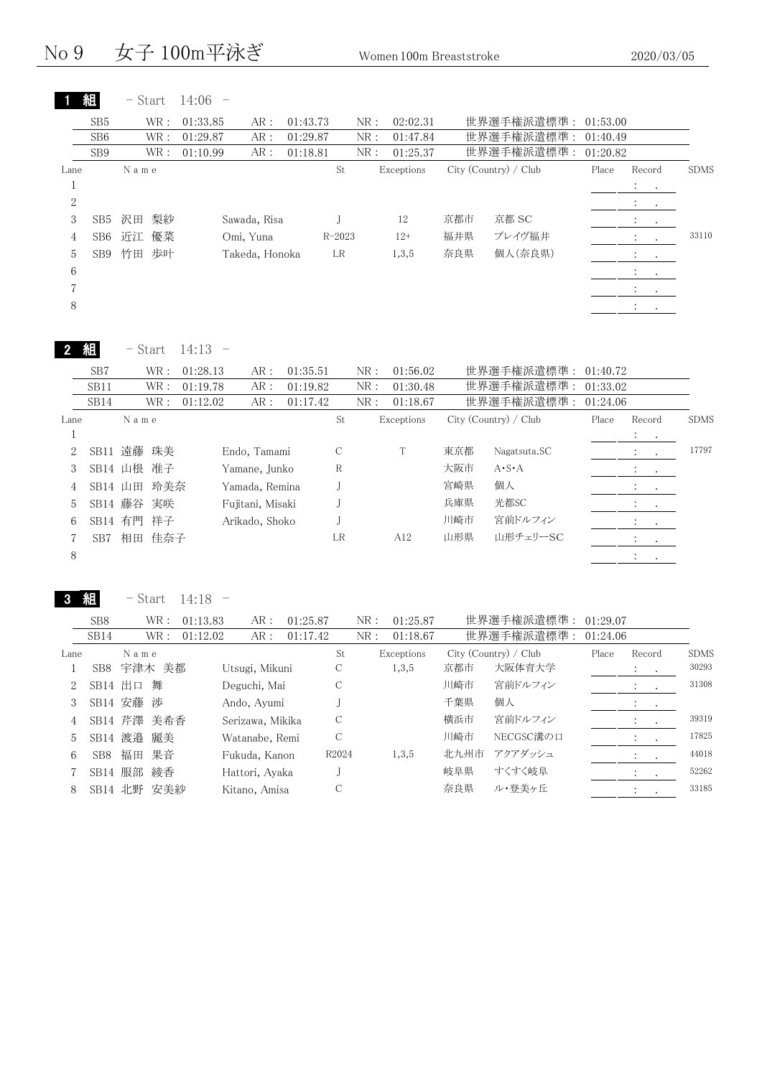#### No 9 女子 100m平泳ぎ Women 100m Breaststroke 2020/03/05

|      | 組               | $-$ Start |      | $14:06 -$ |                |          |            |     |            |     |                       |       |                          |               |             |
|------|-----------------|-----------|------|-----------|----------------|----------|------------|-----|------------|-----|-----------------------|-------|--------------------------|---------------|-------------|
|      | SB5             |           | WR:  | 01:33.85  | AR:            | 01:43.73 |            | NR: | 02:02.31   |     | 世界選手権派遣標準: 01:53.00   |       |                          |               |             |
|      | SB <sub>6</sub> |           | WR:  | 01:29.87  | AR:            | 01:29.87 |            | NR: | 01:47.84   |     | 世界選手権派遣標準: 01:40.49   |       |                          |               |             |
|      | SB <sub>9</sub> |           | WR : | 01:10.99  | AR:            | 01:18.81 |            | NR: | 01:25.37   |     | 世界選手権派遣標準: 01:20.82   |       |                          |               |             |
| Lane |                 | Name      |      |           |                |          | St         |     | Exceptions |     | City (Country) / Club | Place | Record                   |               | <b>SDMS</b> |
|      |                 |           |      |           |                |          |            |     |            |     |                       |       | All Card                 |               |             |
| 2    |                 |           |      |           |                |          |            |     |            |     |                       |       | <b>All Cards</b>         |               |             |
| 3    | SB5             | 沢田        | 梨紗   |           | Sawada, Risa   |          |            |     | 12         | 京都市 | 京都 SC                 |       | $\mathcal{L}_{\rm{max}}$ |               |             |
| 4    | SB6             | 近江        | 優菜   |           | Omi, Yuna      |          | $R - 2023$ |     | $12+$      | 福井県 | ブレイヴ福井                |       | $2.1 - 1.1$              |               | 33110       |
| 5.   | SB9             | 竹田        | 歩叶   |           | Takeda, Honoka |          | LR         |     | 1,3,5      | 奈良県 | 個人(奈良県)               |       | $\sim 100$ km s $^{-1}$  |               |             |
| 6    |                 |           |      |           |                |          |            |     |            |     |                       |       | $\ddot{\phantom{0}}$     | $\sim$ $\sim$ |             |
|      |                 |           |      |           |                |          |            |     |            |     |                       |       | All Card                 |               |             |
| 8    |                 |           |      |           |                |          |            |     |            |     |                       |       | $\bullet$                | $\bullet$     |             |
|      |                 |           |      |           |                |          |            |     |            |     |                       |       |                          |               |             |

|      |             | - Start    |      | $14:13 -$ |                  |          |    |    |     |            |     |                       |          |                                        |             |
|------|-------------|------------|------|-----------|------------------|----------|----|----|-----|------------|-----|-----------------------|----------|----------------------------------------|-------------|
|      | SB7         |            | WR:  | 01:28.13  | AR:              | 01:35.51 |    |    | NR: | 01:56.02   |     | 世界選手権派遣標準:            | 01:40.72 |                                        |             |
|      | SB11        |            | WR:  | 01:19.78  | AR:              | 01:19.82 |    |    | NR: | 01:30.48   |     | 世界選手権派遣標準:            | 01:33.02 |                                        |             |
|      | SB14        |            | WR : | 01:12.02  | AR:              | 01:17.42 |    |    | NR: | 01:18.67   |     | 世界選手権派遣標準:            | 01:24.06 |                                        |             |
| Lane |             | Name       |      |           |                  |          |    | St |     | Exceptions |     | City (Country) / Club | Place    | Record                                 | <b>SDMS</b> |
| T.   |             |            |      |           |                  |          |    |    |     |            |     |                       |          | <b>Service</b> State                   |             |
| 2    |             | SB11 遠藤 珠美 |      |           | Endo, Tamami     |          | C  |    |     |            | 東京都 | Nagatsuta.SC          |          | $\ddot{\cdot}$<br>$\ddot{\phantom{1}}$ | 17797       |
| 3    | SB14 山根     |            | 准子   |           | Yamane, Junko    |          | R  |    |     |            | 大阪市 | $A \cdot S \cdot A$   |          | $\mathbb{Z}^2$ and $\mathbb{Z}^2$      |             |
| 4    | SB14 山田 玲美奈 |            |      |           | Yamada, Remina   |          |    |    |     |            | 宮崎県 | 個人                    |          | $\ddot{\phantom{0}}$<br>$\bullet$      |             |
| 5    | SB14 藤谷 実咲  |            |      |           | Fujitani, Misaki |          |    |    |     |            | 兵庫県 | 光都SC                  |          | $\cdot$<br>$\bullet$                   |             |
| 6    | SB14 有門     |            | 祥子   |           | Arikado, Shoko   |          |    |    |     |            | 川崎市 | 宮前ドルフィン               |          |                                        |             |
|      | SB7         | 相田         | 佳奈子  |           |                  |          | LR |    |     | A12        | 山形県 | 山形チェリーSC              |          | $\cdot$                                |             |
| 8    |             |            |      |           |                  |          |    |    |     |            |     |                       |          | $\bullet$                              |             |

3 組

- Start 14:18 -

|      | SB <sub>8</sub> | WR :          | 01:13.83 | AR :             | 01:25.87 |               | NR: | 01:25.87   |      | 世界選手権派遣標準:            | 01:29.07 |                |               |             |
|------|-----------------|---------------|----------|------------------|----------|---------------|-----|------------|------|-----------------------|----------|----------------|---------------|-------------|
|      | SB14            | WR :          | 01:12.02 | AR:              | 01:17.42 |               | NR: | 01:18.67   |      | 世界選手権派遣標準:            | 01:24.06 |                |               |             |
| Lane |                 | Name          |          |                  |          | St            |     | Exceptions |      | City (Country) / Club | Place    | Record         |               | <b>SDMS</b> |
|      | SB8             | 宇津木 美都        |          | Utsugi, Mikuni   |          | С             |     | 1,3,5      | 京都市  | 大阪体育大学                |          | $\ddot{\cdot}$ | $\sim$ $\sim$ | 30293       |
|      | $SB14$ 出口       | 舞             |          | Deguchi, Mai     |          | С             |     |            | 川崎市  | 宮前ドルフィン               |          | $\cdot$        |               | 31308       |
|      |                 | SB14 安藤 渉     |          | Ando, Ayumi      |          |               |     |            | 千葉県  | 個人                    |          | $\cdot$        |               |             |
| 4    |                 | SB14 芹澤 美希香   |          | Serizawa, Mikika |          | C             |     |            | 横浜市  | 宮前ドルフィン               |          |                |               | 39319       |
| 5.   |                 | SB14 渡邉<br>麗美 |          | Watanabe, Remi   |          | $\mathcal{C}$ |     |            | 川崎市  | NECGSC溝の口             |          |                |               | 17825       |
| 6.   | SB8             | 福田<br>果音      |          | Fukuda, Kanon    |          | R2024         |     | 1,3,5      | 北九州市 | アクアダッシュ               |          |                |               | 44018       |
|      |                 | SB14 服部<br>綾香 |          | Hattori, Ayaka   |          |               |     |            | 岐阜県  | すくすく岐阜                |          |                |               | 52262       |
| 8    | SB14 北野         | 安美紗           |          | Kitano, Amisa    |          |               |     |            | 奈良県  | ル・登美ヶ丘                |          | $\ddot{\cdot}$ |               | 33185       |
|      |                 |               |          |                  |          |               |     |            |      |                       |          |                |               |             |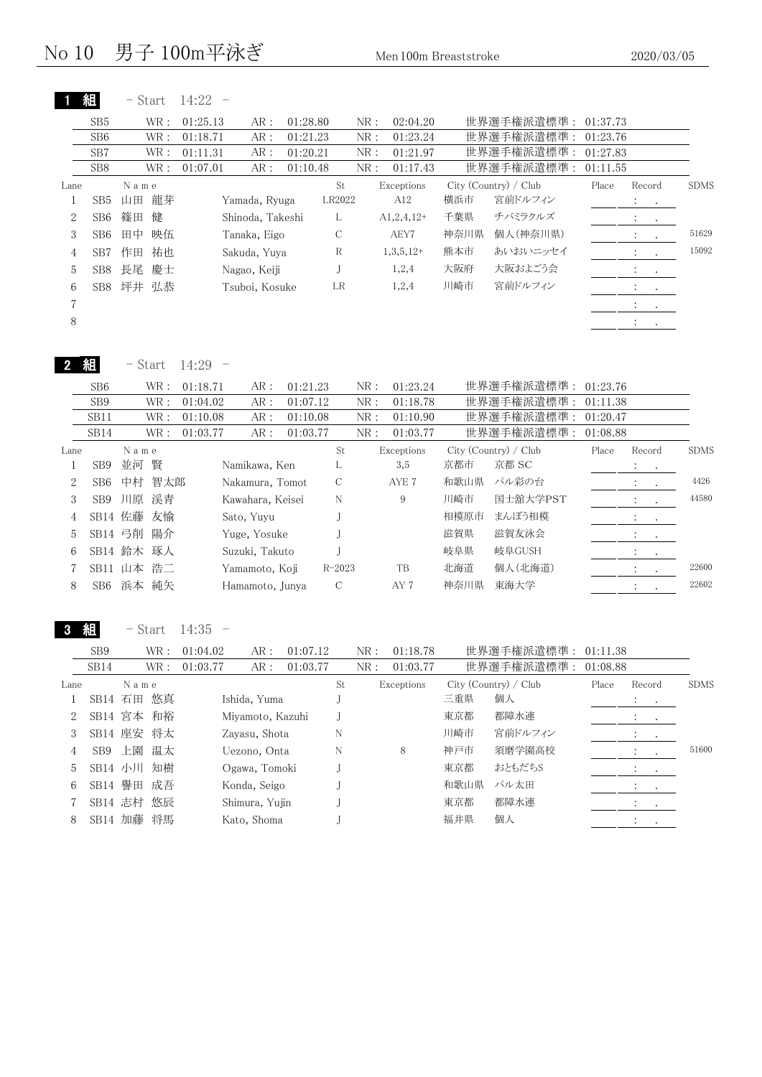| WR :<br>01:25.13<br>WR :<br>01:18.71<br>WR :<br>01:11.31<br>WR :<br>01:07.01<br>Name<br>龍芽<br>山田<br>篠田<br>健 | AR:<br>AR :<br>AR:<br>AR :<br>Yamada, Ryuga | 01:28.80<br>01:21.23<br>01:20.21<br>01:10.48<br>St<br>LR2022 | 02:04.20<br>NR:<br>01:23.24<br>NR:<br>01:21.97<br>NR:<br>NR:<br>01:17.43<br>Exceptions<br>A12 |      | 世界選手権派遣標準: 01:37.73<br>世界選手権派遣標準:<br>世界選手権派遣標準:<br>世界選手権派遣標準:<br>City (Country) / Club | 01:23.76<br>01:27.83<br>01:11.55<br>Place | Record                   |           |                                                           |
|-------------------------------------------------------------------------------------------------------------|---------------------------------------------|--------------------------------------------------------------|-----------------------------------------------------------------------------------------------|------|----------------------------------------------------------------------------------------|-------------------------------------------|--------------------------|-----------|-----------------------------------------------------------|
|                                                                                                             |                                             |                                                              |                                                                                               |      |                                                                                        |                                           |                          |           |                                                           |
|                                                                                                             |                                             |                                                              |                                                                                               |      |                                                                                        |                                           |                          |           |                                                           |
|                                                                                                             |                                             |                                                              |                                                                                               |      |                                                                                        |                                           |                          |           |                                                           |
|                                                                                                             |                                             |                                                              |                                                                                               |      |                                                                                        |                                           |                          |           |                                                           |
|                                                                                                             |                                             |                                                              |                                                                                               |      |                                                                                        |                                           |                          |           | <b>SDMS</b>                                               |
|                                                                                                             |                                             |                                                              |                                                                                               | 横浜市  | 宮前ドルフィン                                                                                |                                           | $\mathcal{L}_{\rm{max}}$ |           |                                                           |
|                                                                                                             | Shinoda, Takeshi                            | L                                                            | $A1,2,4,12+$                                                                                  | 千葉県  | チバミラクルズ                                                                                |                                           | <b>All Cards</b>         |           |                                                           |
| 映伍<br>田中                                                                                                    | Tanaka, Eigo                                | C                                                            | AEY7                                                                                          | 神奈川県 | 個人(神奈川県)                                                                               |                                           | $\ddot{\phantom{a}}$     | $\cdot$   | 51629                                                     |
| 祐也<br>作田                                                                                                    | Sakuda, Yuya                                | R                                                            | $1,3,5,12+$                                                                                   | 熊本市  | あいおいニッセイ                                                                               |                                           |                          | $\bullet$ | 15092                                                     |
| 長尾<br>慶士                                                                                                    |                                             | J                                                            | 1,2,4                                                                                         | 大阪府  | 大阪およごう会                                                                                |                                           |                          |           |                                                           |
| 弘恭<br>坪井                                                                                                    |                                             | LR                                                           | 1,2,4                                                                                         | 川崎市  | 宮前ドルフィン                                                                                |                                           | $\ddot{\phantom{a}}$     |           |                                                           |
|                                                                                                             |                                             |                                                              |                                                                                               |      |                                                                                        |                                           |                          |           |                                                           |
|                                                                                                             |                                             |                                                              |                                                                                               |      |                                                                                        |                                           |                          | $\bullet$ |                                                           |
|                                                                                                             |                                             | Nagao, Keiji<br>Tsuboi, Kosuke                               |                                                                                               |      |                                                                                        |                                           |                          | $\sim$    | <b>All Contracts</b><br>$\sim$ $\sim$<br>$\sim$ 100 $\pm$ |

2 組 - Start 14:29 -

|      | SB <sub>6</sub>  |       | WR : | 01:18.71 | AR:              | 01:21.23 |               | NR: | 01:23.24   |      | 世界選手権派遣標準:            | 01:23.76 |                             |             |
|------|------------------|-------|------|----------|------------------|----------|---------------|-----|------------|------|-----------------------|----------|-----------------------------|-------------|
|      | SB9              |       | WR : | 01:04.02 | AR:              | 01:07.12 |               | NR: | 01:18.78   |      | 世界選手権派遣標準:            | 01:11.38 |                             |             |
|      | SB11             |       | WR : | 01:10.08 | AR:              | 01:10.08 |               | NR: | 01:10.90   |      | 世界選手権派遣標準:            | 01:20.47 |                             |             |
|      | SB <sub>14</sub> |       | WR : | 01:03.77 | AR:              | 01:03.77 |               | NR: | 01:03.77   |      | 世界選手権派遣標準:            | 01:08.88 |                             |             |
| Lane |                  | Name  |      |          |                  |          | St            |     | Exceptions |      | City (Country) / Club | Place    | Record                      | <b>SDMS</b> |
|      | SB <sub>9</sub>  | 並河 賢  |      |          | Namikawa, Ken    |          |               |     | 3,5        | 京都市  | 京都 SC                 |          | $\mathcal{L}^{\text{max}}$  |             |
| 2    | SB6              | 中村    | 智太郎  |          | Nakamura, Tomot  |          | $\mathcal{C}$ |     | AYE 7      | 和歌山県 | パル彩の台                 |          | $\sim$ $\sim$               | 4426        |
| 3    | SB <sub>9</sub>  | 川原 渓青 |      |          | Kawahara, Keisei |          | N             |     | 9          | 川崎市  | 国士舘大学PST              |          | $\mathcal{L} = \mathcal{L}$ | 44580       |
| 4    | SB14 佐藤 友愉       |       |      |          | Sato, Yuyu       |          |               |     |            | 相模原市 | まんぼう相模                |          | <b>All Contracts</b>        |             |
| 5    | SB14 弓削 陽介       |       |      |          | Yuge, Yosuke     |          |               |     |            | 滋賀県  | 滋賀友泳会                 |          | <b>All Contracts</b>        |             |
| 6    | SB14 鈴木 琢人       |       |      |          | Suzuki, Takuto   |          |               |     |            | 岐阜県  | 岐阜GUSH                |          | $\sim$ $\sim$               |             |
|      | SB11 山本 浩二       |       |      |          | Yamamoto, Koji   |          | $R - 2023$    |     | TB         | 北海道  | 個人(北海道)               |          | $\sim$                      | 22600       |
| 8    | SB6              | 浜本 純矢 |      |          | Hamamoto, Junya  |          | $\mathcal{C}$ |     | AY 7       | 神奈川県 | 東海大学                  |          | $\bullet$                   | 22602       |
|      |                  |       |      |          |                  |          |               |     |            |      |                       |          |                             |             |

3 組

- Start 14:35 -

|      | SB <sub>9</sub> |      | WR :       | 01:04.02 | AR:              | 01:07.12 |    | NR: | 01:18.78   |      | 世界選手権派遣標準:            | 01:11.38 |         |                                            |             |
|------|-----------------|------|------------|----------|------------------|----------|----|-----|------------|------|-----------------------|----------|---------|--------------------------------------------|-------------|
|      | SB14            |      | WR :       | 01:03.77 | AR:              | 01:03.77 |    | NR: | 01:03.77   |      | 世界選手権派遣標準:            | 01:08.88 |         |                                            |             |
| Lane |                 | Name |            |          |                  |          | St |     | Exceptions |      | City (Country) / Club | Place    | Record  |                                            | <b>SDMS</b> |
|      |                 |      | SB14 石田 悠真 |          | Ishida, Yuma     |          |    |     |            | 三重県  | 個人                    |          | $\cdot$ | $\sim 100$                                 |             |
|      | SB14 宮本 和裕      |      |            |          | Miyamoto, Kazuhi |          |    |     |            | 東京都  | 都障水連                  |          |         | $\sim 100$                                 |             |
| 3    |                 |      | SB14 座安 将太 |          | Zavasu, Shota    |          | N  |     |            | 川崎市  | 宮前ドルフィン               |          |         | $\sim$ 100 $\pm$                           |             |
| 4    | SB <sub>9</sub> | 上園   | 温太         |          | Uezono, Onta     |          | N  |     | 8          | 神戸市  | 須磨学園高校                |          |         |                                            | 51600       |
| 5    | SB14 小川         |      | 知樹         |          | Ogawa, Tomoki    |          |    |     |            | 東京都  | おともだちS                |          |         | $\bullet$ , and $\bullet$ .                |             |
| 6    | SB14 譽田 成吾      |      |            |          | Konda, Seigo     |          |    |     |            | 和歌山県 | パル太田                  |          |         | $\mathbf{L} = \mathbf{L} \cdot \mathbf{L}$ |             |
|      |                 |      | SB14 志村 悠辰 |          | Shimura, Yujin   |          |    |     |            | 東京都  | 都障水連                  |          |         |                                            |             |
| 8    | SB14 加藤 将馬      |      |            |          | Kato, Shoma      |          |    |     |            | 福井県  | 個人                    |          |         |                                            |             |
|      |                 |      |            |          |                  |          |    |     |            |      |                       |          |         |                                            |             |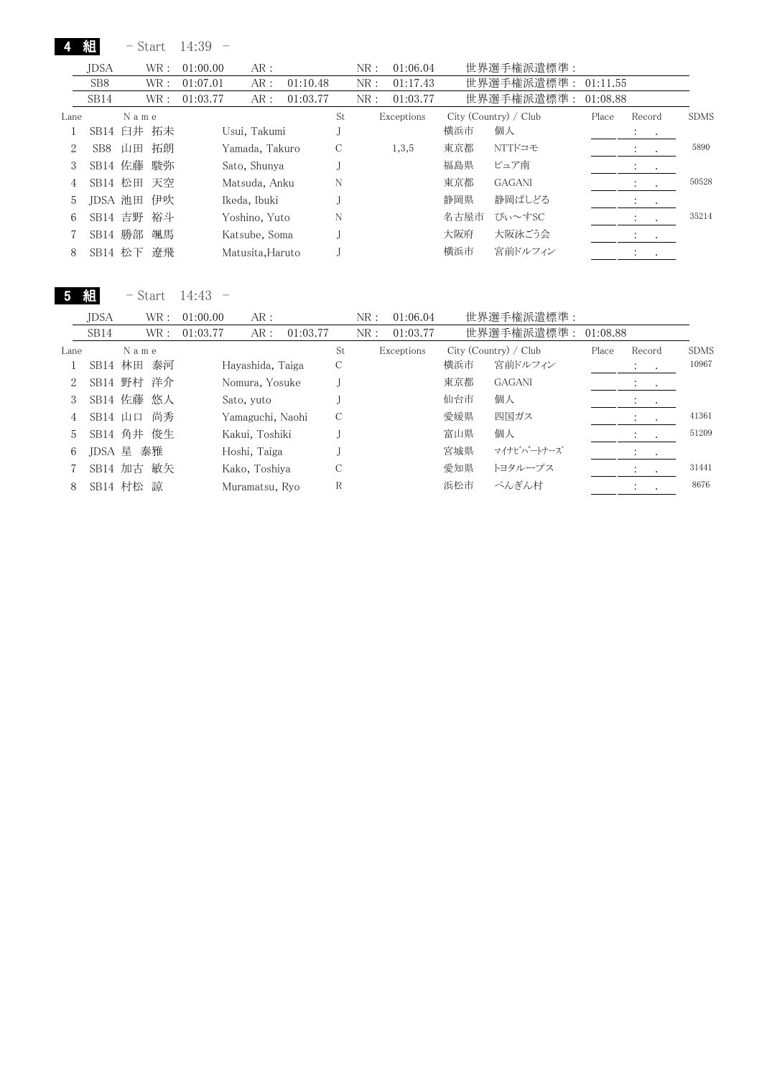|      | 組                | - Start |      | 14:39    |                  |          |    |     |            |      |                       |          |                                        |           |             |
|------|------------------|---------|------|----------|------------------|----------|----|-----|------------|------|-----------------------|----------|----------------------------------------|-----------|-------------|
|      | <b>JDSA</b>      |         | WR:  | 01:00.00 | AR:              |          |    | NR: | 01:06.04   |      | 世界選手権派遣標準:            |          |                                        |           |             |
|      | SB <sub>8</sub>  |         | WR : | 01:07.01 | AR:              | 01:10.48 |    | NR: | 01:17.43   |      | 世界選手権派遣標準:            | 01:11.55 |                                        |           |             |
|      | SB <sub>14</sub> |         | WR : | 01:03.77 | AR:              | 01:03.77 |    | NR: | 01:03.77   |      | 世界選手権派遣標準:            | 01:08.88 |                                        |           |             |
| Lane |                  | Name    |      |          |                  |          | St |     | Exceptions |      | City (Country) / Club | Place    | Record                                 |           | <b>SDMS</b> |
|      | SB14 臼井 拓未       |         |      |          | Usui, Takumi     |          |    |     |            | 横浜市  | 個人                    |          | $\mathbf{r} = \mathbf{r} + \mathbf{r}$ |           |             |
| 2    | SB <sub>8</sub>  | 山田      | 拓朗   |          | Yamada, Takuro   |          | С  |     | 1,3,5      | 東京都  | NTTドコモ                |          | $\bullet$                              | $\sim$    | 5890        |
| 3    | SB14 佐藤          |         | 駿弥   |          | Sato, Shunya     |          |    |     |            | 福島県  | ピュア南                  |          | $\cdot$                                | $\cdot$   |             |
| 4    | SB14 松田 天空       |         |      |          | Matsuda, Anku    |          | N  |     |            | 東京都  | <b>GAGANI</b>         |          | $\ddot{\phantom{a}}$                   | $\cdot$   | 50528       |
| 5    | JDSA 池田          |         | 伊吹   |          | Ikeda, Ibuki     |          |    |     |            | 静岡県  | 静岡ぱしどる                |          | $\cdot$                                | $\cdot$   |             |
| 6    | SB14 吉野          |         | 裕斗   |          | Yoshino, Yuto    |          | N  |     |            | 名古屋市 | ぴぃ~すSC                |          | $\bullet$                              | $\cdot$   | 35214       |
|      | SB14 勝部          |         | 颯馬   |          | Katsube, Soma    |          |    |     |            | 大阪府  | 大阪泳ごう会                |          | $\cdot$                                | $\bullet$ |             |
| 8    | SB14 松下          |         | 遼飛   |          | Matusita, Haruto |          |    |     |            | 横浜市  | 宮前ドルフィン               |          | $\bullet$                              |           |             |

5 組 - Start 14:43 -

|      | <b>JDSA</b> |      | WR : | 01:00.00 | AR:              |          |    | NR: | 01:06.04   |     | 世界選手権派遣標準:            |          |                          |                          |             |
|------|-------------|------|------|----------|------------------|----------|----|-----|------------|-----|-----------------------|----------|--------------------------|--------------------------|-------------|
|      | SB14        |      | WR : | 01:03.77 | AR:              | 01:03.77 |    | NR: | 01:03.77   |     | 世界選手権派遣標準:            | 01:08.88 |                          |                          |             |
| Lane |             | Name |      |          |                  |          | St |     | Exceptions |     | City (Country) / Club | Place    | Record                   |                          | <b>SDMS</b> |
|      | SB14 林田 泰河  |      |      |          | Hayashida, Taiga |          | С  |     |            | 横浜市 | 宮前ドルフィン               |          | $\ddot{\cdot}$<br>$\sim$ |                          | 10967       |
|      | SB14 野村 洋介  |      |      |          | Nomura, Yosuke   |          |    |     |            | 東京都 | <b>GAGANI</b>         |          | $\cdot$<br>$\sim$        |                          |             |
|      | SB14 佐藤 悠人  |      |      |          | Sato, yuto       |          |    |     |            | 仙台市 | 個人                    |          | $\cdot$<br>$\sim$        |                          |             |
| 4    | $SB14$ 山口   |      | 尚秀   |          | Yamaguchi, Naohi |          | C  |     |            | 愛媛県 | 四国ガス                  |          |                          |                          | 41361       |
| 5.   | SB14 角井 俊生  |      |      |          | Kakui, Toshiki   |          |    |     |            | 富山県 | 個人                    |          | $\cdot$                  | $\overline{\phantom{a}}$ | 51209       |
| 6    | JDSA 星      |      | 泰雅   |          | Hoshi, Taiga     |          |    |     |            | 宮城県 | マイナビハートナーズ            |          |                          |                          |             |
|      | SB14 加古 敏矢  |      |      |          | Kako, Toshiya    |          |    |     |            | 愛知県 | トヨタループス               |          |                          |                          | 31441       |
| 8    | SB14 村松 諒   |      |      |          | Muramatsu, Rvo   |          | R  |     |            | 浜松市 | ぺんぎん村                 |          |                          |                          | 8676        |
|      |             |      |      |          |                  |          |    |     |            |     |                       |          |                          |                          |             |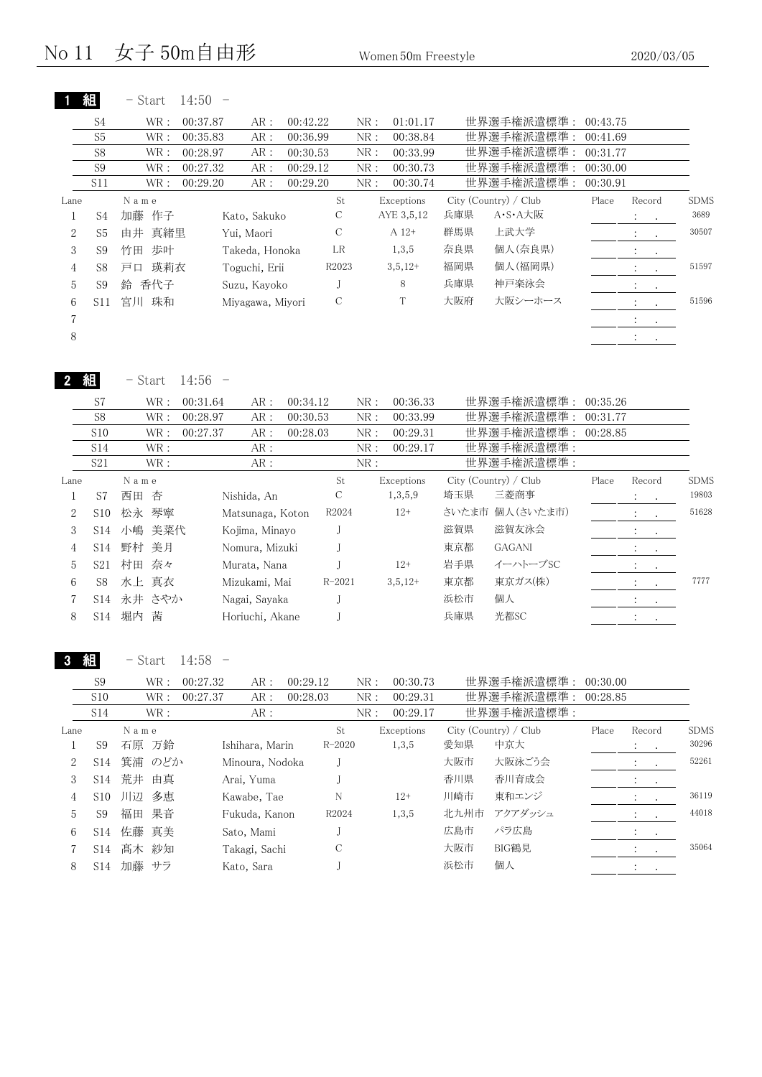|                |                | $-$ Start | 14:50    |                  |          |       |     |            |     |                       |          |                             |                      |             |
|----------------|----------------|-----------|----------|------------------|----------|-------|-----|------------|-----|-----------------------|----------|-----------------------------|----------------------|-------------|
|                | S4             | WR :      | 00:37.87 | AR:              | 00:42.22 |       | NR: | 01:01.17   |     | 世界選手権派遣標準:            | 00:43.75 |                             |                      |             |
|                | S <sub>5</sub> | WR :      | 00:35.83 | AR:              | 00:36.99 |       | NR: | 00:38.84   |     | 世界選手権派遣標準:            | 00:41.69 |                             |                      |             |
|                | S <sub>8</sub> | WR :      | 00:28.97 | AR:              | 00:30.53 |       | NR: | 00:33.99   |     | 世界選手権派遣標準:            | 00:31.77 |                             |                      |             |
|                | S <sub>9</sub> | WR:       | 00:27.32 | AR:              | 00:29.12 |       | NR: | 00:30.73   |     | 世界選手権派遣標準:            | 00:30.00 |                             |                      |             |
|                | S11            | WR :      | 00:29.20 | AR:              | 00:29.20 |       | NR: | 00:30.74   |     | 世界選手権派遣標準:            | 00:30.91 |                             |                      |             |
| Lane           |                | Name      |          |                  |          | St    |     | Exceptions |     | City (Country) / Club | Place    | Record                      |                      | <b>SDMS</b> |
|                | S4             | 加藤 作子     |          | Kato, Sakuko     |          | С     |     | AYE 3,5,12 | 兵庫県 | A・S・A大阪               |          | $\mathcal{L} = \mathcal{L}$ |                      | 3689        |
| $\overline{2}$ | S5             | 由井 真緒里    |          | Yui, Maori       |          | С     |     | $A 12+$    | 群馬県 | 上武大学                  |          | $\ddot{\phantom{a}}$        | $\sim$               | 30507       |
| 3              | S9             | 歩叶<br>竹田  |          | Takeda, Honoka   |          | LR    |     | 1,3,5      | 奈良県 | 個人(奈良県)               |          | $1 - 1$                     |                      |             |
| $\overline{4}$ | S8             | 瑛莉衣<br>戸口 |          | Toguchi, Erii    |          | R2023 |     | $3,5,12+$  | 福岡県 | 個人(福岡県)               |          | $\ddot{\phantom{a}}$        | $\ddot{\phantom{a}}$ | 51597       |
| 5              | S <sub>9</sub> | 香代子<br>鈴  |          | Suzu, Kayoko     |          |       |     | 8          | 兵庫県 | 神戸楽泳会                 |          | $1 - 1$                     |                      |             |
| 6              | S11            | 珠和<br>宮川  |          | Miyagawa, Miyori |          | С     |     | T          | 大阪府 | 大阪シーホース               |          | $\ddot{\phantom{0}}$        | $\sim$               | 51596       |
| $\overline{7}$ |                |           |          |                  |          |       |     |            |     |                       |          | $\sim$                      | $\sim$               |             |
| 8              |                |           |          |                  |          |       |     |            |     |                       |          | $\ddot{\phantom{1}}$        | $\bullet$            |             |
|                |                |           |          |                  |          |       |     |            |     |                       |          |                             |                      |             |

2 組 - Start 14:56 -

Lane N a m e City (Country) / Club Place Record SDMS 1 西田 杏 Nishida, An S7 C 1,3,5,9 埼玉県 三菱商事 : . 19803 2 S10 松永 琴寧 Matsunaga, Koton R2024 12+ さいたま市 個人(さいたま市) : . 51628 3 S14 小嶋 美菜代 Kojima, Minayo J · · · · · · 滋賀県 · 滋賀友泳会 · · · · · · · · · · · · · · 4 S14 野村 美月 Nomura, Mizuki J 東京都 GAGANI : . 5 S21 村田 奈々 Murata, Nana J 12+ 岩手県 イーハトーブSC : 6 S8 水上 真衣 Mizukami, Mai R-2021 3,5,12+ 東京都 東京ガス(株) : . 7777 7 永井 さやか Nagai, Sayaka S14 J 浜松市 個人 : . 8 堀内 茜 Horiuchi, Akane S14 J 兵庫県 光都SC : . S7 WR: 00:31.64 AR: 00:34.12 NR: 00:36.33 世界選手権派遣標準: 00:35.26 S8 WR: 00:28.97 AR: 00:30.53 NR: 00:33.99 世界選手権派遣標準: 00:31.77 S10 WR: 00:27.37 AR: 00:28.03 NR: 00:29.31 世界選手権派遣標準: 00:28.85 S14 WR : AR : NR : 00:29.17 世界選手権派遣標準 : S21 WR : AR : AR : NR : 世界選手権派遣標準 :

3 組 - Start 14:58 -

|      | S10             |       |      |          |                 |          |            | NR: | 00:30.73   |      | 世界選手権派遣標準:            | 00:30.00 |                                  |             |
|------|-----------------|-------|------|----------|-----------------|----------|------------|-----|------------|------|-----------------------|----------|----------------------------------|-------------|
|      |                 |       | WR : | 00:27.37 | AR:             | 00:28.03 |            | NR: | 00:29.31   |      | 世界選手権派遣標準:            | 00:28.85 |                                  |             |
|      | S14             |       | WR : |          | AR:             |          |            | NR: | 00:29.17   |      | 世界選手権派遣標準:            |          |                                  |             |
| Lane |                 | Name  |      |          |                 |          | St         |     | Exceptions |      | City (Country) / Club | Place    | Record                           | <b>SDMS</b> |
|      | S9              | 石原 万鈴 |      |          | Ishihara, Marin |          | $R - 2020$ |     | 1,3,5      | 愛知県  | 中京大                   |          | $\mathcal{L}_{\text{max}}$ , and | 30296       |
| 2    | S <sub>14</sub> | 箕浦    | のどか  |          | Minoura, Nodoka |          |            |     |            | 大阪市  | 大阪泳ごう会                |          |                                  | 52261       |
| 3    | S <sub>14</sub> | 荒井    | 由真   |          | Arai, Yuma      |          |            |     |            | 香川県  | 香川育成会                 |          | $\cdot$<br>$\bullet$             |             |
| 4    | S <sub>10</sub> | 川辺    | 多恵   |          | Kawabe, Tae     |          | N          |     | $12+$      | 川崎市  | 東和エンジ                 |          | $\ddot{\cdot}$                   | 36119       |
| 5    | S <sub>9</sub>  | 福田    | 果音   |          | Fukuda, Kanon   |          | R2024      |     | 1,3,5      | 北九州市 | アクアダッシュ               |          | $\sim$ $\sim$                    | 44018       |
| 6    | S <sub>14</sub> | 佐藤 真美 |      |          | Sato, Mami      |          |            |     |            | 広島市  | パラ広島                  |          |                                  |             |
|      | S <sub>14</sub> | 髙木 紗知 |      |          | Takagi, Sachi   |          | С          |     |            | 大阪市  | BIG鶴見                 |          | $\bullet$                        | 35064       |
| 8    | S <sub>14</sub> | 加藤 サラ |      |          | Kato, Sara      |          |            |     |            | 浜松市  | 個人                    |          |                                  |             |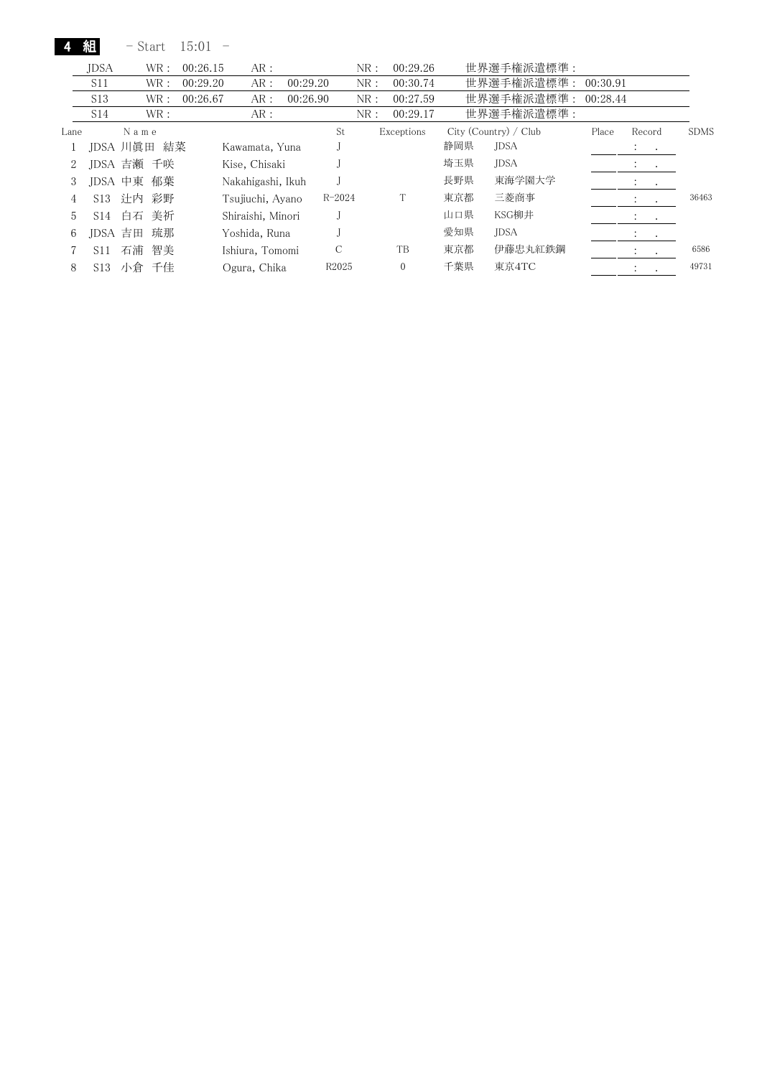4 組 - Start 15:01 -

|      | <b>IDSA</b>     | WR :       | 00:26.15 | AR:               |          |            | NR: | 00:29.26     |     | 世界選手権派遣標準:            |          |                                                               |             |
|------|-----------------|------------|----------|-------------------|----------|------------|-----|--------------|-----|-----------------------|----------|---------------------------------------------------------------|-------------|
|      | S11             | WR :       | 00:29.20 | AR:               | 00:29.20 |            | NR: | 00:30.74     |     | 世界選手権派遣標準:            | 00:30.91 |                                                               |             |
|      | S <sub>13</sub> | WR :       | 00:26.67 | AR:               | 00:26.90 |            | NR: | 00:27.59     |     | 世界選手権派遣標準:            | 00:28.44 |                                                               |             |
|      | S14             | WR:        |          | AR:               |          |            | NR: | 00:29.17     |     | 世界選手権派遣標準:            |          |                                                               |             |
| Lane |                 | Name       |          |                   |          | St         |     | Exceptions   |     | City (Country) / Club | Place    | Record                                                        | <b>SDMS</b> |
|      |                 | JDSA 川眞田   | 結菜       | Kawamata, Yuna    |          |            |     |              | 静岡県 | <b>JDSA</b>           |          | $\mathbf{A}$ and $\mathbf{A}$ and $\mathbf{A}$                |             |
| 2    |                 | JDSA 吉瀬 千咲 |          | Kise, Chisaki     |          |            |     |              | 埼玉県 | <b>JDSA</b>           |          | $\mathcal{L}^{\text{max}}$ , where $\mathcal{L}^{\text{max}}$ |             |
| 3    | IDSA 中東         | 郁葉         |          | Nakahigashi, Ikuh |          |            |     |              | 長野県 | 東海学園大学                |          | $1 - 1$                                                       |             |
| 4    | S <sub>13</sub> | 计内<br>彩野   |          | Tsujiuchi, Ayano  |          | $R - 2024$ |     | T            | 東京都 | 三菱商事                  |          | $2.1 - 1.1$                                                   | 36463       |
| 5    | S <sub>14</sub> | 美祈<br>白石   |          | Shiraishi, Minori |          |            |     |              | 山口県 | KSG柳井                 |          | de la cal                                                     |             |
| 6    | IDSA            | 琉那<br>吉田   |          | Yoshida, Runa     |          |            |     |              | 愛知県 | <b>JDSA</b>           |          | $\mathcal{L}_{\text{max}}$ , $\mathcal{L}_{\text{max}}$       |             |
|      | S <sub>11</sub> | 石浦<br>智美   |          | Ishiura, Tomomi   |          | C          |     | TB           | 東京都 | 伊藤忠丸紅鉄鋼               |          | $1 - 1$                                                       | 6586        |
| 8    | S13             | 小倉<br>千佳   |          | Ogura, Chika      |          | R2025      |     | $\mathbf{0}$ | 千葉県 | 東京4TC                 |          | $\ddot{\cdot}$                                                | 49731       |
|      |                 |            |          |                   |          |            |     |              |     |                       |          |                                                               |             |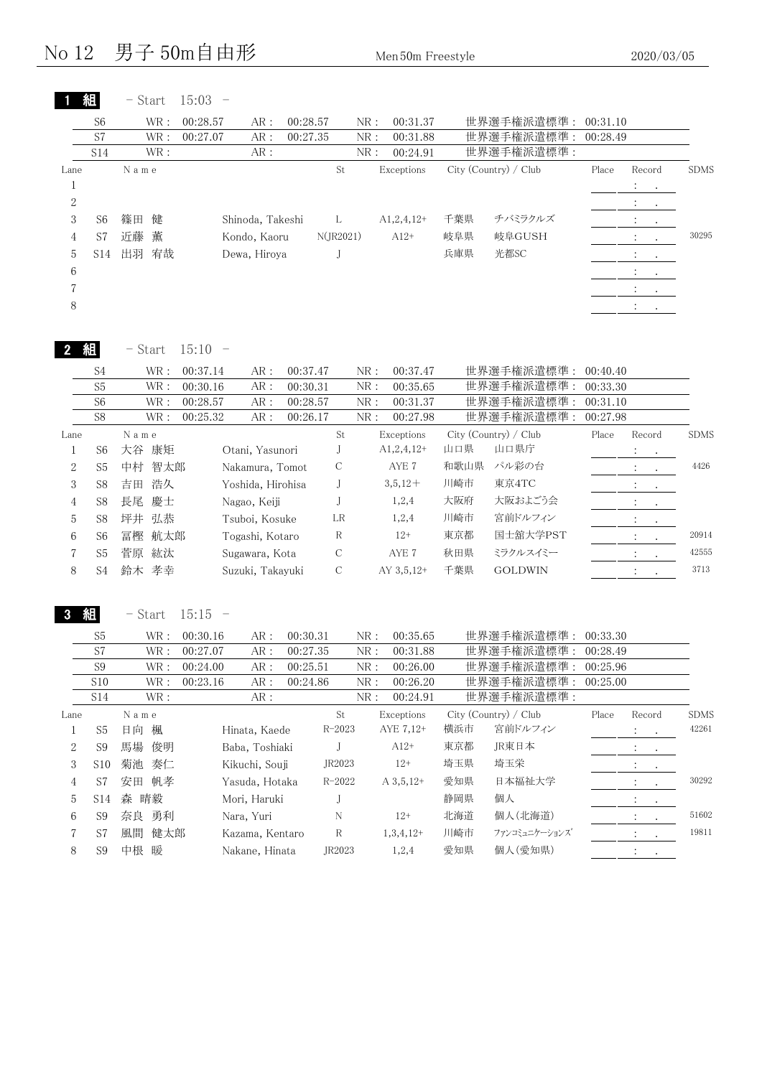#### No  $12$  男子 50m自由形 Men 50m Freestyle 2020/03/05

| S7                                           | $\operatorname{WR}$ :<br>$\operatorname{WR}$ :                                                                                                                                         | 00:28.57<br>AR:<br>00:27.07<br>AR:                                                                                                           | 00:28.57<br>00:27.35                                       |                                                                                                                                                                                                                          | 00:31.37<br>NR:<br>${\rm NR}$ :<br>00:31.88                                                                            |                                                                                                                                                                                                                              | 世界選手権派遣標準:<br>世界選手権派遣標準:                                            | 00:31.10<br>00:28.49                                                                                                                                                                |                |                                                                                                                      |
|----------------------------------------------|----------------------------------------------------------------------------------------------------------------------------------------------------------------------------------------|----------------------------------------------------------------------------------------------------------------------------------------------|------------------------------------------------------------|--------------------------------------------------------------------------------------------------------------------------------------------------------------------------------------------------------------------------|------------------------------------------------------------------------------------------------------------------------|------------------------------------------------------------------------------------------------------------------------------------------------------------------------------------------------------------------------------|---------------------------------------------------------------------|-------------------------------------------------------------------------------------------------------------------------------------------------------------------------------------|----------------|----------------------------------------------------------------------------------------------------------------------|
| S14                                          | $\operatorname{WR}$ :<br>N a m e                                                                                                                                                       | ${\sf AR}$ :                                                                                                                                 |                                                            | St                                                                                                                                                                                                                       | NR:<br>00:24.91<br>Exceptions                                                                                          |                                                                                                                                                                                                                              | 世界選手権派遣標準:<br>City (Country) / Club                                 | Place                                                                                                                                                                               | Record         | <b>SDMS</b>                                                                                                          |
|                                              |                                                                                                                                                                                        |                                                                                                                                              |                                                            |                                                                                                                                                                                                                          |                                                                                                                        |                                                                                                                                                                                                                              |                                                                     |                                                                                                                                                                                     | ÷              |                                                                                                                      |
|                                              |                                                                                                                                                                                        |                                                                                                                                              |                                                            |                                                                                                                                                                                                                          |                                                                                                                        |                                                                                                                                                                                                                              |                                                                     |                                                                                                                                                                                     |                |                                                                                                                      |
|                                              |                                                                                                                                                                                        |                                                                                                                                              |                                                            |                                                                                                                                                                                                                          |                                                                                                                        |                                                                                                                                                                                                                              |                                                                     |                                                                                                                                                                                     |                |                                                                                                                      |
|                                              |                                                                                                                                                                                        |                                                                                                                                              |                                                            |                                                                                                                                                                                                                          |                                                                                                                        |                                                                                                                                                                                                                              |                                                                     |                                                                                                                                                                                     |                | 30295                                                                                                                |
|                                              |                                                                                                                                                                                        |                                                                                                                                              |                                                            |                                                                                                                                                                                                                          |                                                                                                                        |                                                                                                                                                                                                                              |                                                                     |                                                                                                                                                                                     |                |                                                                                                                      |
|                                              |                                                                                                                                                                                        |                                                                                                                                              |                                                            |                                                                                                                                                                                                                          |                                                                                                                        |                                                                                                                                                                                                                              |                                                                     |                                                                                                                                                                                     |                |                                                                                                                      |
|                                              |                                                                                                                                                                                        |                                                                                                                                              |                                                            |                                                                                                                                                                                                                          |                                                                                                                        |                                                                                                                                                                                                                              |                                                                     |                                                                                                                                                                                     |                |                                                                                                                      |
|                                              |                                                                                                                                                                                        |                                                                                                                                              |                                                            |                                                                                                                                                                                                                          |                                                                                                                        |                                                                                                                                                                                                                              |                                                                     |                                                                                                                                                                                     |                |                                                                                                                      |
|                                              |                                                                                                                                                                                        |                                                                                                                                              |                                                            |                                                                                                                                                                                                                          |                                                                                                                        |                                                                                                                                                                                                                              |                                                                     |                                                                                                                                                                                     |                |                                                                                                                      |
|                                              | - Start                                                                                                                                                                                | 15:10<br>$\overline{\phantom{0}}$                                                                                                            |                                                            |                                                                                                                                                                                                                          |                                                                                                                        |                                                                                                                                                                                                                              |                                                                     |                                                                                                                                                                                     |                |                                                                                                                      |
|                                              |                                                                                                                                                                                        |                                                                                                                                              |                                                            |                                                                                                                                                                                                                          |                                                                                                                        |                                                                                                                                                                                                                              |                                                                     |                                                                                                                                                                                     |                |                                                                                                                      |
|                                              |                                                                                                                                                                                        |                                                                                                                                              |                                                            |                                                                                                                                                                                                                          |                                                                                                                        |                                                                                                                                                                                                                              |                                                                     |                                                                                                                                                                                     |                |                                                                                                                      |
|                                              |                                                                                                                                                                                        |                                                                                                                                              |                                                            |                                                                                                                                                                                                                          |                                                                                                                        |                                                                                                                                                                                                                              |                                                                     |                                                                                                                                                                                     |                |                                                                                                                      |
|                                              |                                                                                                                                                                                        |                                                                                                                                              |                                                            |                                                                                                                                                                                                                          |                                                                                                                        |                                                                                                                                                                                                                              |                                                                     |                                                                                                                                                                                     |                | <b>SDMS</b>                                                                                                          |
|                                              |                                                                                                                                                                                        |                                                                                                                                              |                                                            |                                                                                                                                                                                                                          |                                                                                                                        |                                                                                                                                                                                                                              |                                                                     |                                                                                                                                                                                     |                |                                                                                                                      |
|                                              |                                                                                                                                                                                        |                                                                                                                                              |                                                            |                                                                                                                                                                                                                          |                                                                                                                        |                                                                                                                                                                                                                              |                                                                     |                                                                                                                                                                                     |                | 4426                                                                                                                 |
|                                              |                                                                                                                                                                                        |                                                                                                                                              |                                                            |                                                                                                                                                                                                                          |                                                                                                                        |                                                                                                                                                                                                                              |                                                                     |                                                                                                                                                                                     |                |                                                                                                                      |
|                                              |                                                                                                                                                                                        |                                                                                                                                              |                                                            |                                                                                                                                                                                                                          |                                                                                                                        |                                                                                                                                                                                                                              |                                                                     |                                                                                                                                                                                     |                |                                                                                                                      |
|                                              |                                                                                                                                                                                        |                                                                                                                                              |                                                            |                                                                                                                                                                                                                          |                                                                                                                        |                                                                                                                                                                                                                              |                                                                     |                                                                                                                                                                                     |                |                                                                                                                      |
|                                              |                                                                                                                                                                                        |                                                                                                                                              |                                                            |                                                                                                                                                                                                                          |                                                                                                                        |                                                                                                                                                                                                                              |                                                                     |                                                                                                                                                                                     |                | 20914                                                                                                                |
|                                              |                                                                                                                                                                                        |                                                                                                                                              |                                                            |                                                                                                                                                                                                                          |                                                                                                                        |                                                                                                                                                                                                                              |                                                                     |                                                                                                                                                                                     |                | 42555                                                                                                                |
|                                              |                                                                                                                                                                                        |                                                                                                                                              |                                                            | C                                                                                                                                                                                                                        | AY 3,5,12+                                                                                                             |                                                                                                                                                                                                                              |                                                                     |                                                                                                                                                                                     |                |                                                                                                                      |
|                                              |                                                                                                                                                                                        |                                                                                                                                              |                                                            |                                                                                                                                                                                                                          |                                                                                                                        |                                                                                                                                                                                                                              |                                                                     |                                                                                                                                                                                     |                |                                                                                                                      |
| S <sub>4</sub>                               | 鈴木 孝幸                                                                                                                                                                                  | Suzuki, Takayuki                                                                                                                             |                                                            |                                                                                                                                                                                                                          |                                                                                                                        | 千葉県                                                                                                                                                                                                                          | <b>GOLDWIN</b>                                                      |                                                                                                                                                                                     | $\ddot{\cdot}$ |                                                                                                                      |
| 組                                            | $-$ Start                                                                                                                                                                              | 15:15<br>$\overline{\phantom{0}}$                                                                                                            |                                                            |                                                                                                                                                                                                                          |                                                                                                                        |                                                                                                                                                                                                                              |                                                                     |                                                                                                                                                                                     |                |                                                                                                                      |
| S <sub>5</sub><br>$\ensuremath{\mathrm{S7}}$ | WR :<br>$\operatorname{WR}$ :                                                                                                                                                          | 00:30.16<br>AR:<br>00:27.07<br>$\text{AR}$ :                                                                                                 | 00:30.31<br>00:27.35                                       |                                                                                                                                                                                                                          | NR:<br>00:35.65<br>00:31.88<br>${\rm NR}$ :                                                                            |                                                                                                                                                                                                                              | 世界選手権派遣標準: 00:33.30                                                 | 00:28.49                                                                                                                                                                            |                | 3713                                                                                                                 |
| S9                                           | WR :                                                                                                                                                                                   | 00:24.00<br>AR:                                                                                                                              | 00:25.51                                                   |                                                                                                                                                                                                                          | ${\rm NR}$ :<br>00:26.00                                                                                               |                                                                                                                                                                                                                              | 世界選手権派遣標準:<br>世界選手権派遣標準:                                            | 00:25.96                                                                                                                                                                            |                |                                                                                                                      |
| S10                                          | WR :                                                                                                                                                                                   | 00:23.16<br>AR:                                                                                                                              | 00:24.86                                                   |                                                                                                                                                                                                                          | ${\rm NR}$ :<br>00:26.20                                                                                               |                                                                                                                                                                                                                              | 世界選手権派遣標準:                                                          | 00:25.00                                                                                                                                                                            |                |                                                                                                                      |
| <b>S14</b>                                   | $\operatorname{WR}$ :                                                                                                                                                                  | AR:                                                                                                                                          |                                                            |                                                                                                                                                                                                                          | NR:<br>00:24.91                                                                                                        |                                                                                                                                                                                                                              | 世界選手権派遣標準:                                                          |                                                                                                                                                                                     |                |                                                                                                                      |
|                                              | N a m e                                                                                                                                                                                |                                                                                                                                              |                                                            | St                                                                                                                                                                                                                       | Exceptions                                                                                                             |                                                                                                                                                                                                                              | City (Country) / Club                                               | Place                                                                                                                                                                               | Record         |                                                                                                                      |
| S <sub>5</sub>                               | 日向 楓                                                                                                                                                                                   | Hinata, Kaede                                                                                                                                |                                                            | $R - 2023$                                                                                                                                                                                                               | AYE 7,12+                                                                                                              | 横浜市                                                                                                                                                                                                                          | 宮前ドルフィン                                                             |                                                                                                                                                                                     | ÷              |                                                                                                                      |
| S <sub>9</sub>                               | 馬場<br>俊明                                                                                                                                                                               | Baba, Toshiaki                                                                                                                               |                                                            | J                                                                                                                                                                                                                        | $A12+$                                                                                                                 | 東京都                                                                                                                                                                                                                          | JR東日本                                                               |                                                                                                                                                                                     |                |                                                                                                                      |
| S <sub>10</sub>                              | 菊池<br>奏仁                                                                                                                                                                               | Kikuchi, Souji                                                                                                                               |                                                            | JR2023                                                                                                                                                                                                                   | $12+$                                                                                                                  | 埼玉県                                                                                                                                                                                                                          | 埼玉栄                                                                 |                                                                                                                                                                                     |                |                                                                                                                      |
| S7                                           | 安田 帆孝                                                                                                                                                                                  | Yasuda, Hotaka                                                                                                                               |                                                            | $R - 2022$                                                                                                                                                                                                               | $A 3, 5, 12+$                                                                                                          | 愛知県                                                                                                                                                                                                                          | 日本福祉大学                                                              |                                                                                                                                                                                     |                |                                                                                                                      |
| <b>S14</b>                                   | 森 晴毅                                                                                                                                                                                   | Mori, Haruki                                                                                                                                 |                                                            | J                                                                                                                                                                                                                        |                                                                                                                        | 静岡県                                                                                                                                                                                                                          | 個人                                                                  |                                                                                                                                                                                     | $\ddot{\cdot}$ |                                                                                                                      |
| S <sub>9</sub>                               | 奈良 勇利                                                                                                                                                                                  | Nara, Yuri                                                                                                                                   |                                                            | N                                                                                                                                                                                                                        | $12+$                                                                                                                  | 北海道                                                                                                                                                                                                                          | 個人(北海道)                                                             |                                                                                                                                                                                     |                | SDMS<br>42261<br>30292<br>51602                                                                                      |
| S7                                           | 健太郎<br>風間                                                                                                                                                                              | Kazama, Kentaro                                                                                                                              |                                                            | $\mathbf R$                                                                                                                                                                                                              | $1,3,4,12+$                                                                                                            | 川崎市                                                                                                                                                                                                                          | ファンコミュニケーションズ                                                       |                                                                                                                                                                                     |                | 19811                                                                                                                |
|                                              | S <sub>6</sub><br>S7<br>S14<br>組<br>S <sub>4</sub><br>S <sub>5</sub><br>S <sub>6</sub><br>S8<br>S <sub>6</sub><br>S <sub>5</sub><br>S8<br>S8<br>S8<br>S <sub>6</sub><br>S <sub>5</sub> | 篠田<br>健<br>近藤<br>薫<br>出羽<br>宥哉<br>WR:<br>WR:<br>WR:<br>WR :<br>$N$ a m $e$<br>康矩<br>大谷<br>中村<br>浩久<br>吉田<br>慶士<br>長尾<br>坪井 弘恭<br>冨樫<br>菅原 紘汰 | 00:37.14<br>00:30.16<br>00:28.57<br>00:25.32<br>智太郎<br>航太郎 | Shinoda, Takeshi<br>Kondo, Kaoru<br>Dewa, Hiroya<br>AR:<br>$\text{AR}$ :<br>AR:<br>AR:<br>Otani, Yasunori<br>Nakamura, Tomot<br>Yoshida, Hirohisa<br>Nagao, Keiji<br>Tsuboi, Kosuke<br>Togashi, Kotaro<br>Sugawara, Kota | L<br>J<br>00:37.47<br>00:30.31<br>00:28.57<br>00:26.17<br>St<br>J<br>$\mathcal C$<br>J<br>J<br>LR<br>R<br>$\mathcal C$ | $A1, 2, 4, 12+$<br>N(JR2021)<br>$A12+$<br>NR:<br>00:37.47<br>${\rm NR}$ :<br>00:35.65<br>${\rm NR}$ :<br>00:31.37<br>NR:<br>00:27.98<br>Exceptions<br>$A1,2,4,12+$<br>AYE 7<br>$3,5,12+$<br>1,2,4<br>1,2,4<br>$12+$<br>AYE 7 | 千葉県<br>岐阜県<br>兵庫県<br>山口県<br>和歌山県<br>川崎市<br>大阪府<br>川崎市<br>東京都<br>秋田県 | チバミラクルズ<br>岐阜GUSH<br>光都SC<br>世界選手権派遣標準 :<br>世界選手権派遣標準:<br>世界選手権派遣標準:<br>世界選手権派遣標準:<br>City (Country) / Club<br>山口県庁<br>パル彩の台<br>東京4TC<br>大阪およごう会<br>宮前ドルフィン<br>国士舘大学PST<br>ミラクルスイミー | Place          | $\ddot{\cdot}$<br>00:40.40<br>00:33.30<br>00:31.10<br>00:27.98<br>Record<br>$\ddot{\cdot}$<br>$\ddot{\phantom{a}}$ : |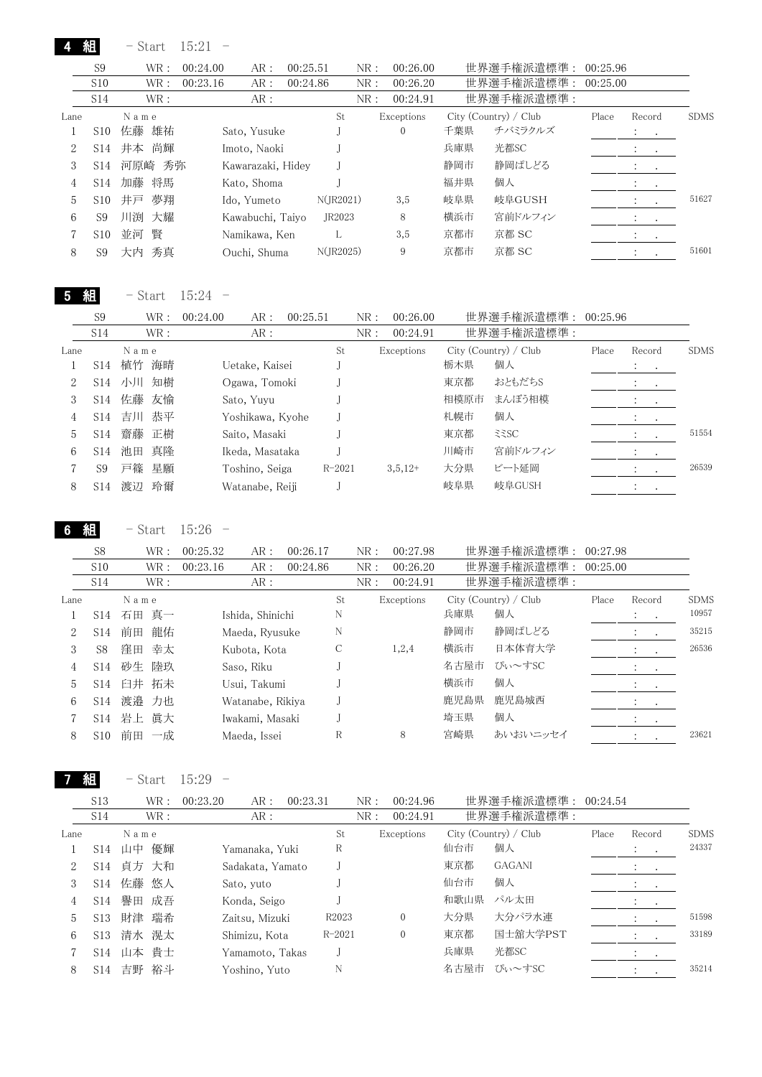4 組 - Start 15:21 -

|      | S <sub>9</sub>  | WR :     | 00:24.00 | AR:               | 00:25.51 |              | NR: | 00:26.00     |     | 世界選手権派遣標準:            | 00:25.96 |                             |             |
|------|-----------------|----------|----------|-------------------|----------|--------------|-----|--------------|-----|-----------------------|----------|-----------------------------|-------------|
|      | S <sub>10</sub> | WR :     | 00:23.16 | AR:               | 00:24.86 |              | NR: | 00:26.20     |     | 世界選手権派遣標準:            | 00:25.00 |                             |             |
|      | S14             | WR :     |          | AR:               |          |              | NR: | 00:24.91     |     | 世界選手権派遣標準:            |          |                             |             |
| Lane |                 | Name     |          |                   |          | St           |     | Exceptions   |     | City (Country) / Club | Place    | Record                      | <b>SDMS</b> |
|      | S <sub>10</sub> | 佐藤<br>雄祐 |          | Sato, Yusuke      |          |              |     | $\mathbf{0}$ | 千葉県 | チバミラクルズ               |          | $1 - 1$                     |             |
| 2    | S14             | 井本 尚輝    |          | Imoto, Naoki      |          |              |     |              | 兵庫県 | 光都SC                  |          | $\cdot$<br>$\cdot$          |             |
| 3    | S <sub>14</sub> | 河原崎 秀弥   |          | Kawarazaki, Hidey |          |              |     |              | 静岡市 | 静岡ぱしどる                |          | And Art                     |             |
| 4    | S14             | 加藤 将馬    |          | Kato, Shoma       |          |              |     |              | 福井県 | 個人                    |          | <b>Service</b> State        |             |
| 5    | S <sub>10</sub> | 夢翔<br>井戸 |          | Ido, Yumeto       |          | $N($ JR2021) |     | 3,5          | 岐阜県 | 岐阜GUSH                |          |                             | 51627       |
| 6    | S <sub>9</sub>  | 川渕 大耀    |          | Kawabuchi, Taiyo  |          | JR2023       |     | 8            | 横浜市 | 宮前ドルフィン               |          | $\cdot$<br>$\sim$           |             |
|      | S <sub>10</sub> | 瞖<br>並河  |          | Namikawa, Ken     |          |              |     | 3,5          | 京都市 | 京都 SC                 |          | $\cdot$<br>$\sim$ 100 $\pm$ |             |
| 8    | S9              | 大内 秀真    |          | Ouchi, Shuma      |          | N(IR2025)    |     | 9            | 京都市 | 京都 SC                 |          |                             | 51601       |

5 組 - Start 15:24 -

|      | S <sub>9</sub>  | WR :     | AR:<br>00:24.00  | 00:25.51   | NR: | 00:26.00   |      | 世界選手権派遣標準:            | 00:25.96 |                          |             |
|------|-----------------|----------|------------------|------------|-----|------------|------|-----------------------|----------|--------------------------|-------------|
|      | S14             | WR:      | AR:              |            | NR: | 00:24.91   |      | 世界選手権派遣標準:            |          |                          |             |
| Lane |                 | Name     |                  | St         |     | Exceptions |      | City (Country) / Club | Place    | Record                   | <b>SDMS</b> |
|      | S <sub>14</sub> | 海晴<br>植竹 | Uetake, Kaisei   |            |     |            | 栃木県  | 個人                    |          | $\sim$ $\sim$<br>$\cdot$ |             |
| 2    | S <sub>14</sub> | 知樹<br>小川 | Ogawa, Tomoki    |            |     |            | 東京都  | おともだちS                |          |                          |             |
| 3    | S <sub>14</sub> | 佐藤<br>友愉 | Sato, Yuvu       |            |     |            | 相模原市 | まんぼう相模                |          | $\sim$ 100 $\pm$         |             |
| 4    | S <sub>14</sub> | 吉川<br>恭平 | Yoshikawa, Kyohe |            |     |            | 札幌市  | 個人                    |          | $\cdot$                  |             |
| 5    | S <sub>14</sub> | 齋藤<br>正樹 | Saito, Masaki    |            |     |            | 東京都  | 335C                  |          |                          | 51554       |
| 6    | S <sub>14</sub> | 真降<br>池田 | Ikeda, Masataka  |            |     |            | 川崎市  | 宮前ドルフィン               |          |                          |             |
|      | S9              | 戸篠<br>星願 | Toshino, Seiga   | $R - 2021$ |     | $3,5,12+$  | 大分県  | ビート延岡                 |          |                          | 26539       |
| 8    | S <sub>14</sub> | 玲爾<br>渡辺 | Watanabe, Reiji  |            |     |            | 岐阜県  | 岐阜GUSH                |          |                          |             |
|      |                 |          |                  |            |     |            |      |                       |          |                          |             |

6 組 - Start 15:26 -

|      | S <sub>8</sub>  | WR:      | 00:25.32 | AR:              | 00:26.17 |               | NR: | 00:27.98   |      | 世界選手権派遣標準:            | 00:27.98 |                             |             |
|------|-----------------|----------|----------|------------------|----------|---------------|-----|------------|------|-----------------------|----------|-----------------------------|-------------|
|      | S10             | WR :     | 00:23.16 | AR:              | 00:24.86 |               | NR: | 00:26.20   |      | 世界選手権派遣標準:            | 00:25.00 |                             |             |
|      | S14             | WR:      |          | AR:              |          |               | NR: | 00:24.91   |      | 世界選手権派遣標準:            |          |                             |             |
| Lane |                 | Name     |          |                  |          | St            |     | Exceptions |      | City (Country) / Club | Place    | Record                      | <b>SDMS</b> |
|      | S14             | 石田 真一    |          | Ishida, Shinichi |          | N             |     |            | 兵庫県  | 個人                    |          | $\mathcal{I}=\mathcal{I}$ . | 10957       |
| 2    | S <sub>14</sub> | 前田<br>龍佑 |          | Maeda, Ryusuke   |          | N             |     |            | 静岡市  | 静岡ぱしどる                |          | ÷                           | 35215       |
| 3    | S <sub>8</sub>  | 窪田<br>幸太 |          | Kubota, Kota     |          | $\mathcal{C}$ |     | 1,2,4      | 横浜市  | 日本体育大学                |          | $\ddot{\cdot}$<br>$\sim$    | 26536       |
| 4    | S14             | 陸玖<br>砂生 |          | Saso, Riku       |          |               |     |            | 名古屋市 | ぴぃ~すSC                |          | $\sim 100$ km s $^{-1}$     |             |
| 5    | S <sub>14</sub> | 臼井 拓未    |          | Usui, Takumi     |          |               |     |            | 横浜市  | 個人                    |          | Andrew Constitution         |             |
| 6    | S14             | 渡邉<br>力也 |          | Watanabe, Rikiya |          |               |     |            | 鹿児島県 | 鹿児島城西                 |          |                             |             |
|      | S14             | 岩上 眞大    |          | Iwakami, Masaki  |          |               |     |            | 埼玉県  | 個人                    |          | $\cdot$<br>$\cdot$          |             |
| 8    | S <sub>10</sub> | 前田<br>一成 |          | Maeda, Issei     |          | R             |     | 8          | 宮崎県  | あいおいニッセイ              |          | $\cdot$<br>$\bullet$        | 23621       |
|      |                 |          |          |                  |          |               |     |            |      |                       |          |                             |             |

7 組

 $-$  Start  $15:29 -$ 

|      | S <sub>13</sub> | WR:      | 00:23.20<br>AR:  | 00:23.31 | NR:               | 00:24.96   |      | 世界選手権派遣標準:            | 00:24.54 |                          |             |
|------|-----------------|----------|------------------|----------|-------------------|------------|------|-----------------------|----------|--------------------------|-------------|
|      | S14             | WR:      | AR:              |          | NR:               | 00:24.91   |      | 世界選手権派遣標準:            |          |                          |             |
| Lane |                 | Name     |                  |          | St                | Exceptions |      | City (Country) / Club | Place    | Record                   | <b>SDMS</b> |
|      | S <sub>14</sub> | 優輝<br>山中 | Yamanaka, Yuki   |          | R                 |            | 仙台市  | 個人                    |          | $\sim$ $\sim$<br>$\cdot$ | 24337       |
| 2    | S14             | 貞方 大和    | Sadakata, Yamato |          |                   |            | 東京都  | <b>GAGANI</b>         |          | $\bullet$<br>$\sim$      |             |
| 3    | S14             | 佐藤 悠人    | Sato, yuto       |          |                   |            | 仙台市  | 個人                    |          | $\cdot$                  |             |
| 4    | S <sub>14</sub> | 譽田<br>成吾 | Konda, Seigo     |          |                   |            | 和歌山県 | パル太田                  |          |                          |             |
| 5.   | S <sub>13</sub> | 瑞希<br>財津 | Zaitsu, Mizuki   |          | R <sub>2023</sub> | $\Omega$   | 大分県  | 大分パラ水連                |          |                          | 51598       |
| 6    | S <sub>13</sub> | 清水 滉太    | Shimizu, Kota    |          | $R - 2021$        | 0          | 東京都  | 国士舘大学PST              |          |                          | 33189       |
|      | S14             | 山本 貴士    | Yamamoto, Takas  |          |                   |            | 兵庫県  | 光都SC                  |          | $\cdot$<br>$\sim$        |             |
| 8    | S <sub>14</sub> | 裕斗<br>吉野 | Yoshino, Yuto    |          | N                 |            | 名古屋市 | ぴぃ~すSC                |          |                          | 35214       |
|      |                 |          |                  |          |                   |            |      |                       |          |                          |             |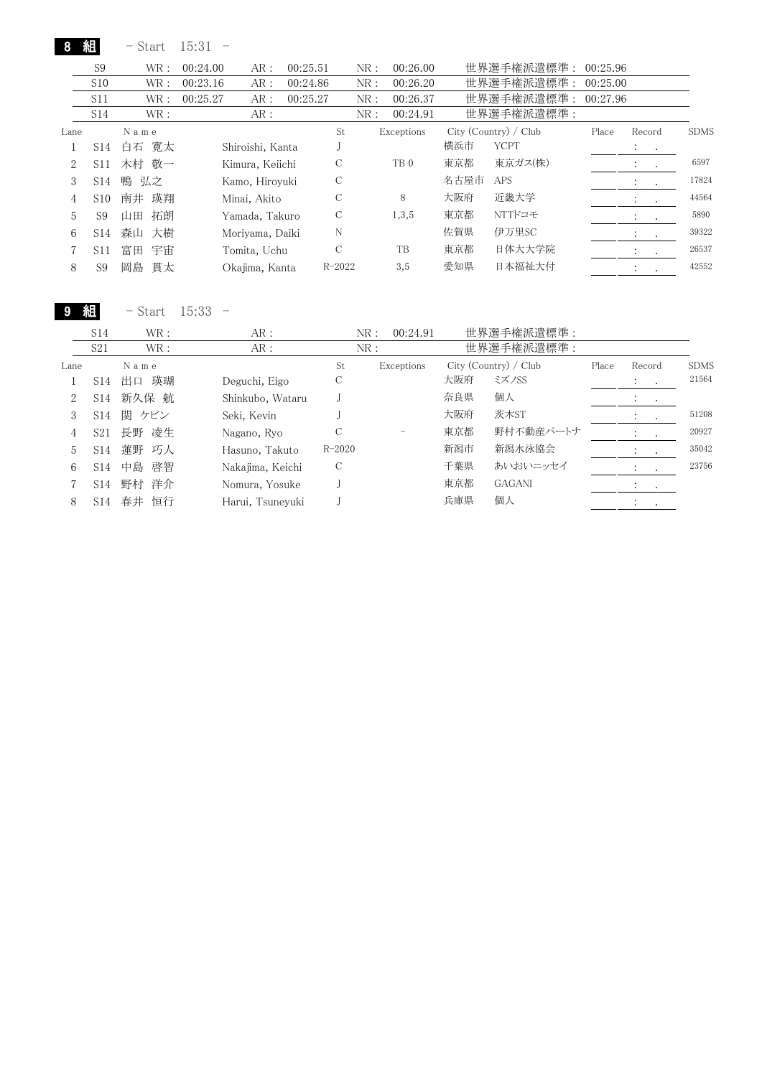8 組 - Start 15:31 -

|      | S <sub>9</sub>  | WR :     | 00:24.00 | AR:              | 00:25.51 |            | NR: | 00:26.00        |      | 世界選手権派遣標準:            | 00:25.96 |                                 |             |
|------|-----------------|----------|----------|------------------|----------|------------|-----|-----------------|------|-----------------------|----------|---------------------------------|-------------|
|      | S10             | WR :     | 00:23.16 | AR:              | 00:24.86 |            | NR: | 00:26.20        |      | 世界選手権派遣標準:            | 00:25.00 |                                 |             |
|      | S11             | WR :     | 00:25.27 | AR:              | 00:25.27 |            | NR: | 00:26.37        |      | 世界選手権派遣標準:            | 00:27.96 |                                 |             |
|      | S <sub>14</sub> | WR:      |          | AR:              |          |            | NR: | 00:24.91        |      | 世界選手権派遣標準:            |          |                                 |             |
| Lane |                 | Name     |          |                  |          | St         |     | Exceptions      |      | City (Country) / Club | Place    | Record                          | <b>SDMS</b> |
|      | S14             | 寛太<br>白石 |          | Shiroishi, Kanta |          |            |     |                 | 横浜市  | <b>YCPT</b>           |          | Albert Art                      |             |
| 2    | S <sub>11</sub> | 木村 敬一    |          | Kimura, Keiichi  |          | С          |     | TB <sub>0</sub> | 東京都  | 東京ガス(株)               |          | $\ddot{\phantom{0}}$<br>$\sim$  | 6597        |
| 3    | S <sub>14</sub> | 鴨 弘之     |          | Kamo, Hirovuki   |          | С          |     |                 | 名古屋市 | <b>APS</b>            |          | $\ddot{\cdot}$<br>$\cdot$       | 17824       |
| 4    | S <sub>10</sub> | 南井<br>瑛翔 |          | Minai, Akito     |          | С          |     | 8               | 大阪府  | 近畿大学                  |          | $\sim$                          | 44564       |
| 5    | S <sub>9</sub>  | 拓朗<br>山田 |          | Yamada, Takuro   |          | С          |     | 1,3,5           | 東京都  | NTTドコモ                |          | $\ddot{\cdot}$<br>$\cdot$       | 5890        |
| 6    | S <sub>14</sub> | 森山<br>大樹 |          | Morivama, Daiki  |          | N          |     |                 | 佐賀県  | 伊万里SC                 |          | $\ddot{\cdot}$<br>$\cdot$       | 39322       |
|      | S <sub>11</sub> | 富田<br>宇宙 |          | Tomita, Uchu     |          | C          |     | TB              | 東京都  | 日体大大学院                |          | $\cdot$<br>$\ddot{\phantom{1}}$ | 26537       |
| 8    | S <sub>9</sub>  | 岡島<br>貫太 |          | Okajima, Kanta   |          | $R - 2022$ |     | 3,5             | 愛知県  | 日本福祉大付                |          | $\ddot{\cdot}$                  | 42552       |

9 組 - Start 15:33 -

|      | S <sub>14</sub> | WR:      | AR:              |            | NR:<br>00:24.91 |     | 世界選手権派遣標準:            |       |                   |             |
|------|-----------------|----------|------------------|------------|-----------------|-----|-----------------------|-------|-------------------|-------------|
|      | S21             | WR :     | AR:              |            | NR:             |     | 世界選手権派遣標準:            |       |                   |             |
| Lane |                 | Name     |                  | St         | Exceptions      |     | City (Country) / Club | Place | Record            | <b>SDMS</b> |
|      | S14             | 瑛瑚<br>出口 | Deguchi, Eigo    | С          |                 | 大阪府 | ミズノSS                 |       | $\cdot$<br>$\sim$ | 21564       |
| 2    | S14             | 新久保 航    | Shinkubo, Wataru |            |                 | 奈良県 | 個人                    |       |                   |             |
| 3    | S14             | 関 ケビン    | Seki, Kevin      |            |                 | 大阪府 | 茨木ST                  |       | $\cdot$           | 51208       |
| 4    | S <sub>21</sub> | 凌生<br>長野 | Nagano, Ryo      | С          |                 | 東京都 | 野村不動産パートナ             |       |                   | 20927       |
| 5.   | S <sub>14</sub> | 蓮野 巧人    | Hasuno, Takuto   | $R - 2020$ |                 | 新潟市 | 新潟水泳協会                |       | $\cdot$           | 35042       |
| 6    | S <sub>14</sub> | 啓智<br>中島 | Nakajima, Keichi | С          |                 | 千葉県 | あいおいニッセイ              |       |                   | 23756       |
|      | S14             | 野村 洋介    | Nomura, Yosuke   |            |                 | 東京都 | <b>GAGANI</b>         |       | $\bullet$         |             |
| 8    | S <sub>14</sub> | 恒行<br>春井 | Harui, Tsunevuki |            |                 | 兵庫県 | 個人                    |       |                   |             |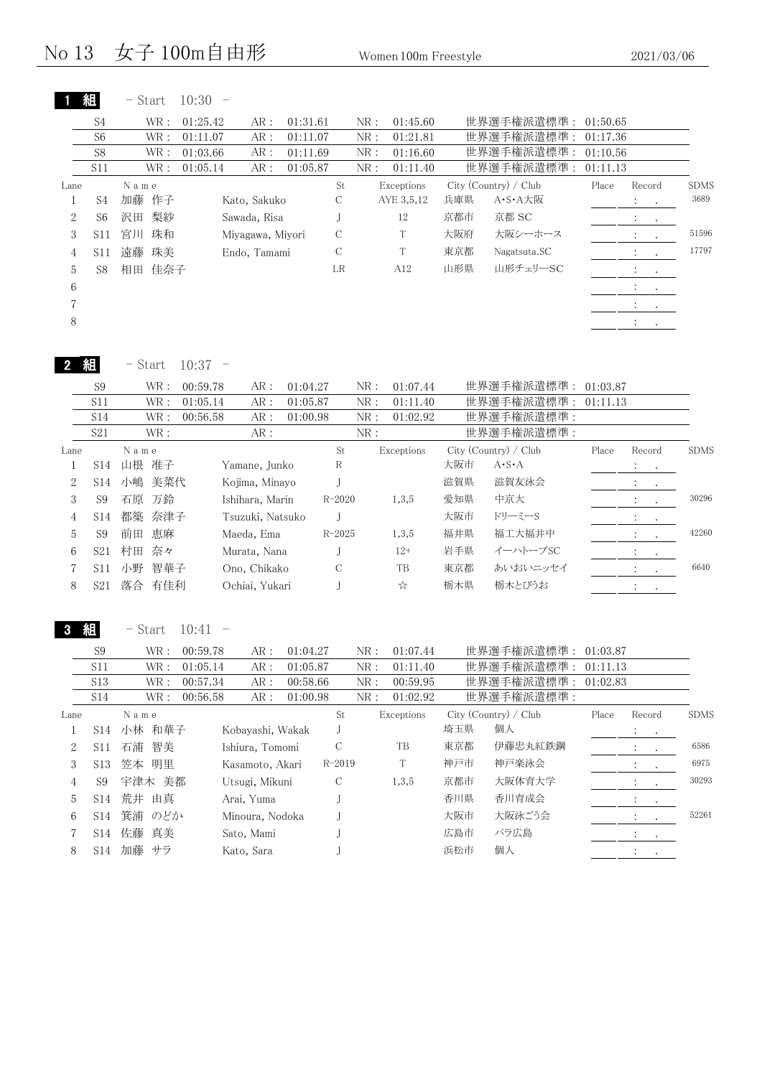|                  | 組                 | - Start               | 10:30<br>$\overline{\phantom{0}}$  |                      |                         |                                             |            |                          |          |                                        |                                               |
|------------------|-------------------|-----------------------|------------------------------------|----------------------|-------------------------|---------------------------------------------|------------|--------------------------|----------|----------------------------------------|-----------------------------------------------|
|                  | S4                | WR:                   | 01:25.42<br>AR:                    | 01:31.61             |                         | NR:<br>01:45.60                             |            | 世界選手権派遣標準:               | 01:50.65 |                                        |                                               |
|                  | S <sub>6</sub>    | WR:                   | 01:11.07<br>AR:                    | 01:11.07             |                         | NR:<br>01:21.81                             |            | 世界選手権派遣標準:               | 01:17.36 |                                        |                                               |
|                  | S8                | $\operatorname{WR}$ : | 01:03.66<br>$AR:$                  | 01:11.69             |                         | NR:<br>01:16.60                             |            | 世界選手権派遣標準:               | 01:10.56 |                                        |                                               |
|                  | S11               | $\operatorname{WR}$ : | ${\sf AR}$ :<br>01:05.14           | 01:05.87             |                         | NR:<br>01:11.40                             |            | 世界選手権派遣標準:               | 01:11.13 |                                        |                                               |
| Lane             |                   | N a m e               |                                    |                      | St                      | Exceptions                                  |            | City (Country) / Club    | Place    | Record                                 | <b>SDMS</b>                                   |
| 1                | S <sub>4</sub>    | 加藤 作子                 | Kato, Sakuko                       |                      | С                       | AYE 3,5,12                                  | 兵庫県        | A·S·A大阪                  |          | ÷<br>$\bullet$                         | 3689                                          |
| $\overline{2}$   | S <sub>6</sub>    | 梨紗<br>沢田              | Sawada, Risa                       |                      | J                       | 12                                          | 京都市        | 京都 SC                    |          | $\ddot{\cdot}$<br>$\bullet$            |                                               |
| 3                | S11               | 宮川<br>珠和              | Miyagawa, Miyori                   |                      | $\mathcal{C}$           | T                                           | 大阪府        | 大阪シーホース                  |          | $\bullet$                              | 51596                                         |
| $\overline{4}$   | S11               | 遠藤 珠美                 | Endo, Tamami                       |                      | $\mathcal C$            | $\mathbf T$                                 | 東京都        | Nagatsuta.SC             |          | $\ddot{\cdot}$<br>$\ddot{\phantom{0}}$ | 17797                                         |
| 5                | S8                | 佳奈子<br>相田             |                                    |                      | LR                      | A12                                         | 山形県        | 山形チェリーSC                 |          | $\ddot{\cdot}$<br>$\bullet$            |                                               |
| 6                |                   |                       |                                    |                      |                         |                                             |            |                          |          | $\ddot{\ddot{}}$<br>$\Box$             |                                               |
| $\overline{7}$   |                   |                       |                                    |                      |                         |                                             |            |                          |          | $\bullet$                              |                                               |
| 8                |                   |                       |                                    |                      |                         |                                             |            |                          |          | $\ddot{\phantom{a}}$<br>$\bullet$      |                                               |
|                  | 組                 | $-$ Start             | 10:37<br>$\overline{\phantom{0}}$  |                      |                         |                                             |            |                          |          |                                        |                                               |
|                  | S <sub>9</sub>    | $\operatorname{WR}$ : | 00:59.78<br>AR:                    | 01:04.27             |                         | NR:<br>01:07.44                             |            | 世界選手権派遣標準:               | 01:03.87 |                                        |                                               |
|                  | S11               | $\operatorname{WR}$ : | ${\sf AR}$ :<br>01:05.14           | 01:05.87             |                         | ${\rm NR}$ :<br>01:11.40                    |            | 世界選手権派遣標準:               | 01:11.13 |                                        |                                               |
|                  | S14               | $\operatorname{WR}$ : | ${\sf AR}$ :<br>00:56.58           | 01:00.98             |                         | ${\rm NR}$ :<br>01:02.92                    |            | 世界選手権派遣標準:               |          |                                        |                                               |
|                  | S <sub>21</sub>   | WR:                   | AR:                                |                      |                         | NR:                                         |            | 世界選手権派遣標準:               |          |                                        |                                               |
| Lane             |                   | N a m e               |                                    |                      | $\operatorname{\rm St}$ | Exceptions                                  |            | City (Country) / Club    | Place    | Record                                 | <b>SDMS</b>                                   |
| $\mathbf{1}$     | S14               | 山根 准子                 | Yamane, Junko                      |                      | R                       |                                             | 大阪市        | $A \cdot S \cdot A$      |          | $\ddot{\cdot}$<br>$\bullet$            |                                               |
| $\overline{2}$   | S14               | 小嶋<br>美菜代             | Kojima, Minayo                     |                      | J                       |                                             | 滋賀県        | 滋賀友泳会                    |          | $\ddot{\cdot}$<br>$\cdot$              |                                               |
| $\,3$            | S <sub>9</sub>    | 石原 万鈴                 | Ishihara, Marin                    |                      | $R - 2020$              | 1,3,5                                       | 愛知県        | 中京大                      |          | $\ddot{\cdot}$<br>$\bullet$            | 30296                                         |
| $\overline{4}$   | S14               | 都築<br>奈津子             | Tsuzuki, Natsuko                   |                      | J                       |                                             | 大阪市        | ドリーミーS                   |          | $\ddot{\cdot}$<br>$\bullet$            |                                               |
| 5                | S <sub>9</sub>    | 恵麻<br>前田              | Maeda, Ema                         |                      | $R - 2025$              | 1,3,5                                       | 福井県        | 福工大福井中                   |          | :<br>$\bullet$                         | 42260                                         |
| 6                | S21               | 村田 奈々                 | Murata, Nana                       |                      | J                       | $12+$                                       | 岩手県        | イーハトーブSC                 |          | $\ddot{\phantom{a}}$<br>$\cdot$        |                                               |
|                  |                   |                       |                                    |                      |                         |                                             |            |                          |          |                                        |                                               |
| 7                | S11               | 小野 智華子                | Ono, Chikako                       |                      | С                       | TB                                          | 東京都        | あいおいニッセイ                 |          | $\ddot{\cdot}$<br>$\cdot$              |                                               |
| 8                | S21               | 落合 有佳利                | Ochiai, Yukari                     |                      | J                       | ☆                                           | 栃木県        | 栃木とびうお                   |          | $\ddot{\ddot{}}$ .<br>$\bullet$        |                                               |
|                  |                   | - Start               | 10:41                              |                      |                         |                                             |            |                          |          |                                        | 6640                                          |
|                  | S9                | WR :                  | 00:59.78<br>AR:                    | 01:04.27             |                         | NR:<br>01:07.44                             |            | 世界選手権派遣標準: 01:03.87      |          |                                        |                                               |
|                  | S11               | $\operatorname{WR}$ : | 01:05.14<br>${\sf AR}$ :           | 01:05.87             |                         | NR:<br>01:11.40                             |            | 世界選手権派遣標準:               | 01:11.13 |                                        |                                               |
|                  | S13<br><b>S14</b> | WR :<br>WR :          | 00:57.34<br>AR:<br>00:56.58<br>AR: | 00:58.66<br>01:00.98 |                         | NR:<br>00:59.95<br>${\rm NR}$ :<br>01:02.92 |            | 世界選手権派遣標準:<br>世界選手権派遣標準: | 01:02.83 |                                        |                                               |
| Lane             |                   | N a m e               |                                    |                      | St                      | Exceptions                                  |            | City (Country) / Club    | Place    | Record                                 |                                               |
| $\mathbf{1}$     |                   | S14 小林 和華子            | Kobayashi, Wakak                   |                      | J                       |                                             | 埼玉県        | 個人                       |          | $\ddot{\cdot}$<br>$\bullet$            |                                               |
| $\boldsymbol{2}$ | S11               | 石浦 智美                 | Ishiura, Tomomi                    |                      | С                       | TB                                          | 東京都        | 伊藤忠丸紅鉄鋼                  |          | $\ddot{\cdot}$                         |                                               |
| $\sqrt{3}$       | S <sub>13</sub>   | 笠本 明里                 | Kasamoto, Akari                    |                      | $R - 2019$              | T                                           | 神戸市        | 神戸楽泳会                    |          |                                        |                                               |
| 4                | S <sub>9</sub>    | 宇津木 美都                | Utsugi, Mikuni                     |                      | С                       | 1,3,5                                       | 京都市        | 大阪体育大学                   |          | :                                      |                                               |
| 5                | S14               | 荒井 由真                 | Arai, Yuma                         |                      | J                       |                                             | 香川県        | 香川育成会                    |          | :                                      |                                               |
| 6                | <b>S14</b>        | 箕浦 のどか                | Minoura, Nodoka                    |                      | J                       |                                             | 大阪市        | 大阪泳ごう会                   |          | $\ddot{\cdot}$<br>$\cdot$              |                                               |
| 7<br>8           | S14               | 佐藤 真美<br>S14 加藤 サラ    | Sato, Mami<br>Kato, Sara           |                      | J<br>J                  |                                             | 広島市<br>浜松市 | パラ広島<br>個人               |          | $\blacksquare$<br>$\ddot{\cdot}$       | <b>SDMS</b><br>6586<br>6975<br>30293<br>52261 |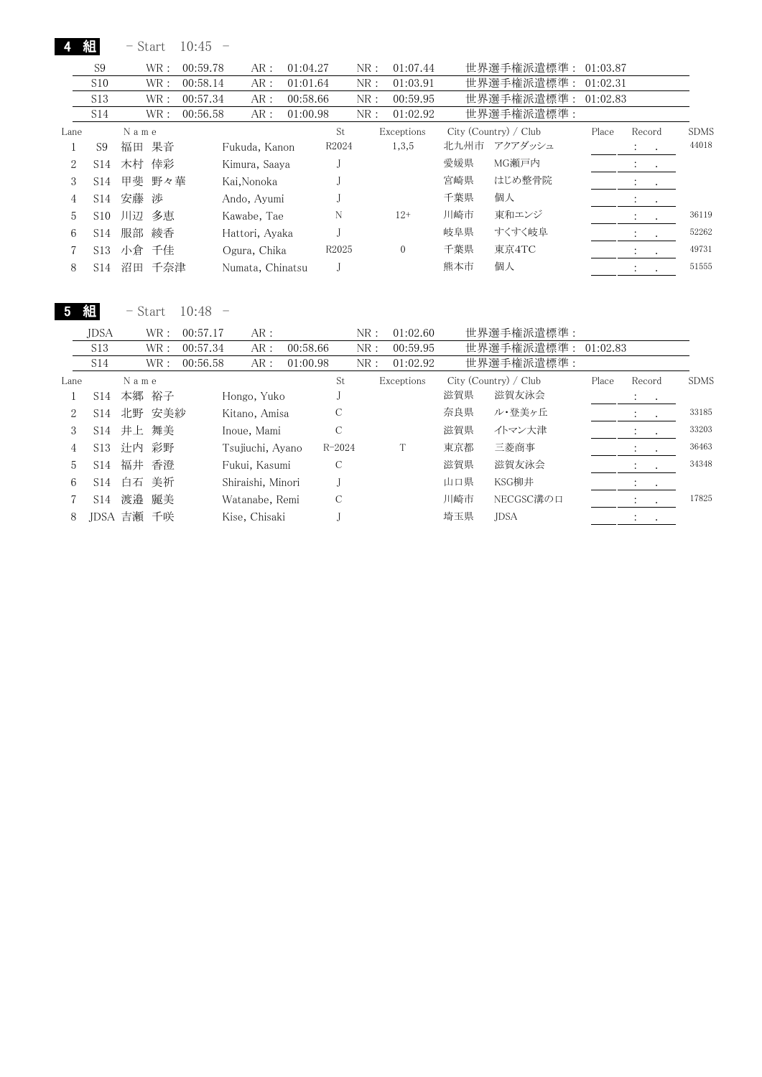|      | 組               |      | - Start | 10:45    |                  |          |       |     |            |      |                       |          |                                |                  |             |
|------|-----------------|------|---------|----------|------------------|----------|-------|-----|------------|------|-----------------------|----------|--------------------------------|------------------|-------------|
|      | S9              |      | WR:     | 00:59.78 | AR:              | 01:04.27 |       | NR: | 01:07.44   |      | 世界選手権派遣標準:            | 01:03.87 |                                |                  |             |
|      | S10             |      | WR:     | 00:58.14 | AR:              | 01:01.64 |       | NR: | 01:03.91   |      | 世界選手権派遣標準:            | 01:02.31 |                                |                  |             |
|      | S <sub>13</sub> |      | WR :    | 00:57.34 | AR:              | 00:58.66 |       | NR: | 00:59.95   |      | 世界選手権派遣標準:            | 01:02.83 |                                |                  |             |
|      | S14             |      | WR:     | 00:56.58 | AR:              | 01:00.98 |       | NR: | 01:02.92   |      | 世界選手権派遣標準:            |          |                                |                  |             |
| Lane |                 | Name |         |          |                  |          | St    |     | Exceptions |      | City (Country) / Club | Place    | Record                         |                  | <b>SDMS</b> |
|      | S9              | 福田   | 果音      |          | Fukuda, Kanon    |          | R2024 |     | 1,3,5      | 北九州市 | アクアダッシュ               |          | $1 - 1$                        |                  | 44018       |
| 2    | S <sub>14</sub> |      | 木村 倖彩   |          | Kimura, Saaya    |          |       |     |            | 愛媛県  | MG瀬戸内                 |          | $\mathcal{L}_{\rm{max}}$       |                  |             |
| 3    | S <sub>14</sub> |      | 甲斐 野々華  |          | Kai,Nonoka       |          |       |     |            | 宮崎県  | はじめ整骨院                |          | $\bullet$                      | $\sim$ 100 $\pm$ |             |
| 4    | S14             | 安藤   | 渉       |          | Ando, Ayumi      |          |       |     |            | 千葉県  | 個人                    |          | $\cdot$<br>$\sim$ $\sim$       |                  |             |
| 5    | S <sub>10</sub> | 川辺   | 多恵      |          | Kawabe, Tae      |          | N     |     | $12+$      | 川崎市  | 東和エンジ                 |          | $\ddot{\cdot}$<br>$\sim$       |                  | 36119       |
| 6    | S14             | 服部   | 綾香      |          | Hattori, Ayaka   |          |       |     |            | 岐阜県  | すくすく岐阜                |          | ÷<br>$\sim$                    |                  | 52262       |
|      | S13             | 小倉   | 千佳      |          | Ogura, Chika     |          | R2025 |     | $\Omega$   | 千葉県  | 東京4TC                 |          | $\cdot$                        | $\cdot$          | 49731       |
| 8    | S14             | 沼田   | 千奈津     |          | Numata, Chinatsu |          |       |     |            | 熊本市  | 個人                    |          | $\ddot{\phantom{0}}$<br>$\sim$ |                  | 51555       |
|      |                 |      |         |          |                  |          |       |     |            |      |                       |          |                                |                  |             |

5 組 - Start 10:48 -

|      | <b>IDSA</b>     |      | WR :   | 00:57.17 | AR:               |          |               | NR: | 01:02.60   |     | 世界選手権派遣標準:            |          |                                    |             |
|------|-----------------|------|--------|----------|-------------------|----------|---------------|-----|------------|-----|-----------------------|----------|------------------------------------|-------------|
|      | S13             |      | WR :   | 00:57.34 | AR:               | 00:58.66 |               | NR: | 00:59.95   |     | 世界選手権派遣標準:            | 01:02.83 |                                    |             |
|      | S14             |      | WR :   | 00:56.58 | AR:               | 01:00.98 |               | NR: | 01:02.92   |     | 世界選手権派遣標準:            |          |                                    |             |
| Lane |                 | Name |        |          |                   |          | St            |     | Exceptions |     | City (Country) / Club | Place    | Record                             | <b>SDMS</b> |
|      | S14             |      | 本郷 裕子  |          | Hongo, Yuko       |          |               |     |            | 滋賀県 | 滋賀友泳会                 |          | $\mathcal{L}^{\text{max}}$         |             |
| 2    | S14             |      | 北野 安美紗 |          | Kitano, Amisa     |          | С             |     |            | 奈良県 | ル・登美ヶ丘                |          | $\cdot$                            | 33185       |
| 3    | S14             |      | 井上 舞美  |          | Inoue, Mami       |          | С             |     |            | 滋賀県 | イトマン大津                |          | $\ddot{\phantom{1}}$<br>$\sim$     | 33203       |
| 4    | S <sub>13</sub> | 计内   | 彩野     |          | Tsujiuchi, Ayano  |          | $R - 2024$    |     |            | 東京都 | 三菱商事                  |          | $\mathbb{R}^n \times \mathbb{R}^n$ | 36463       |
| 5    | S <sub>14</sub> | 福井   | 香澄     |          | Fukui, Kasumi     |          | $\mathcal{C}$ |     |            | 滋賀県 | 滋賀友泳会                 |          | $\ddot{\cdot}$                     | 34348       |
| 6    | S14             | 白石   | 美祈     |          | Shiraishi, Minori |          |               |     |            | 山口県 | KSG柳井                 |          |                                    |             |
|      | S14             | 渡邉   | 麗美     |          | Watanabe, Remi    |          | $\mathcal{C}$ |     |            | 川崎市 | NECGSC溝の口             |          |                                    | 17825       |
| 8    | JDSA 吉瀬         |      | 千咲     |          | Kise, Chisaki     |          |               |     |            | 埼玉県 | <b>JDSA</b>           |          | $\cdot$                            |             |
|      |                 |      |        |          |                   |          |               |     |            |     |                       |          |                                    |             |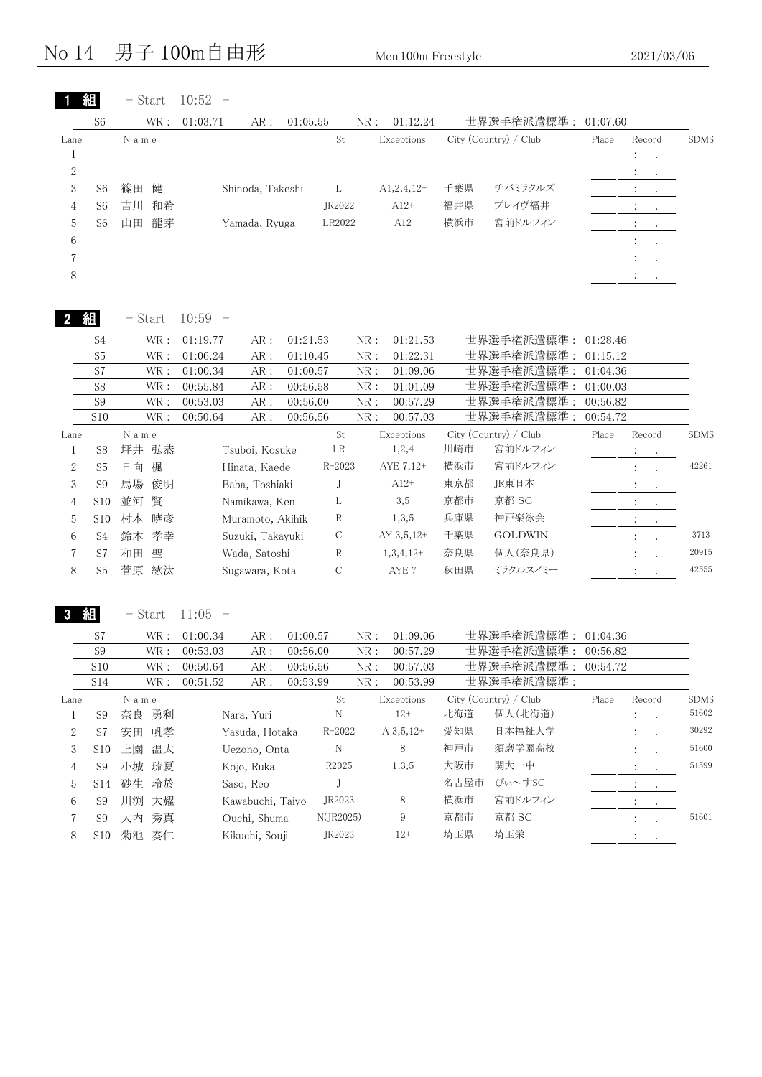#### No  $14$  男子  $100$ m自由形 Men 100m Freestyle 2021/03/06

|                  | 組                     | $-$ Start             | $10:52 -$                           |                      |                                    |      |                                  |                      |                                 |             |
|------------------|-----------------------|-----------------------|-------------------------------------|----------------------|------------------------------------|------|----------------------------------|----------------------|---------------------------------|-------------|
|                  | S <sub>6</sub>        | WR:                   | 01:03.71<br>AR:                     | 01:05.55             | 01:12.24<br>NR:                    |      | 世界選手権派遣標準:                       | 01:07.60             |                                 |             |
| Lane             |                       | N a m e               |                                     | St                   | Exceptions                         |      | City (Country) / Club            | Place                | Record                          | <b>SDMS</b> |
| $\mathbf{1}$     |                       |                       |                                     |                      |                                    |      |                                  |                      | $\ddot{\cdot}$<br>$\bullet$     |             |
| $\sqrt{2}$       |                       |                       |                                     |                      |                                    |      |                                  |                      | $\bullet$                       |             |
| 3                | S <sub>6</sub>        | 健<br>篠田               | Shinoda, Takeshi                    | L                    | $A1,2,4,12+$                       | 千葉県  | チバミラクルズ                          |                      |                                 |             |
| 4                | S <sub>6</sub>        | 和希<br>吉川              |                                     | JR2022               | $A12+$                             | 福井県  | ブレイヴ福井                           |                      | $\ddot{\cdot}$<br>$\cdot$       |             |
| 5                | S <sub>6</sub>        | 龍芽<br>山田              | Yamada, Ryuga                       | LR2022               | A12                                | 横浜市  | 宮前ドルフィン                          |                      | $\ddot{\cdot}$<br>$\bullet$     |             |
| 6                |                       |                       |                                     |                      |                                    |      |                                  |                      | $\cdot$                         |             |
| 7                |                       |                       |                                     |                      |                                    |      |                                  |                      | $\ddot{\cdot}$                  |             |
| 8                |                       |                       |                                     |                      |                                    |      |                                  |                      | $\ddot{\ddot{}}$ .<br>$\bullet$ |             |
|                  |                       |                       |                                     |                      |                                    |      |                                  |                      |                                 |             |
|                  | 組                     | - Start               | $10:59 -$                           |                      |                                    |      |                                  |                      |                                 |             |
|                  | S <sub>4</sub>        | $\operatorname{WR}$ : | 01:19.77<br>AR:                     | 01:21.53             | NR:<br>01:21.53                    |      | 世界選手権派遣標準 :                      | 01:28.46             |                                 |             |
|                  | S <sub>5</sub>        | $\operatorname{WR}$ : | AR:<br>01:06.24                     | 01:10.45             | ${\rm NR}$ :<br>01:22.31           |      | 世界選手権派遣標準:                       | 01:15.12             |                                 |             |
|                  | S7                    | $\textsf{WR}$ :       | $AR:$<br>01:00.34                   | 01:00.57             | NR:<br>01:09.06                    |      | 世界選手権派遣標準:                       | 01:04.36             |                                 |             |
|                  | S8                    | $\textsf{WR}$ :       | $AR:$<br>00:55.84                   | 00:56.58             | ${\rm NR}$ :<br>01:01.09           |      | 世界選手権派遣標準:                       | 01:00.03             |                                 |             |
|                  | S <sub>9</sub>        | $\textsf{WR}$ :       | $AR:$<br>00:53.03                   | 00:56.00             | ${\rm NR}$ :<br>00:57.29           |      | 世界選手権派遣標準:                       | 00:56.82             |                                 |             |
|                  | S10                   | WR:                   | AR:<br>00:50.64                     | 00:56.56             | ${\rm NR}$ :<br>00:57.03           |      | 世界選手権派遣標準:                       | 00:54.72             |                                 |             |
| Lane             |                       | N a m e               |                                     | St                   | Exceptions                         |      | City (Country) / Club<br>宮前ドルフィン | Place                | Record                          | <b>SDMS</b> |
| 1                | S8                    | 坪井 弘恭                 | Tsuboi, Kosuke                      | LR                   | 1,2,4                              | 川崎市  |                                  |                      |                                 |             |
| $\mathbf{2}$     | S <sub>5</sub>        | 日向<br>楓               | Hinata, Kaede                       | $R - 2023$           | AYE 7,12+                          | 横浜市  | 宮前ドルフィン                          |                      | $\ddot{\phantom{a}}$<br>$\cdot$ | 42261       |
| 3                | S <sub>9</sub>        | 馬場<br>俊明              | Baba, Toshiaki                      | J                    | $A12+$                             | 東京都  | JR東日本                            |                      |                                 |             |
| 4                | S <sub>10</sub>       | 賢<br>並河               | Namikawa, Ken                       | L                    | 3,5                                | 京都市  | 京都 SC                            |                      |                                 |             |
| 5                | S10                   | 暁彦<br>村本              | Muramoto, Akihik                    | $\mathbb R$          | 1,3,5                              | 兵庫県  | 神戸楽泳会                            |                      | $\ddot{\cdot}$                  |             |
| 6                | S <sub>4</sub>        | 鈴木 孝幸                 | Suzuki, Takayuki                    | $\mathbf C$          | AY 3,5,12+                         | 千葉県  | <b>GOLDWIN</b>                   |                      | $\mathcal{L}$<br>$\bullet$      | 3713        |
| 7                | S7                    | 聖<br>和田               | Wada, Satoshi                       | $\mathbb R$          | $1,3,4,12+$                        | 奈良県  | 個人(奈良県)                          |                      | $\ddot{\cdot}$                  | 20915       |
| 8                | S <sub>5</sub>        | 菅原 紘汰                 | Sugawara, Kota                      | C                    | AYE 7                              | 秋田県  | ミラクルスイミー                         |                      | $\cdot$                         | 42555       |
|                  | 組                     | $-$ Start             | $11:05 -$                           |                      |                                    |      |                                  |                      |                                 |             |
|                  |                       |                       |                                     |                      |                                    |      |                                  |                      |                                 |             |
|                  | S7                    | WR :                  | 01:00.34<br>AR:                     | 01:00.57             | NR:<br>01:09.06                    |      | 世界選手権派遣標準 :                      | 01:04.36             |                                 |             |
|                  | S <sub>9</sub><br>S10 | WR :<br>WR :          | 00:53.03<br>AR:                     | 00:56.00             | NR:<br>00:57.29<br>NR:<br>00:57.03 |      | 世界選手権派遣標準:                       | 00:56.82<br>00:54.72 |                                 |             |
|                  | S14                   | WR :                  | 00:50.64<br>AR:<br>00:51.52<br>AR : | 00:56.56<br>00:53.99 | NR:<br>00:53.99                    |      | 世界選手権派遣標準:<br>世界選手権派遣標準:         |                      |                                 |             |
| Lane             |                       | N a m e               |                                     | $\operatorname{St}$  | Exceptions                         |      | City (Country) / Club            | Place                | Record                          | <b>SDMS</b> |
| $\mathbf{1}$     | S <sub>9</sub>        | 奈良 勇利                 | Nara, Yuri                          | N                    | $12+$                              | 北海道  | 個人(北海道)                          |                      | ÷                               | $51602\,$   |
| $\boldsymbol{2}$ | S7                    | 安田 帆孝                 | Yasuda, Hotaka                      | $R - 2022$           | $A\,3,5,12+$                       | 愛知県  | 日本福祉大学                           |                      |                                 | 30292       |
| 3                | S <sub>10</sub>       | 上園<br>温太              | Uezono, Onta                        | N                    | $\,8\,$                            | 神戸市  | 須磨学園高校                           |                      |                                 | 51600       |
| 4                | S <sub>9</sub>        | 小城<br>琉夏              | Kojo, Ruka                          | R2025                | 1, 3, 5                            | 大阪市  | 関大一中                             |                      | $\ddot{\cdot}$                  | 51599       |
| 5                | S14                   | 砂生<br>玲於              | Saso, Reo                           | J                    |                                    | 名古屋市 | ぴぃ~すSC                           |                      |                                 |             |
| 6                | S <sub>9</sub>        | 川渕 大耀                 | Kawabuchi, Taiyo                    | JR2023               | 8                                  | 横浜市  | 宮前ドルフィン                          |                      |                                 |             |
| 7                | S9                    | 大内 秀真                 | Ouchi, Shuma                        | N(JR2025)            | $\boldsymbol{9}$                   | 京都市  | 京都 SC                            |                      |                                 | 51601       |
| 8                | S10                   | 菊池 奏仁                 | Kikuchi, Souji                      | JR2023               | $12+$                              | 埼玉県  | 埼玉栄                              |                      | $\ddot{\ddot{}}$ .              |             |
|                  |                       |                       |                                     |                      |                                    |      |                                  |                      | $\sim$                          |             |
|                  |                       |                       |                                     |                      |                                    |      |                                  |                      |                                 |             |
|                  |                       |                       |                                     |                      |                                    |      |                                  |                      |                                 |             |
|                  |                       |                       |                                     |                      |                                    |      |                                  |                      |                                 |             |
|                  |                       |                       |                                     |                      |                                    |      |                                  |                      |                                 |             |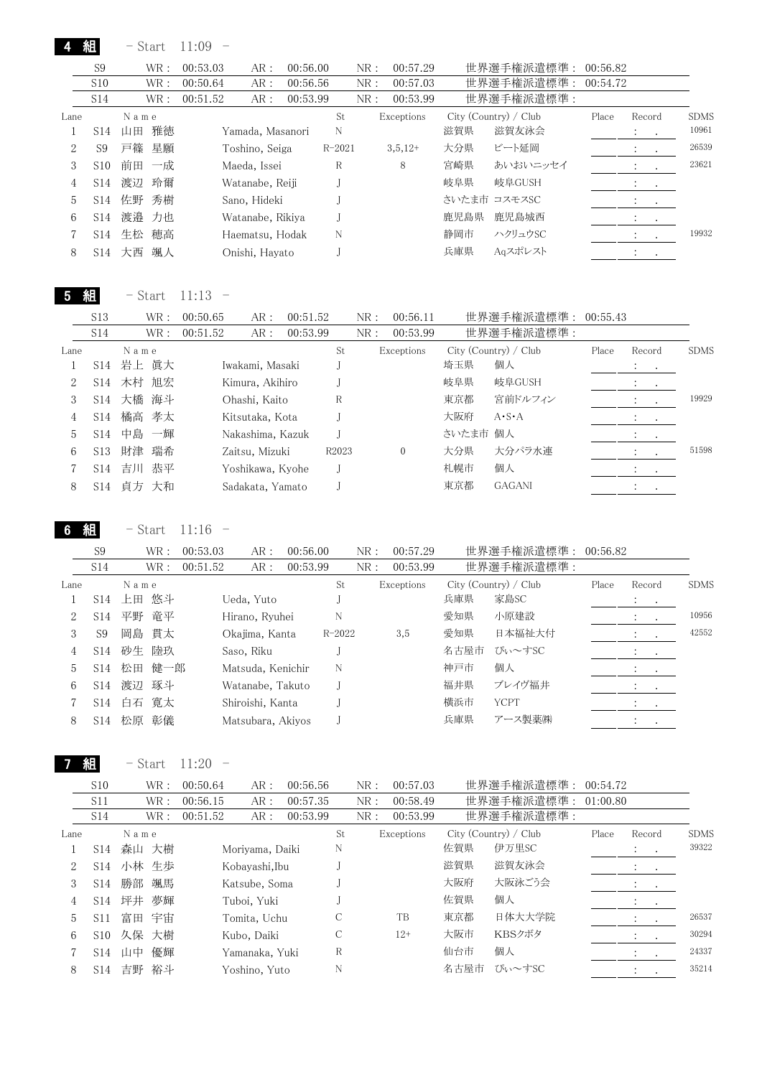4 組

|      | S <sub>9</sub>  |      | WR : | 00:53.03 | AR:              | 00:56.00 |            | NR: | 00:57.29   |      | 世界選手権派遣標準:            | 00:56.82 |                             |         |             |
|------|-----------------|------|------|----------|------------------|----------|------------|-----|------------|------|-----------------------|----------|-----------------------------|---------|-------------|
|      | S <sub>10</sub> |      | WR : | 00:50.64 | AR:              | 00:56.56 |            | NR: | 00:57.03   |      | 世界選手権派遣標準:            | 00:54.72 |                             |         |             |
|      | S <sub>14</sub> |      | WR : | 00:51.52 | AR:              | 00:53.99 |            | NR: | 00:53.99   |      | 世界選手権派遣標準:            |          |                             |         |             |
| Lane |                 | Name |      |          |                  |          | St         |     | Exceptions |      | City (Country) / Club | Place    | Record                      |         | <b>SDMS</b> |
|      | S <sub>14</sub> | 山田   | 雅徳   |          | Yamada, Masanori |          | N          |     |            | 滋賀県  | 滋賀友泳会                 |          | $\cdot$                     | $\sim$  | 10961       |
| 2    | S9              | 戸篠   | 星願   |          | Toshino, Seiga   |          | $R - 2021$ |     | $3,5,12+$  | 大分県  | ビート延岡                 |          | $\mathcal{L} = \mathcal{L}$ | $\cdot$ | 26539       |
| 3    | S <sub>10</sub> | 前田   | 一成   |          | Maeda, Issei     |          | R          |     | 8          | 宮崎県  | あいおいニッセイ              |          |                             | $\cdot$ | 23621       |
| 4    | S <sub>14</sub> | 渡辺   | 玲爾   |          | Watanabe, Reiji  |          |            |     |            | 岐阜県  | 岐阜GUSH                |          | $\sim$ $\sim$               |         |             |
| 5    | S14             | 佐野   | 秀樹   |          | Sano, Hideki     |          |            |     |            |      | さいたま市 コスモスSC          |          | $\sim$ $\sim$ $\sim$        |         |             |
| 6    | S <sub>14</sub> | 渡邉   | 力也   |          | Watanabe, Rikiya |          |            |     |            | 鹿児島県 | 鹿児島城西                 |          | $\mathcal{L} = \{1,2,3,4\}$ |         |             |
|      | S14             | 生松   | 穂高   |          | Haematsu, Hodak  |          | N          |     |            | 静岡市  | ハクリュウSC               |          |                             |         | 19932       |
| 8    | S14             | 大西   | 颯人   |          | Onishi, Hayato   |          |            |     |            | 兵庫県  | Aaスポレスト               |          |                             |         |             |

5 組 - Start 11:13 -

|      | S <sub>13</sub> | WR :     | 00:50.65 | AR:              | 00:51.52 |       | NR: | 00:56.11       |          | 世界選手権派遣標準:            | 00:55.43 |                               |             |
|------|-----------------|----------|----------|------------------|----------|-------|-----|----------------|----------|-----------------------|----------|-------------------------------|-------------|
|      | S14             | WR :     | 00:51.52 | AR:              | 00:53.99 |       | NR: | 00:53.99       |          | 世界選手権派遣標準:            |          |                               |             |
| Lane |                 | Name     |          |                  |          | St    |     | Exceptions     |          | City (Country) / Club | Place    | Record                        | <b>SDMS</b> |
|      | S14             | 岩上 眞大    |          | Iwakami, Masaki  |          |       |     |                | 埼玉県      | 個人                    |          | $\cdot$<br>$\sim$ 100 $\pm$   |             |
|      | S14             | 木村 旭宏    |          | Kimura, Akihiro  |          |       |     |                | 岐阜県      | 岐阜GUSH                |          | $\bullet$<br>$\sim$ 100 $\pm$ |             |
| 3    | S <sub>14</sub> | 大橋 海斗    |          | Ohashi, Kaito    |          | R     |     |                | 東京都      | 宮前ドルフィン               |          | $\mathcal{L} = \mathcal{L}$   | 19929       |
| 4    | S14             | 橘高 孝太    |          | Kitsutaka, Kota  |          |       |     |                | 大阪府      | $A \cdot S \cdot A$   |          |                               |             |
| 5.   | S14             | 中島 一輝    |          | Nakashima, Kazuk |          |       |     |                | さいたま市 個人 |                       |          | $\cdot$<br>$\sim$             |             |
| 6    | S13             | 瑞希<br>財津 |          | Zaitsu, Mizuki   |          | R2023 |     | $\overline{0}$ | 大分県      | 大分パラ水連                |          |                               | 51598       |
|      | S14             | 恭平<br>吉川 |          | Yoshikawa, Kyohe |          |       |     |                | 札幌市      | 個人                    |          | $\cdot$                       |             |
| 8    | S14             | 貞方 大和    |          | Sadakata, Yamato |          |       |     |                | 東京都      | <b>GAGANI</b>         |          |                               |             |

6 組 - Start 11:16 -

|      | S <sub>9</sub>  |       | WR :  | 00:53.03 | AR:               | 00:56.00 |            | NR: | 00:57.29   |      | 世界選手権派遣標準:            | 00:56.82 |         |                            |       |
|------|-----------------|-------|-------|----------|-------------------|----------|------------|-----|------------|------|-----------------------|----------|---------|----------------------------|-------|
|      | S <sub>14</sub> |       | WR :  | 00:51.52 | AR:               | 00:53.99 |            | NR: | 00:53.99   |      | 世界選手権派遣標準:            |          |         |                            |       |
| Lane |                 | Name  |       |          |                   |          | St         |     | Exceptions |      | City (Country) / Club | Place    | Record  |                            | SDMS  |
|      | S <sub>14</sub> |       | 上田 悠斗 |          | Ueda, Yuto        |          |            |     |            | 兵庫県  | 家島SC                  |          | $\cdot$ | $\sim$                     |       |
| 2    | S14             | 平野    | 竜平    |          | Hirano, Ryuhei    |          | N          |     |            | 愛知県  | 小原建設                  |          |         |                            | 10956 |
| 3    | S <sub>9</sub>  |       | 岡島 貫太 |          | Okajima, Kanta    |          | $R - 2022$ |     | 3,5        | 愛知県  | 日本福祉大付                |          |         |                            | 42552 |
| 4    | S14             | 砂生 陸玖 |       |          | Saso, Riku        |          |            |     |            | 名古屋市 | ぴぃ~すSC                |          |         | $\sim$                     |       |
| 5    | S14             | 松田    | 健一郎   |          | Matsuda, Kenichir |          | N          |     |            | 神戸市  | 個人                    |          |         |                            |       |
| 6    | S <sub>14</sub> | 渡辺    | 琢斗    |          | Watanabe, Takuto  |          |            |     |            | 福井県  | ブレイヴ福井                |          |         | $\sim$ 100 $\pm$ 100 $\pm$ |       |
|      | S14             | 白石    | 寛太    |          | Shiroishi, Kanta  |          |            |     |            | 横浜市  | <b>YCPT</b>           |          |         |                            |       |
| 8    | S <sub>14</sub> | 松原    | 彰儀    |          | Matsubara, Akiyos |          |            |     |            | 兵庫県  | アース製薬㈱                |          |         |                            |       |

7 組 - Start 11:20 -

| S <sub>10</sub> |      | 00:50.64 | AR :                                                                            | 00:56.56    |                                                                    | NR: | 00:57.03 |            |        |                                                   |                                                |                      |
|-----------------|------|----------|---------------------------------------------------------------------------------|-------------|--------------------------------------------------------------------|-----|----------|------------|--------|---------------------------------------------------|------------------------------------------------|----------------------|
| <b>S11</b>      |      | 00:56.15 | AR:                                                                             | 00:57.35    |                                                                    | NR: | 00:58.49 |            |        |                                                   |                                                |                      |
| S14             |      | 00:51.52 | AR:                                                                             | 00:53.99    |                                                                    | NR: | 00:53.99 |            |        |                                                   |                                                |                      |
|                 | Name |          |                                                                                 |             | St                                                                 |     |          |            |        | Place                                             | Record                                         | <b>SDMS</b>          |
| S14             |      |          |                                                                                 |             | N                                                                  |     |          | 佐賀県        | 伊万里SC  |                                                   | $\mathcal{L}^{\text{max}}$                     | 39322                |
| S14             |      |          | Kobayashi,Ibu                                                                   |             |                                                                    |     |          | 滋賀県        | 滋賀友泳会  |                                                   | $\mathbf{A}$ and $\mathbf{A}$ and $\mathbf{A}$ |                      |
| S <sub>14</sub> | 勝部   |          | Katsube, Soma                                                                   |             |                                                                    |     |          | 大阪府        | 大阪泳ごう会 |                                                   | $\mathbf{r} = \mathbf{r} + \mathbf{r}$         |                      |
| S14             |      |          |                                                                                 |             |                                                                    |     |          | 佐賀県        | 個人     |                                                   | $\mathcal{L} = \{1,2,3,4\}$                    |                      |
| S <sub>11</sub> | 富田   |          |                                                                                 |             | C                                                                  |     | TB       | 東京都        | 日体大大学院 |                                                   |                                                | 26537                |
| S <sub>10</sub> |      |          | Kubo, Daiki                                                                     |             | $\mathcal{C}$                                                      |     | $12+$    | 大阪市        | KBSクボタ |                                                   |                                                | 30294                |
| S14             | 山中   |          |                                                                                 |             | R                                                                  |     |          | 仙台市        | 個人     |                                                   |                                                | 24337                |
| S14             | 吉野   |          |                                                                                 |             | N                                                                  |     |          | 名古屋市       | びぃ〜すSC |                                                   |                                                | 35214                |
|                 |      |          | WR :<br>WR :<br>WR:<br>森山 大樹<br>小林 生歩<br>颯馬<br>坪井 夢輝<br>宇宙<br>久保 大樹<br>優輝<br>裕斗 | Tuboi, Yuki | Moriyama, Daiki<br>Tomita, Uchu<br>Yamanaka. Yuki<br>Yoshino, Yuto |     |          | Exceptions |        | 世界選手権派遣標準:<br>世界選手権派遣標準:<br>City (Country) / Club | 世界選手権派遣標準:                                     | 00:54.72<br>01:00.80 |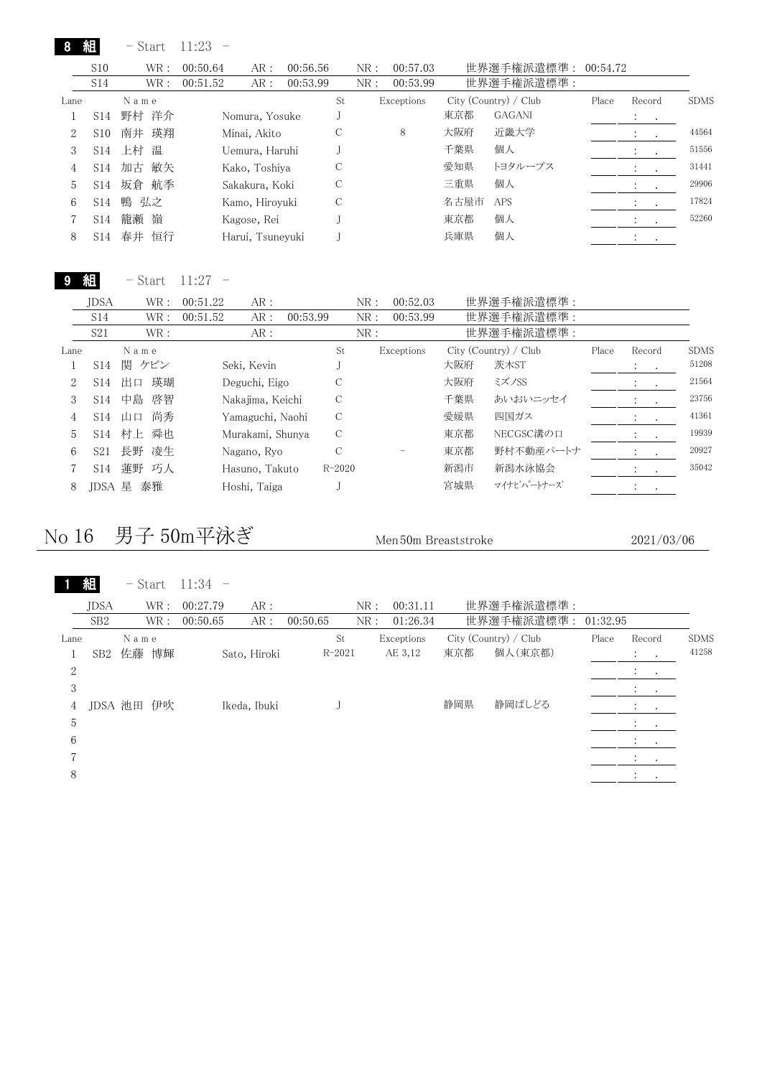|                |                 | - Start  | 11:23    |                  |          |    |     |            |      |                       |          |                                          |         |             |
|----------------|-----------------|----------|----------|------------------|----------|----|-----|------------|------|-----------------------|----------|------------------------------------------|---------|-------------|
|                | S <sub>10</sub> | WR:      | 00:50.64 | AR:              | 00:56.56 |    | NR: | 00:57.03   |      | 世界選手権派遣標準:            | 00:54.72 |                                          |         |             |
|                | S <sub>14</sub> | WR:      | 00:51.52 | AR:              | 00:53.99 |    | NR: | 00:53.99   |      | 世界選手権派遣標準:            |          |                                          |         |             |
| Lane           |                 | Name     |          |                  |          | St |     | Exceptions |      | City (Country) / Club | Place    | Record                                   |         | <b>SDMS</b> |
|                | S14             | 野村 洋介    |          | Nomura, Yosuke   |          |    |     |            | 東京都  | <b>GAGANI</b>         |          | $\ddot{\phantom{a}}$<br>$\sim$ 100 $\pm$ |         |             |
| 2              | S <sub>10</sub> | 南井 瑛翔    |          | Minai, Akito     |          | C  |     | 8          | 大阪府  | 近畿大学                  |          | $\cdot$                                  | $\sim$  | 44564       |
| 3              | S14             | 上村<br>温  |          | Uemura, Haruhi   |          |    |     |            | 千葉県  | 個人                    |          | $\ddot{\cdot}$<br>$\sim 100$             |         | 51556       |
| $\overline{4}$ | S14             | 加古 敏矢    |          | Kako, Toshiya    |          | С  |     |            | 愛知県  | トヨタループス               |          | $\ddot{\cdot}$                           | $\cdot$ | 31441       |
| 5              | S <sub>14</sub> | 坂倉<br>航季 |          | Sakakura, Koki   |          | C  |     |            | 三重県  | 個人                    |          |                                          | $\cdot$ | 29906       |
| 6              | S <sub>14</sub> | 鴨 弘之     |          | Kamo, Hirovuki   |          | C  |     |            | 名古屋市 | <b>APS</b>            |          |                                          | $\cdot$ | 17824       |
|                | S <sub>14</sub> | 籠瀬<br>嶺  |          | Kagose, Rei      |          |    |     |            | 東京都  | 個人                    |          |                                          |         | 52260       |
| 8              | S14             | 春井<br>恒行 |          | Harui, Tsuneyuki |          |    |     |            | 兵庫県  | 個人                    |          |                                          |         |             |

9 組 - Start 11:27 -

|      | <b>JDSA</b>     | WR :     | 00:51.22         | AR: |          |            | NR: | 00:52.03   |     | 世界選手権派遣標準:            |       |                |           |             |
|------|-----------------|----------|------------------|-----|----------|------------|-----|------------|-----|-----------------------|-------|----------------|-----------|-------------|
|      | S <sub>14</sub> | WR :     | 00:51.52         | AR: | 00:53.99 |            | NR: | 00:53.99   |     | 世界選手権派遣標準:            |       |                |           |             |
|      | S <sub>21</sub> | WR :     |                  | AR: |          |            | NR: |            |     | 世界選手権派遣標準:            |       |                |           |             |
| Lane |                 | Name     |                  |     |          | St         |     | Exceptions |     | City (Country) / Club | Place | Record         |           | <b>SDMS</b> |
|      | S14             | 関 ケビン    | Seki, Kevin      |     |          |            |     |            | 大阪府 | 茨木ST                  |       | All Card       |           | 51208       |
| 2    | S14             | 瑛瑚<br>出口 | Deguchi, Eigo    |     |          | С          |     |            | 大阪府 | ミズノSS                 |       |                |           | 21564       |
| 3    | S14             | 中島<br>啓智 | Nakajima, Keichi |     |          | С          |     |            | 千葉県 | あいおいニッセイ              |       | $\cdot$        | $\sim$    | 23756       |
| 4    | S <sub>14</sub> | 尚秀<br>山口 | Yamaguchi, Naohi |     |          | С          |     |            | 愛媛県 | 四国ガス                  |       | $\ddot{\cdot}$ | $\sim$    | 41361       |
| 5    | S <sub>14</sub> | 村上<br>舜也 | Murakami, Shunya |     |          | С          |     |            | 東京都 | NECGSC溝の口             |       |                |           | 19939       |
| 6    | S <sub>21</sub> | 長野 凌生    | Nagano, Ryo      |     |          | С          |     |            | 東京都 | 野村不動産パートナ             |       |                | $\bullet$ | 20927       |
|      | S <sub>14</sub> | 蓮野 巧人    | Hasuno, Takuto   |     |          | $R - 2020$ |     |            | 新潟市 | 新潟水泳協会                |       | $\ddot{\cdot}$ |           | 35042       |
| 8    | .IDSA           | 泰雅<br>星  | Hoshi, Taiga     |     |          |            |     |            | 宮城県 | マイナビハートナーズ            |       | $\cdot$        |           |             |

#### No 16 男子 50m平泳ぎ Men 50m Breaststroke 2021/03/06

1 組 - Start 11:34 -

|      | <b>JDSA</b>     | WR:   | AR:<br>00:27.79 | NR:             | 00:31.11   |                       | 世界選手権派遣標準: |          |                                 |             |
|------|-----------------|-------|-----------------|-----------------|------------|-----------------------|------------|----------|---------------------------------|-------------|
|      | SB <sub>2</sub> | WR:   | AR:<br>00:50.65 | NR:<br>00:50.65 | 01:26.34   |                       | 世界選手権派遣標準: | 01:32.95 |                                 |             |
| Lane |                 | Name  |                 | St              | Exceptions | City (Country) / Club |            | Place    | Record                          | <b>SDMS</b> |
|      | SB2             | 佐藤 博輝 | Sato, Hiroki    | $R - 2021$      | AE 3,12    | 東京都                   | 個人(東京都)    |          | $\ddot{\phantom{a}}$<br>$\cdot$ | 41258       |
| 2    |                 |       |                 |                 |            |                       |            |          |                                 |             |
| 3    |                 |       |                 |                 |            |                       |            |          | $\cdot$<br>$\bullet$            |             |
| 4    | JDSA 池田         | 伊吹    | Ikeda, Ibuki    |                 |            | 静岡県                   | 静岡ぱしどる     |          |                                 |             |
| 5    |                 |       |                 |                 |            |                       |            |          | $\cdot$<br>$\ddot{\phantom{1}}$ |             |
| 6    |                 |       |                 |                 |            |                       |            |          |                                 |             |
|      |                 |       |                 |                 |            |                       |            |          | $\cdot$<br>$\sim$               |             |
| 8    |                 |       |                 |                 |            |                       |            |          |                                 |             |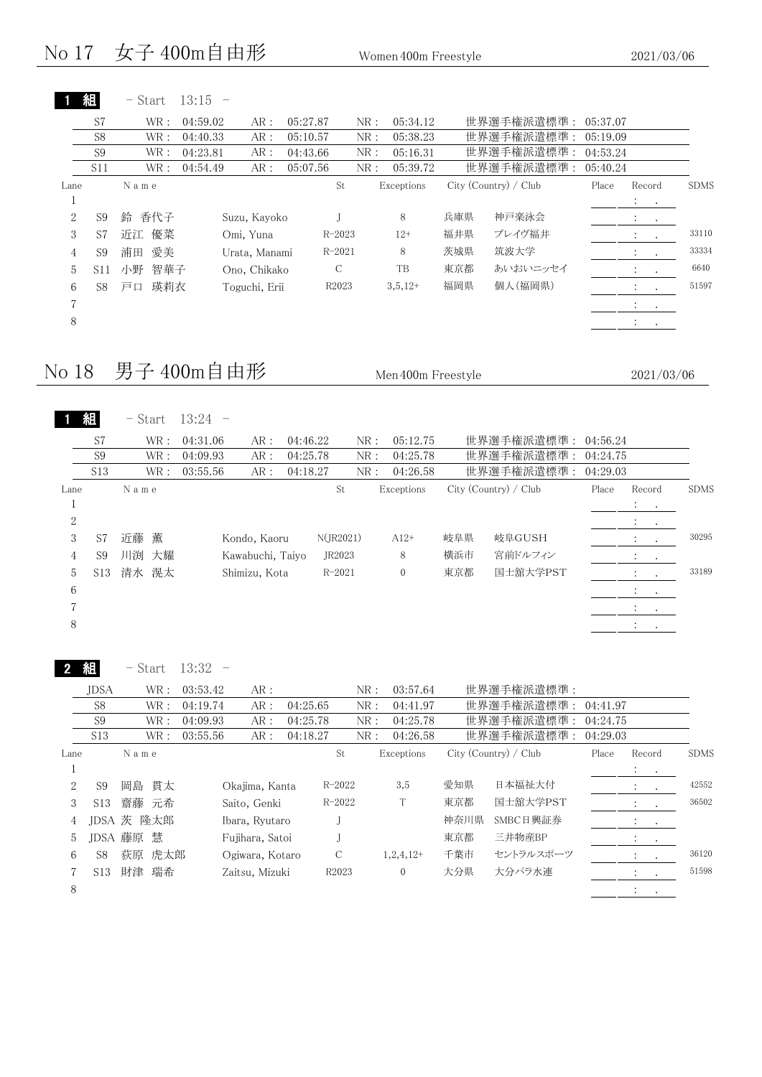$\mathbf{L}$   $\mathbf{L}$ 

|      |                | - Start   | 13:15    |               |          |            |            |     |                       |          |                                               |             |
|------|----------------|-----------|----------|---------------|----------|------------|------------|-----|-----------------------|----------|-----------------------------------------------|-------------|
|      | S7             | WR:       | 04:59.02 | AR:           | 05:27.87 | NR:        | 05:34.12   |     | 世界選手権派遣標準:            | 05:37.07 |                                               |             |
|      | S <sub>8</sub> | WR:       | 04:40.33 | AR:           | 05:10.57 | NR:        | 05:38.23   |     | 世界選手権派遣標準:            | 05:19.09 |                                               |             |
|      | S <sub>9</sub> | WR:       | 04:23.81 | AR:           | 04:43.66 | NR:        | 05:16.31   |     | 世界選手権派遣標準:            | 04:53.24 |                                               |             |
|      | <b>S11</b>     | WR:       | 04:54.49 | AR:           | 05:07.56 | NR:        | 05:39.72   |     | 世界選手権派遣標準:            | 05:40.24 |                                               |             |
| Lane |                | N a m e   |          |               |          | St         | Exceptions |     | City (Country) / Club | Place    | Record                                        | <b>SDMS</b> |
|      |                |           |          |               |          |            |            |     |                       |          | <b>All Cards</b>                              |             |
| 2    | S9             | 香代子<br>鈴  |          | Suzu, Kayoko  |          |            | 8          | 兵庫県 | 神戸楽泳会                 |          | $\sim$ $\sim$                                 |             |
| 3    | S7             | 優菜<br>近江  |          | Omi, Yuna     |          | $R - 2023$ | $12+$      | 福井県 | ブレイヴ福井                |          | $\mathcal{L} = \mathcal{L}$                   | 33110       |
| 4    | S <sub>9</sub> | 愛美<br>浦田  |          | Urata, Manami |          | $R - 2021$ | 8          | 茨城県 | 筑波大学                  |          | $\sim$ $\sim$                                 | 33334       |
| 5    | S11            | 智華子<br>小野 |          | Ono, Chikako  |          | C          | TB         | 東京都 | あいおいニッセイ              |          | $\sim$                                        | 6640        |
| 6    | S8.            | 瑛莉衣<br>戸口 |          | Toguchi, Erii |          | R2023      | $3,5,12+$  | 福岡県 | 個人(福岡県)               |          | $\mathbb{Z}^n$<br>$\bullet$                   | 51597       |
| 7    |                |           |          |               |          |            |            |     |                       |          | $\bullet$ , $\bullet$ , $\bullet$ , $\bullet$ |             |
| 8    |                |           |          |               |          |            |            |     |                       |          | $\mathcal{L} = \mathcal{L}$                   |             |
|      |                |           |          |               |          |            |            |     |                       |          |                                               |             |

#### No  $18$  男子  $400$ m自由形 Men400m Freestyle 2021/03/06

|                | 組               | - Start |     | $13:24 -$ |                  |          |                 |     |              |     |                       |          |                                            |             |
|----------------|-----------------|---------|-----|-----------|------------------|----------|-----------------|-----|--------------|-----|-----------------------|----------|--------------------------------------------|-------------|
|                | S7              |         | WR: | 04:31.06  | AR:              | 04:46.22 |                 | NR: | 05:12.75     |     | 世界選手権派遣標準:            | 04:56.24 |                                            |             |
|                | S9              |         | WR: | 04:09.93  | AR:              | 04:25.78 |                 | NR: | 04:25.78     |     | 世界選手権派遣標準:            | 04:24.75 |                                            |             |
|                | S <sub>13</sub> |         | WR: | 03:55.56  | AR:              | 04:18.27 |                 | NR: | 04:26.58     |     | 世界選手権派遣標準:            | 04:29.03 |                                            |             |
| Lane           |                 | Name    |     |           |                  |          | St              |     | Exceptions   |     | City (Country) / Club | Place    | Record                                     | <b>SDMS</b> |
| <b>T</b>       |                 |         |     |           |                  |          |                 |     |              |     |                       |          | $1 - 1$                                    |             |
| $\sqrt{2}$     |                 |         |     |           |                  |          |                 |     |              |     |                       |          | $\mathbf{A} = \mathbf{A} \cdot \mathbf{A}$ |             |
| 3              | S7              | 近藤      | 薫   |           | Kondo, Kaoru     |          | $N($ JR2021 $)$ |     | $A12+$       | 岐阜県 | 岐阜GUSH                |          | $\ddot{\phantom{a}}$<br>$\cdot$            | 30295       |
| $\overline{4}$ | S <sub>9</sub>  | 川渕      | 大耀  |           | Kawabuchi, Taiyo |          | JR2023          |     | 8            | 横浜市 | 宮前ドルフィン               |          | $\ddot{\phantom{a}}$<br>$\cdot$            |             |
| 5              | S <sub>13</sub> | 清水 滉太   |     |           | Shimizu, Kota    |          | $R - 2021$      |     | $\mathbf{0}$ | 東京都 | 国士舘大学PST              |          | $\bullet$                                  | 33189       |
| 6              |                 |         |     |           |                  |          |                 |     |              |     |                       |          | $\cdot$                                    |             |
| 7              |                 |         |     |           |                  |          |                 |     |              |     |                       |          | $\ddot{\phantom{0}}$<br>$\sim$ $\sim$      |             |
| 8              |                 |         |     |           |                  |          |                 |     |              |     |                       |          | $\sim$ $\sim$                              |             |
|                |                 |         |     |           |                  |          |                 |     |              |     |                       |          |                                            |             |

| 組 | – Start | 13:32 |  |
|---|---------|-------|--|
|---|---------|-------|--|

|      | <b>IDSA</b>     |      | WR :       | 03:53.42 | AR:             |          |                   | NR: | 03:57.64    |      | 世界選手権派遣標準:            |          |                                                                                         |             |
|------|-----------------|------|------------|----------|-----------------|----------|-------------------|-----|-------------|------|-----------------------|----------|-----------------------------------------------------------------------------------------|-------------|
|      | S8              |      | WR :       | 04:19.74 | AR:             | 04:25.65 |                   | NR: | 04:41.97    |      | 世界選手権派遣標準:            | 04:41.97 |                                                                                         |             |
|      | S9              |      | WR :       | 04:09.93 | AR:             | 04:25.78 |                   | NR: | 04:25.78    |      | 世界選手権派遣標準:            | 04:24.75 |                                                                                         |             |
|      | S <sub>13</sub> |      | WR :       | 03:55.56 | AR:             | 04:18.27 |                   | NR: | 04:26.58    |      | 世界選手権派遣標準:            | 04:29.03 |                                                                                         |             |
| Lane |                 | Name |            |          |                 |          | St                |     | Exceptions  |      | City (Country) / Club | Place    | Record                                                                                  | <b>SDMS</b> |
|      |                 |      |            |          |                 |          |                   |     |             |      |                       |          | $\mathcal{L} = \mathcal{L}$                                                             |             |
| 2    | S9              |      | 岡島 貫太      |          | Okajima, Kanta  |          | $R - 2022$        |     | 3,5         | 愛知県  | 日本福祉大付                |          | $\mathcal{I}^{\mathcal{I}}$ , $\mathcal{I}^{\mathcal{I}}$ , $\mathcal{I}^{\mathcal{I}}$ | 42552       |
| 3    | S <sub>13</sub> |      | 齋藤 元希      |          | Saito, Genki    |          | $R - 2022$        |     | T           | 東京都  | 国士舘大学PST              |          | $\mathcal{L} = \mathcal{L}$                                                             | 36502       |
| 4    |                 |      | IDSA 茨 隆太郎 |          | Ibara, Ryutaro  |          |                   |     |             | 神奈川県 | SMBC日興証券              |          | $\mathcal{R}=\frac{1}{\sqrt{2\pi}}$ .                                                   |             |
| 5    | <b>IDSA</b>     | 藤原 慧 |            |          | Fujihara, Satoi |          |                   |     |             | 東京都  | 三井物産BP                |          | $\mathcal{L} = \mathcal{L}$                                                             |             |
| 6    | S8              |      | 荻原 虎太郎     |          | Ogiwara, Kotaro |          | C                 |     | $1,2,4,12+$ | 千葉市  | セントラルスポーツ             |          | $\mathcal{L} = \mathcal{L}$                                                             | 36120       |
|      | S <sub>13</sub> | 財津   | 瑞希         |          | Zaitsu, Mizuki  |          | R <sub>2023</sub> |     | 0           | 大分県  | 大分パラ水連                |          |                                                                                         | 51598       |
| 8    |                 |      |            |          |                 |          |                   |     |             |      |                       |          | $\ddot{\phantom{1}}$                                                                    |             |
|      |                 |      |            |          |                 |          |                   |     |             |      |                       |          |                                                                                         |             |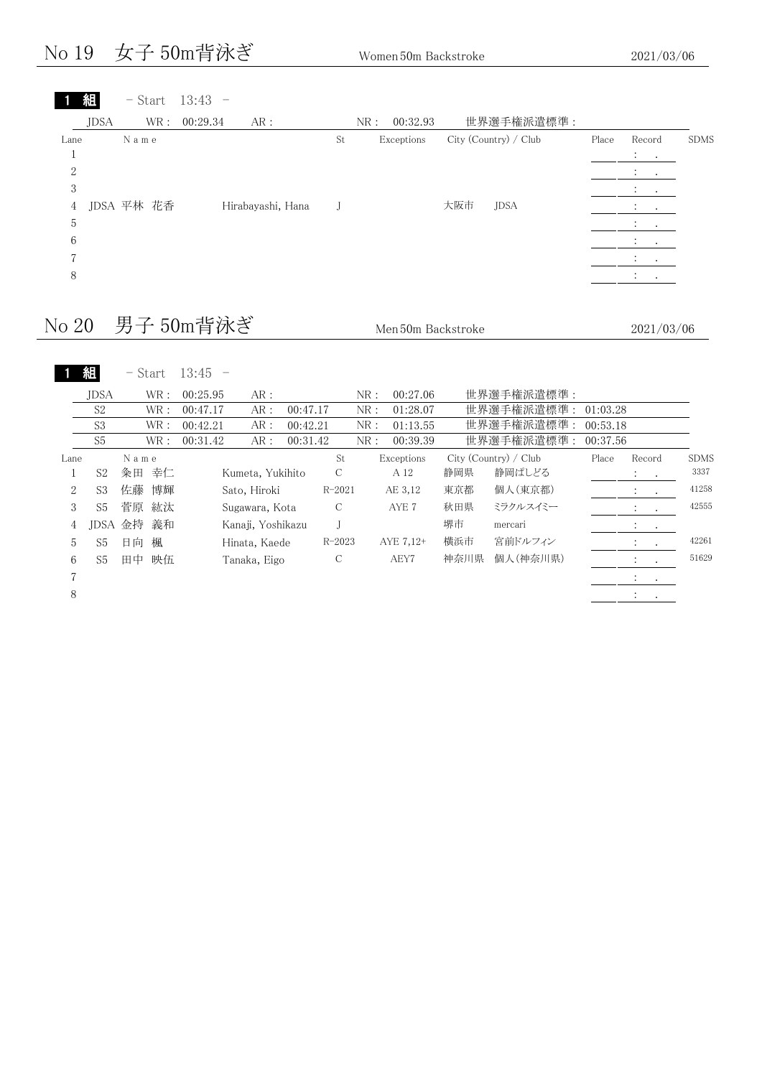#### No 19 女子 50m背泳ぎ Women 50m Backstroke 2021/03/06

| $\blacksquare$ | 組           |            |      | $-$ Start 13:43 $-$ |    |     |            |     |                       |       |                                         |             |
|----------------|-------------|------------|------|---------------------|----|-----|------------|-----|-----------------------|-------|-----------------------------------------|-------------|
|                | <b>JDSA</b> |            | WR : | 00:29.34<br>AR:     |    | NR: | 00:32.93   |     | 世界選手権派遣標準:            |       |                                         |             |
| Lane           |             | N a m e    |      |                     | St |     | Exceptions |     | City (Country) / Club | Place | Record<br>$1 - 1$                       | <b>SDMS</b> |
| 2              |             |            |      |                     |    |     |            |     |                       |       | $\cdot$<br>$\cdot$                      |             |
| 3<br>4         |             | JDSA 平林 花香 |      | Hirabayashi, Hana   |    |     |            | 大阪市 | <b>JDSA</b>           |       | $\cdot$<br>$\cdot$<br>$\cdot$<br>$\sim$ |             |
| 5              |             |            |      |                     |    |     |            |     |                       |       | $\bullet$                               |             |
| 6              |             |            |      |                     |    |     |            |     |                       |       | $\bullet$<br>$\bullet$                  |             |
| 8              |             |            |      |                     |    |     |            |     |                       |       | $\cdot$<br><b>Contract</b><br>$\cdot$   |             |
|                |             |            |      |                     |    |     |            |     |                       |       |                                         |             |

### No 20 男子 50m背泳ぎ Men50m Backstroke 2021/03/06

| 組<br>- Start | 13:45 |
|--------------|-------|
|--------------|-------|

|                | <b>JDSA</b>    |      | WR :       | 00:25.95 | AR:               |          |            | NR: | 00:27.06   |      | 世界選手権派遣標準:            |          |                                    |             |
|----------------|----------------|------|------------|----------|-------------------|----------|------------|-----|------------|------|-----------------------|----------|------------------------------------|-------------|
|                | S <sub>2</sub> |      | WR :       | 00:47.17 | AR:               | 00:47.17 |            | NR: | 01:28.07   |      | 世界選手権派遣標準: 01:03.28   |          |                                    |             |
|                | S <sub>3</sub> |      | WR:        | 00:42.21 | AR:               | 00:42.21 |            | NR: | 01:13.55   |      | 世界選手権派遣標準:            | 00:53.18 |                                    |             |
|                | S <sub>5</sub> |      | WR :       | 00:31.42 | AR :              | 00:31.42 |            | NR: | 00:39.39   |      | 世界選手権派遣標準:            | 00:37.56 |                                    |             |
| Lane           |                | Name |            |          |                   |          | St         |     | Exceptions |      | City (Country) / Club | Place    | Record                             | <b>SDMS</b> |
|                | S2             | 粂田   | 幸仁         |          | Kumeta, Yukihito  |          | С          |     | A 12       | 静岡県  | 静岡ぱしどる                |          | $\mathcal{L}^{\text{max}}$ .       | 3337        |
| $\overline{2}$ | S3             | 佐藤   | 博輝         |          | Sato, Hiroki      |          | $R - 2021$ |     | AE 3,12    | 東京都  | 個人(東京都)               |          | $\ddot{\phantom{a}}$<br>$\sim$     | 41258       |
| 3              | S5             | 菅原   | 紘汰         |          | Sugawara, Kota    |          | C          |     | AYE 7      | 秋田県  | ミラクルスイミー              |          | $\sim 100$<br>$\ddot{\phantom{0}}$ | 42555       |
| 4              |                |      | JDSA 金持 義和 |          | Kanaji, Yoshikazu |          |            |     |            | 堺市   | mercari               |          | $\sim 100$ km s $^{-1}$            |             |
| 5              | S5             | 日向   | 楓          |          | Hinata, Kaede     |          | $R - 2023$ |     | AYE 7,12+  | 横浜市  | 宮前ドルフィン               |          | $\ddot{\phantom{a}}$<br>$\sim$     | 42261       |
| 6              | S5             |      | 田中 映伍      |          | Tanaka, Eigo      |          | C          |     | AEY7       | 神奈川県 | 個人(神奈川県)              |          | $\sim$ $\sim$<br>$\cdot$           | 51629       |
| 7              |                |      |            |          |                   |          |            |     |            |      |                       |          | $\ddot{\phantom{1}}$               |             |
| 8              |                |      |            |          |                   |          |            |     |            |      |                       |          | $\sim$ 100 $\sim$ 100 $\sim$       |             |
|                |                |      |            |          |                   |          |            |     |            |      |                       |          |                                    |             |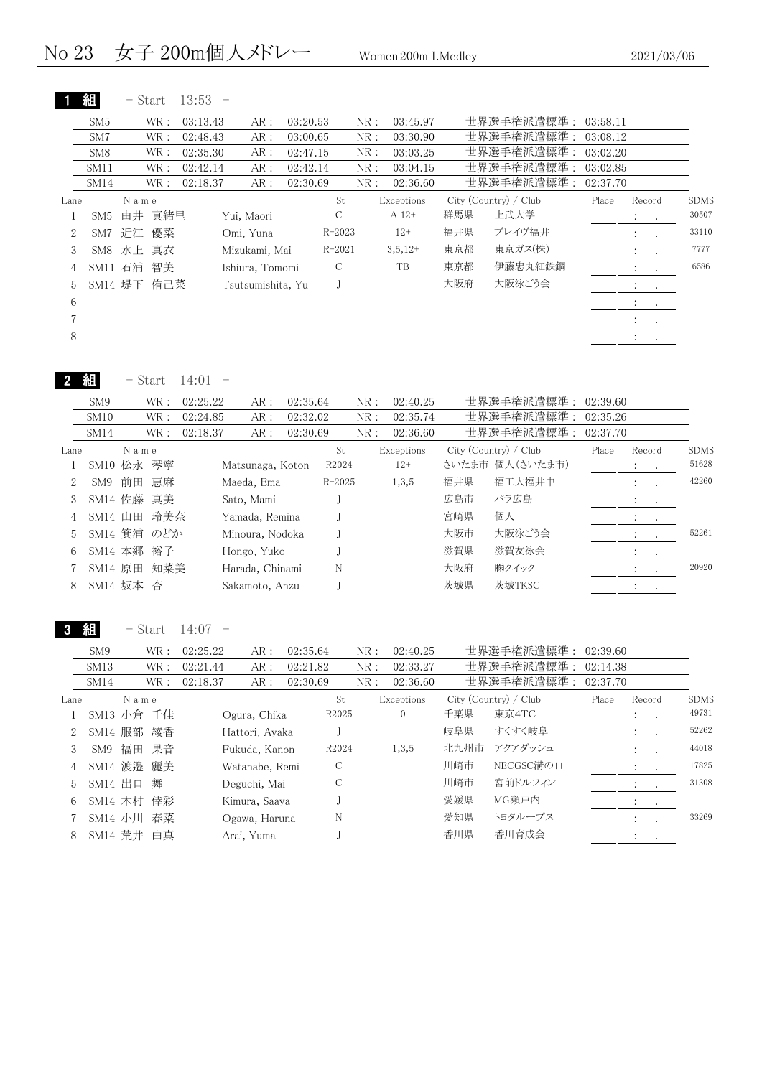| SM <sub>5</sub>  |   |    |                                                                                                | AR:                   |                                                                                                  |                                                       | NR:                                                      | 03:45.97                 |            |         |                                                   |                                 |                                                                     |
|------------------|---|----|------------------------------------------------------------------------------------------------|-----------------------|--------------------------------------------------------------------------------------------------|-------------------------------------------------------|----------------------------------------------------------|--------------------------|------------|---------|---------------------------------------------------|---------------------------------|---------------------------------------------------------------------|
| SM7              |   |    |                                                                                                | AR:                   |                                                                                                  |                                                       | NR:                                                      | 03:30.90                 |            |         |                                                   |                                 |                                                                     |
| SM <sub>8</sub>  |   |    |                                                                                                | AR :                  |                                                                                                  |                                                       | NR:                                                      | 03:03.25                 |            |         |                                                   |                                 |                                                                     |
| SM <sub>11</sub> |   |    |                                                                                                | AR :                  |                                                                                                  |                                                       | NR:                                                      | 03:04.15                 |            |         |                                                   |                                 |                                                                     |
| SM14             |   |    |                                                                                                | AR:                   |                                                                                                  |                                                       | NR:                                                      | 02:36.60                 |            |         |                                                   |                                 |                                                                     |
|                  |   |    |                                                                                                |                       |                                                                                                  | St.                                                   |                                                          |                          |            |         | Place                                             | Record                          | <b>SDMS</b>                                                         |
| SM5              |   |    |                                                                                                |                       |                                                                                                  | С                                                     |                                                          | $A 12+$                  | 群馬県        | 上武大学    |                                                   | <b>The Card</b>                 | 30507                                                               |
|                  |   |    |                                                                                                |                       |                                                                                                  |                                                       |                                                          | $12+$                    | 福井県        | ブレイヴ福井  |                                                   | $2.1 - 1.1$                     | 33110                                                               |
|                  |   |    |                                                                                                |                       |                                                                                                  |                                                       |                                                          | $3,5,12+$                | 東京都        | 東京ガス(株) |                                                   | $\ddot{\phantom{a}}$<br>$\cdot$ | 7777                                                                |
|                  |   | 智美 |                                                                                                |                       |                                                                                                  | C                                                     |                                                          | TB                       | 東京都        | 伊藤忠丸紅鉄鋼 |                                                   | $\ddot{\cdot}$<br>$\bullet$     | 6586                                                                |
|                  |   |    |                                                                                                |                       |                                                                                                  |                                                       |                                                          |                          | 大阪府        | 大阪泳ごう会  |                                                   | $\mathcal{L} = \mathcal{L}$     |                                                                     |
|                  |   |    |                                                                                                |                       |                                                                                                  |                                                       |                                                          |                          |            |         |                                                   | 2.0011                          |                                                                     |
|                  |   |    |                                                                                                |                       |                                                                                                  |                                                       |                                                          |                          |            |         |                                                   | $1 - 1 - 1$                     |                                                                     |
|                  |   |    |                                                                                                |                       |                                                                                                  |                                                       |                                                          |                          |            |         |                                                   | $\cdot$<br>$\cdot$              |                                                                     |
|                  | 組 |    | - Start<br>WR :<br>WR:<br>WR :<br>WR :<br>WR :<br>N a m e<br>SM7 近江 優菜<br>SM8 水上 真衣<br>SM11 石浦 | 由井 真緒里<br>SM14 堤下 侑己菜 | $13:53 -$<br>03:13.43<br>02:48.43<br>02:35.30<br>02:42.14<br>02:18.37<br>Yui, Maori<br>Omi, Yuna | Mizukami, Mai<br>Ishiura, Tomomi<br>Tsutsumishita, Yu | 03:20.53<br>03:00.65<br>02:47.15<br>02:42.14<br>02:30.69 | $R - 2023$<br>$R - 2021$ | Exceptions |         | 世界選手権派遣標準:<br>世界選手権派遣標準:<br>City (Country) / Club | 世界選手権派遣標準:<br>世界選手権派遣標準:        | 世界選手権派遣標準: 03:58.11<br>03:08.12<br>03:02.20<br>03:02.85<br>02:37.70 |

| 組<br>14:01<br>Start |
|---------------------|
|---------------------|

| SM <sub>9</sub> |      |                                                                                                        | AR:                               |                                                |                                                                                                                         | NR:                              | 02:40.25            |            |        |                                                                                    |                                          |                                  |
|-----------------|------|--------------------------------------------------------------------------------------------------------|-----------------------------------|------------------------------------------------|-------------------------------------------------------------------------------------------------------------------------|----------------------------------|---------------------|------------|--------|------------------------------------------------------------------------------------|------------------------------------------|----------------------------------|
| SM10            |      |                                                                                                        | AR:                               |                                                |                                                                                                                         | NR:                              | 02:35.74            |            |        |                                                                                    |                                          |                                  |
| SM14            |      |                                                                                                        | AR:                               |                                                |                                                                                                                         | NR:                              | 02:36.60            |            |        |                                                                                    |                                          |                                  |
|                 |      |                                                                                                        |                                   |                                                | St                                                                                                                      |                                  |                     |            |        | Place                                                                              | Record                                   | <b>SDMS</b>                      |
|                 |      |                                                                                                        |                                   |                                                |                                                                                                                         |                                  | $12+$               |            |        |                                                                                    | $\mathcal{L} = \{1,2,3\}$                | 51628                            |
| SM9             |      |                                                                                                        |                                   |                                                |                                                                                                                         |                                  | 1,3,5               | 福井県        | 福工大福井中 |                                                                                    | $\mathcal{L} = \mathcal{L}$              | 42260                            |
|                 |      |                                                                                                        |                                   |                                                |                                                                                                                         |                                  |                     | 広島市        | パラ広島   |                                                                                    | <b>All Cards</b>                         |                                  |
|                 |      |                                                                                                        |                                   |                                                |                                                                                                                         |                                  |                     | 宮崎県        | 個人     |                                                                                    | $\ddot{\phantom{1}}$<br><b>Contract</b>  |                                  |
|                 |      |                                                                                                        |                                   |                                                |                                                                                                                         |                                  |                     | 大阪市        | 大阪泳ごう会 |                                                                                    |                                          | 52261                            |
|                 |      |                                                                                                        |                                   |                                                |                                                                                                                         |                                  |                     | 滋賀県        | 滋賀友泳会  |                                                                                    | $\mathcal{L} = \mathcal{L}$              |                                  |
|                 |      |                                                                                                        |                                   |                                                | N                                                                                                                       |                                  |                     | 大阪府        | ㈱クイック  |                                                                                    | $\bullet$                                | 20920                            |
|                 |      |                                                                                                        |                                   |                                                |                                                                                                                         |                                  |                     | 茨城県        | 茨城TKSC |                                                                                    | $\ddot{\phantom{0}}$<br>$\sim$ 100 $\pm$ |                                  |
|                 | Lane | WR :<br>WR:<br>WR :<br>Name<br>SM10 松永 琴寧<br>前田 恵麻<br>SM14 佐藤 真美<br>SM14 山田<br>SM14 本郷 裕子<br>SM14 坂本 杏 | 玲美奈<br>SM14 箕浦 のどか<br>SM14 原田 知菜美 | 02:25.22<br>02:24.85<br>02:18.37<br>Sato, Mami | Matsunaga, Koton<br>Maeda, Ema<br>Yamada, Remina<br>Minoura, Nodoka<br>Hongo, Yuko<br>Harada, Chinami<br>Sakamoto, Anzu | 02:35.64<br>02:32.02<br>02:30.69 | R2024<br>$R - 2025$ | Exceptions |        | 世界選手権派遣標準:<br>世界選手権派遣標準:<br>世界選手権派遣標準:<br>City (Country) / Club<br>さいたま市 個人(さいたま市) |                                          | 02:39.60<br>02:35.26<br>02:37.70 |

3 組 - Start 14:07 -

|      | SM <sub>9</sub> |      | WR :  | 02:25.22 | AR:            | 02:35.64 |               | NR : | 02:40.25   |      | 世界選手権派遣標準:            | 02:39.60 |                                                         |             |
|------|-----------------|------|-------|----------|----------------|----------|---------------|------|------------|------|-----------------------|----------|---------------------------------------------------------|-------------|
|      | SM13            |      | WR :  | 02:21.44 | AR:            | 02:21.82 |               | NR:  | 02:33.27   |      | 世界選手権派遣標準:            | 02:14.38 |                                                         |             |
|      | SM14            |      | WR :  | 02:18.37 | AR:            | 02:30.69 |               | NR:  | 02:36.60   |      | 世界選手権派遣標準:            | 02:37.70 |                                                         |             |
| Lane |                 | Name |       |          |                |          | St            |      | Exceptions |      | City (Country) / Club | Place    | Record                                                  | <b>SDMS</b> |
|      | SM13 小倉 千佳      |      |       |          | Ogura, Chika   |          | R2025         |      | $\sigma$   | 千葉県  | 東京4TC                 |          | $\mathcal{L}^{\text{max}}$ , $\mathcal{L}^{\text{max}}$ | 49731       |
| 2    | SM14 服部 綾香      |      |       |          | Hattori, Ayaka |          |               |      |            | 岐阜県  | すくすく岐阜                |          | $\sim$ $\sim$                                           | 52262       |
| 3    | SM9             |      | 福田 果音 |          | Fukuda, Kanon  |          | R2024         |      | 1,3,5      | 北九州市 | アクアダッシュ               |          |                                                         | 44018       |
| 4    | SM14 渡邉 麗美      |      |       |          | Watanabe, Remi |          | C             |      |            | 川崎市  | NECGSC溝の口             |          | $\sim$ $\sim$                                           | 17825       |
| 5    | SM14 出口 舞       |      |       |          | Deguchi, Mai   |          | $\mathcal{C}$ |      |            | 川崎市  | 宮前ドルフィン               |          | $1 - 1$                                                 | 31308       |
| 6    | SM14 木村 倖彩      |      |       |          | Kimura, Saaya  |          |               |      |            | 愛媛県  | MG瀬戸内                 |          | <b>Service</b> State                                    |             |
|      | SM14 小川         |      | 春菜    |          | Ogawa, Haruna  |          | N             |      |            | 愛知県  | トヨタループス               |          |                                                         | 33269       |
| 8    | SM14 荒井 由真      |      |       |          | Arai, Yuma     |          |               |      |            | 香川県  | 香川育成会                 |          | $\cdot$<br>$\bullet$                                    |             |
|      |                 |      |       |          |                |          |               |      |            |      |                       |          |                                                         |             |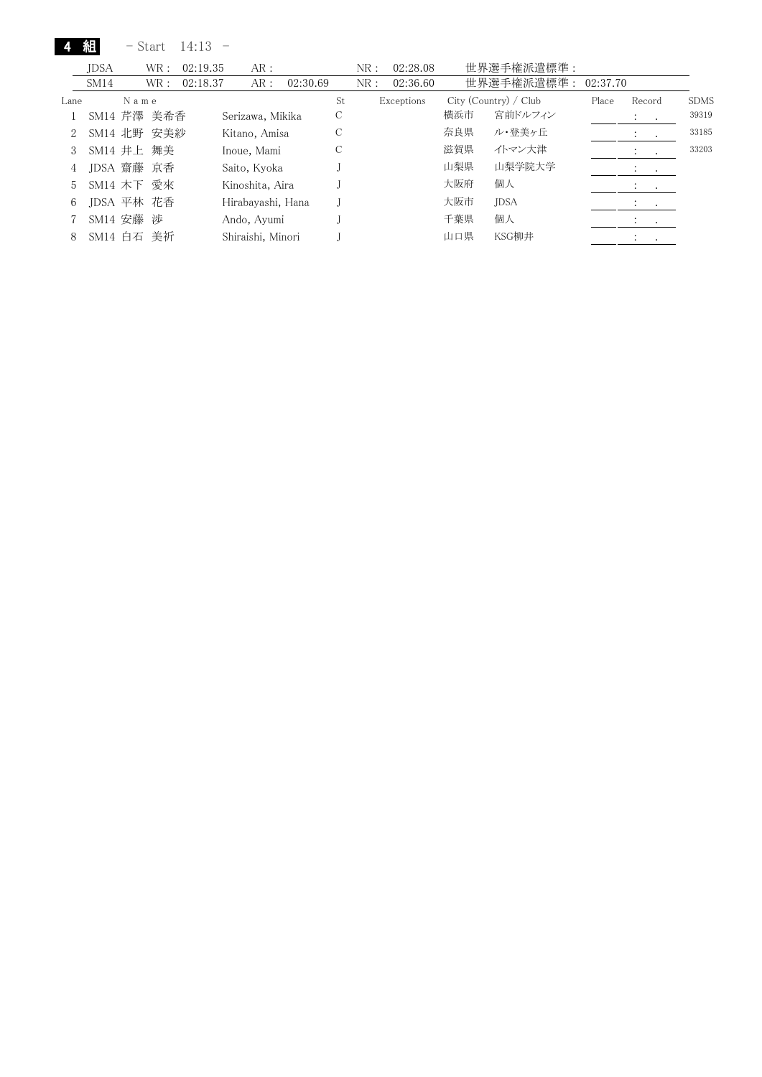|      | 組           |      | - Start | 14:13    |                   |          |    |     |            |     |                       |          |                                 |             |
|------|-------------|------|---------|----------|-------------------|----------|----|-----|------------|-----|-----------------------|----------|---------------------------------|-------------|
|      | <b>JDSA</b> |      | WR:     | 02:19.35 | AR:               |          |    | NR: | 02:28.08   |     | 世界選手権派遣標準:            |          |                                 |             |
|      | SM14        |      | WR :    | 02:18.37 | AR:               | 02:30.69 |    | NR: | 02:36.60   |     | 世界選手権派遣標準:            | 02:37.70 |                                 |             |
| Lane |             | Name |         |          |                   |          | St |     | Exceptions |     | City (Country) / Club | Place    | Record                          | <b>SDMS</b> |
|      | SM14 芹澤 美希香 |      |         |          | Serizawa, Mikika  |          | С  |     |            | 横浜市 | 宮前ドルフィン               |          | $\mathbf{a}$ , and $\mathbf{a}$ | 39319       |
| 2    | SM14 北野 安美紗 |      |         |          | Kitano, Amisa     |          | С  |     |            | 奈良県 | ル・登美ヶ丘                |          | $\cdot$<br>$\sim$               | 33185       |
| 3    | SM14 井上 舞美  |      |         |          | Inoue, Mami       |          | С  |     |            | 滋賀県 | イトマン大津                |          |                                 | 33203       |
| 4    | JDSA 齋藤 京香  |      |         |          | Saito, Kyoka      |          |    |     |            | 山梨県 | 山梨学院大学                |          |                                 |             |
| 5.   | SM14 木下 愛來  |      |         |          | Kinoshita, Aira   |          |    |     |            | 大阪府 | 個人                    |          | $\cdot$<br>$\bullet$            |             |
| 6    | JDSA 平林 花香  |      |         |          | Hirabavashi, Hana |          |    |     |            | 大阪市 | <b>JDSA</b>           |          | $\sim$                          |             |
|      | SM14 安藤 渉   |      |         |          | Ando, Ayumi       |          |    |     |            | 千葉県 | 個人                    |          | $\cdot$                         |             |
| 8    | SM14 白石 美祈  |      |         |          | Shiraishi, Minori |          |    |     |            | 山口県 | KSG柳井                 |          | $\cdot$                         |             |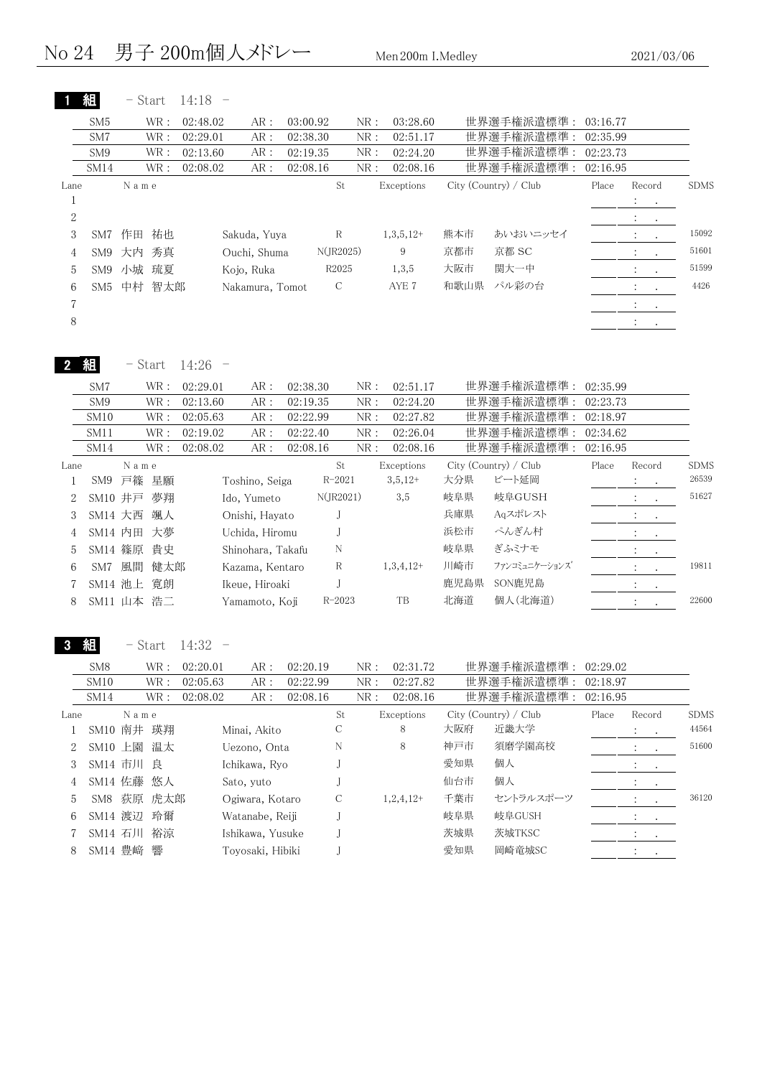|                | 組                | - Start                            | $14:18 -$         |                   |          |                                                                                               |              |             |      |                       |          |                                        |             |
|----------------|------------------|------------------------------------|-------------------|-------------------|----------|-----------------------------------------------------------------------------------------------|--------------|-------------|------|-----------------------|----------|----------------------------------------|-------------|
|                | SM <sub>5</sub>  | WR:                                | 02:48.02          | AR:               | 03:00.92 |                                                                                               | NR:          | 03:28.60    |      | 世界選手権派遣標準:            | 03:16.77 |                                        |             |
|                | SM7              | WR:                                | 02:29.01          | AR:               | 02:38.30 |                                                                                               | NR:          | 02:51.17    |      | 世界選手権派遣標準             | 02:35.99 |                                        |             |
|                | SM9              | $\operatorname{WR}$ :              | 02:13.60          | AR:               | 02:19.35 |                                                                                               | NR:          | 02:24.20    |      | 世界選手権派遣標準:            | 02:23.73 |                                        |             |
|                | SM14             | WR :                               | 02:08.02          | AR:               | 02:08.16 |                                                                                               | NR:          | 02:08.16    |      | 世界選手権派遣標準:            | 02:16.95 |                                        |             |
| Lane           |                  | N a m e                            |                   |                   |          | $\operatorname*{St}% \nolimits_{\mathbb{Z}}\left( \mathbb{Z}^{\Sigma\left( 1\right) }\right)$ |              | Exceptions  |      | City (Country) / Club | Place    | Record                                 | <b>SDMS</b> |
| $\mathbf{1}$   |                  |                                    |                   |                   |          |                                                                                               |              |             |      |                       |          | $\ddot{\cdot}$<br>$\bullet$            |             |
| $\sqrt{2}$     |                  |                                    |                   |                   |          |                                                                                               |              |             |      |                       |          | $\ddot{\phantom{a}}$<br>$\bullet$      |             |
| 3              |                  | SM7 作田 祐也                          |                   | Sakuda, Yuya      |          | $\mathbb R$                                                                                   |              | $1,3,5,12+$ | 熊本市  | あいおいニッセイ              |          | :<br>$\bullet$                         | 15092       |
| $\overline{4}$ | SM9              | 秀真<br>大内                           |                   | Ouchi, Shuma      |          | N(JR2025)                                                                                     |              | 9           | 京都市  | 京都 SC                 |          | $\ddot{\cdot}$<br>$\ddot{\phantom{a}}$ | 51601       |
| 5              | SM <sub>9</sub>  | 小城 琉夏                              |                   | Kojo, Ruka        |          | R2025                                                                                         |              | 1,3,5       | 大阪市  | 関大一中                  |          | $\bullet$                              | 51599       |
| 6              | SM <sub>5</sub>  | 中村 智太郎                             |                   | Nakamura, Tomot   |          | $\mathcal C$                                                                                  |              | AYE 7       | 和歌山県 | パル彩の台                 |          | $\ddot{\cdot}$                         | 4426        |
| 7              |                  |                                    |                   |                   |          |                                                                                               |              |             |      |                       |          | $\bullet$ .                            |             |
| $8\,$          |                  |                                    |                   |                   |          |                                                                                               |              |             |      |                       |          | $\mathbb{Z}^+$<br>$\sim$               |             |
|                | 組                | $-$ Start                          | $14:26 -$         |                   |          |                                                                                               |              |             |      |                       |          |                                        |             |
|                | SM7              | $\operatorname{WR}$ :              | 02:29.01          | AR:               | 02:38.30 |                                                                                               | NR:          | 02:51.17    |      | 世界選手権派遣標準:            | 02:35.99 |                                        |             |
|                | SM9              | $\operatorname{WR}$ :              | 02:13.60          | $AR:$             | 02:19.35 |                                                                                               | NR:          | 02:24.20    |      | 世界選手権派遣標準:            | 02:23.73 |                                        |             |
|                | SM10             | $\operatorname{WR}$ :              | 02:05.63          | AR :              | 02:22.99 |                                                                                               | NR:          | 02:27.82    |      | 世界選手権派遣標準:            | 02:18.97 |                                        |             |
|                | SM11             | $\operatorname{WR}$ :              | 02:19.02          | AR:               | 02:22.40 |                                                                                               | NR:          | 02:26.04    |      | 世界選手権派遣標準:            | 02:34.62 |                                        |             |
|                | SM14             | WR:                                | 02:08.02          | AR:               | 02:08.16 |                                                                                               | NR:          | 02:08.16    |      | 世界選手権派遣標準:            | 02:16.95 |                                        |             |
| Lane           |                  | N a m e                            |                   |                   |          | $\operatorname*{St}% \nolimits_{\mathbb{Z}}\left( \mathbb{Z}^{\Sigma\left( 1\right) }\right)$ |              | Exceptions  |      | City (Country) / Club | Place    | Record                                 | <b>SDMS</b> |
| $\mathbf{1}$   |                  | SM9 戸篠 星願                          |                   | Toshino, Seiga    |          | $R - 2021$                                                                                    |              | $3,5,12+$   | 大分県  | ビート延岡                 |          | $\ddot{\cdot}$<br>$\bullet$            | 26539       |
| $\mathbf{2}$   | SM10 井戸          | 夢翔                                 |                   | Ido, Yumeto       |          | N(JR2021)                                                                                     |              | 3,5         | 岐阜県  | 岐阜GUSH                |          | $\ddot{\cdot}$<br>$\mathbf{L}$         | 51627       |
| 3              | SM14 大西          | 颯人                                 |                   | Onishi, Hayato    |          | $_{\rm J}$                                                                                    |              |             | 兵庫県  | Aqスポレスト               |          | $\ddot{\phantom{a}}$ .<br>$\sim$       |             |
| 4              | SM14 内田          | 大夢                                 |                   | Uchida, Hiromu    |          | J                                                                                             |              |             | 浜松市  | ぺんぎん村                 |          | $\ddot{\cdot}$                         |             |
| 5              |                  | SM14 篠原 貴史                         |                   | Shinohara, Takafu |          | N                                                                                             |              |             | 岐阜県  | ぎふミナモ                 |          | $\ddot{\cdot}$<br>$\bullet$            |             |
| 6              |                  | SM7 風間<br>健太郎                      |                   | Kazama, Kentaro   |          | $\mathbb R$                                                                                   |              | $1,3,4,12+$ | 川崎市  | ファンコミュニケーションズ         |          | $\ddot{\mathbb{Z}}$<br>$\bullet$       | 19811       |
| 7              |                  | SM14 池上 寛朗                         |                   | Ikeue, Hiroaki    |          | J                                                                                             |              |             | 鹿児島県 | SON鹿児島                |          | $\ddot{\phantom{a}}$ .<br>$\sim$       |             |
| 8              |                  | SM11 山本 浩二                         |                   | Yamamoto, Koji    |          | $R - 2023$                                                                                    |              | TB          | 北海道  | 個人(北海道)               |          |                                        | 22600       |
|                | SM <sub>8</sub>  | $-$ Start<br>$\operatorname{WR}$ : | 14:32<br>02:20.01 | AR:               | 02:20.19 |                                                                                               | ${\rm NR}$ : | 02:31.72    |      | 世界選手権派遣標準:            | 02:29.02 |                                        |             |
|                | SM <sub>10</sub> | WR :                               | 02:05.63          | AR:               | 02:22.99 |                                                                                               | NR:          | 02:27.82    |      | 世界選手権派遣標準:            | 02:18.97 |                                        |             |
|                | SM14             | WR :                               | 02:08.02          | AR:               | 02:08.16 |                                                                                               | NR:          | 02:08.16    |      | 世界選手権派遣標準:            | 02:16.95 |                                        |             |
| Lane           |                  | N a m e                            |                   |                   |          | St                                                                                            |              | Exceptions  |      | City (Country) / Club | Place    | Record                                 | <b>SDMS</b> |
| 1              |                  | SM10 南井 瑛翔                         |                   | Minai, Akito      |          | С                                                                                             |              | 8           | 大阪府  | 近畿大学                  |          | ÷.<br>$\bullet$                        | 44564       |
| 2              |                  | SM10 上園<br>温太                      |                   | Uezono, Onta      |          | N                                                                                             |              | 8           | 神戸市  | 須磨学園高校                |          | $\ddot{\cdot}$<br>$\bullet$            | 51600       |
| 3              |                  | SM14 市川 良                          |                   | Ichikawa, Ryo     |          | J                                                                                             |              |             | 愛知県  | 個人                    |          | $\ddot{\ddot{}}$ .<br>$\bullet$ .      |             |
| 4              | SM14 佐藤          | 悠人                                 |                   | Sato, yuto        |          | J                                                                                             |              |             | 仙台市  | 個人                    |          | $\ddot{\cdot}$<br>$\bullet$ .          |             |
| 5              |                  | SM8 荻原 虎太郎                         |                   | Ogiwara, Kotaro   |          | С                                                                                             |              | $1,2,4,12+$ | 千葉市  | セントラルスポーツ             |          | $\bullet$                              | 36120       |
| 6              |                  | SM14 渡辺 玲爾                         |                   | Watanabe, Reiji   |          | J                                                                                             |              |             | 岐阜県  | 岐阜GUSH                |          | $\ddot{\cdot}$                         |             |
| 7              |                  | SM14 石川 裕涼                         |                   | Ishikawa, Yusuke  |          | J                                                                                             |              |             | 茨城県  | 茨城TKSC                |          |                                        |             |
|                |                  |                                    |                   |                   |          |                                                                                               |              |             | 愛知県  | 岡崎竜城SC                |          | $\ddot{\ddot{}}$ .<br>$\bullet$ .      |             |
| 8              | SM14 豊崎          | 響                                  |                   | Toyosaki, Hibiki  |          | J                                                                                             |              |             |      |                       |          | $\mathcal{L}^{\text{max}}$             |             |